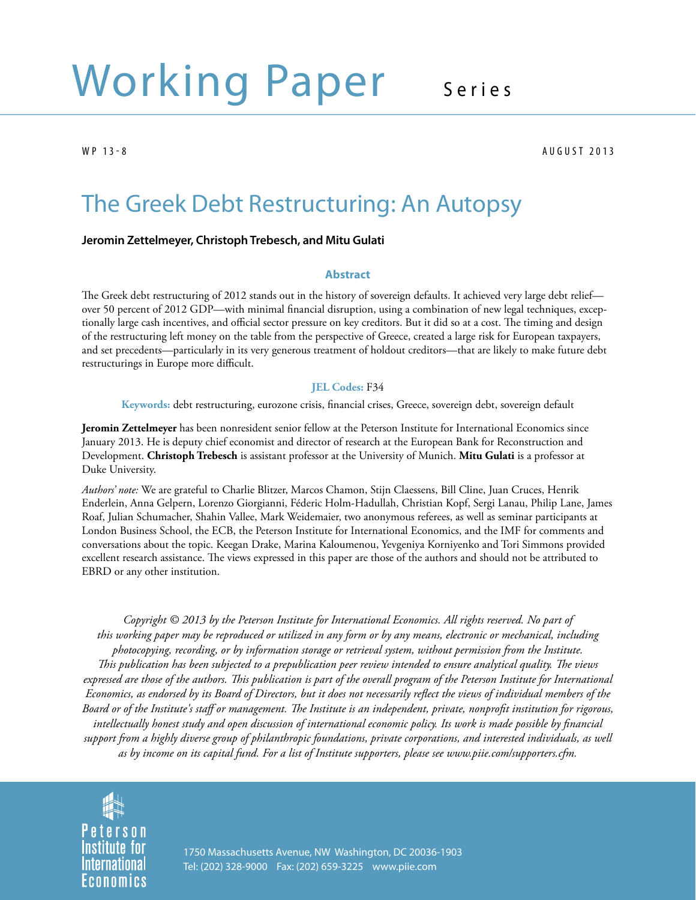# Working Paper Series

WP  $13-8$   $\overline{a}$  august 2013

# The Greek Debt Restructuring: An Autopsy

## **Jeromin Zettelmeyer, Christoph Trebesch, and Mitu Gulati**

#### **Abstract**

The Greek debt restructuring of 2012 stands out in the history of sovereign defaults. It achieved very large debt relief over 50 percent of 2012 GDP—with minimal financial disruption, using a combination of new legal techniques, exceptionally large cash incentives, and official sector pressure on key creditors. But it did so at a cost. The timing and design of the restructuring left money on the table from the perspective of Greece, created a large risk for European taxpayers, and set precedents—particularly in its very generous treatment of holdout creditors—that are likely to make future debt restructurings in Europe more difficult.

#### **JEL Codes:** F34

**Keywords:** debt restructuring, eurozone crisis, financial crises, Greece, sovereign debt, sovereign default

**Jeromin Zettelmeyer** has been nonresident senior fellow at the Peterson Institute for International Economics since January 2013. He is deputy chief economist and director of research at the European Bank for Reconstruction and Development. **Christoph Trebesch** is assistant professor at the University of Munich. **Mitu Gulati** is a professor at Duke University.

*Authors' note:* We are grateful to Charlie Blitzer, Marcos Chamon, Stijn Claessens, Bill Cline, Juan Cruces, Henrik Enderlein, Anna Gelpern, Lorenzo Giorgianni, Féderic Holm-Hadullah, Christian Kopf, Sergi Lanau, Philip Lane, James Roaf, Julian Schumacher, Shahin Vallee, Mark Weidemaier, two anonymous referees, as well as seminar participants at London Business School, the ECB, the Peterson Institute for International Economics, and the IMF for comments and conversations about the topic. Keegan Drake, Marina Kaloumenou, Yevgeniya Korniyenko and Tori Simmons provided excellent research assistance. The views expressed in this paper are those of the authors and should not be attributed to EBRD or any other institution.

*Copyright © 2013 by the Peterson Institute for International Economics. All rights reserved. No part of this working paper may be reproduced or utilized in any form or by any means, electronic or mechanical, including photocopying, recording, or by information storage or retrieval system, without permission from the Institute. This publication has been subjected to a prepublication peer review intended to ensure analytical quality. The views expressed are those of the authors. This publication is part of the overall program of the Peterson Institute for International Economics, as endorsed by its Board of Directors, but it does not necessarily reflect the views of individual members of the Board or of the Institute's staff or management. The Institute is an independent, private, nonprofit institution for rigorous, intellectually honest study and open discussion of international economic policy. Its work is made possible by financial support from a highly diverse group of philanthropic foundations, private corporations, and interested individuals, as well as by income on its capital fund. For a list of Institute supporters, please see www.piie.com/supporters.cfm.*

Peterson **Institute for International** Economics

1750 Massachusetts Avenue, NW Washington, DC 20036-1903 Tel: (202) 328-9000 Fax: (202) 659-3225 www.piie.com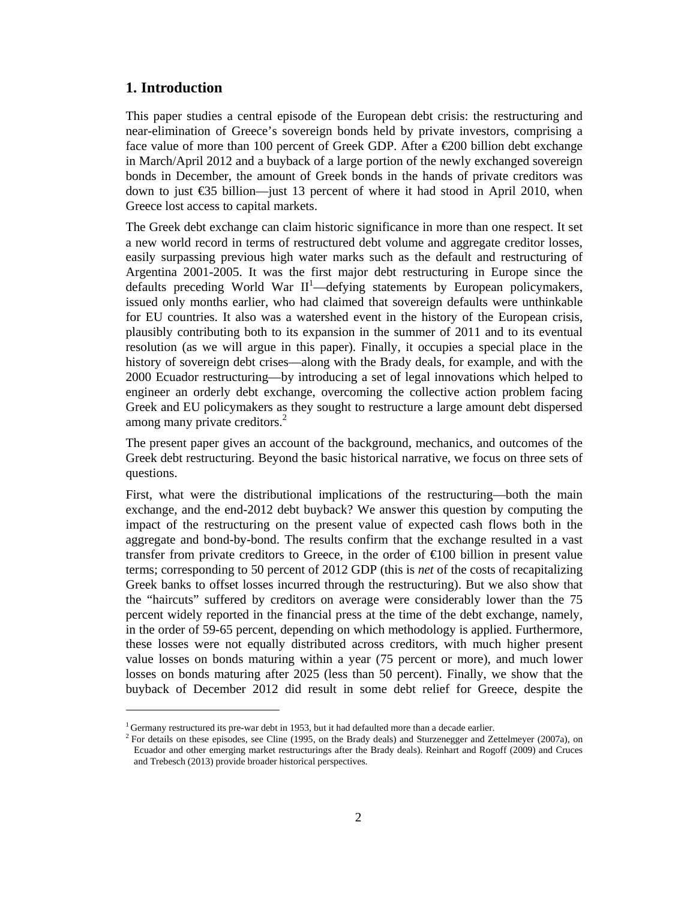# **1. Introduction**

l

This paper studies a central episode of the European debt crisis: the restructuring and near-elimination of Greece's sovereign bonds held by private investors, comprising a face value of more than 100 percent of Greek GDP. After a  $\epsilon$  200 billion debt exchange in March/April 2012 and a buyback of a large portion of the newly exchanged sovereign bonds in December, the amount of Greek bonds in the hands of private creditors was down to just €35 billion—just 13 percent of where it had stood in April 2010, when Greece lost access to capital markets.

The Greek debt exchange can claim historic significance in more than one respect. It set a new world record in terms of restructured debt volume and aggregate creditor losses, easily surpassing previous high water marks such as the default and restructuring of Argentina 2001-2005. It was the first major debt restructuring in Europe since the defaults preceding World War  $II^1$ —defying statements by European policymakers, issued only months earlier, who had claimed that sovereign defaults were unthinkable for EU countries. It also was a watershed event in the history of the European crisis, plausibly contributing both to its expansion in the summer of 2011 and to its eventual resolution (as we will argue in this paper). Finally, it occupies a special place in the history of sovereign debt crises—along with the Brady deals, for example, and with the 2000 Ecuador restructuring—by introducing a set of legal innovations which helped to engineer an orderly debt exchange, overcoming the collective action problem facing Greek and EU policymakers as they sought to restructure a large amount debt dispersed among many private creditors. $<sup>2</sup>$ </sup>

The present paper gives an account of the background, mechanics, and outcomes of the Greek debt restructuring. Beyond the basic historical narrative, we focus on three sets of questions.

First, what were the distributional implications of the restructuring—both the main exchange, and the end-2012 debt buyback? We answer this question by computing the impact of the restructuring on the present value of expected cash flows both in the aggregate and bond-by-bond. The results confirm that the exchange resulted in a vast transfer from private creditors to Greece, in the order of  $\epsilon$  = 100 billion in present value terms; corresponding to 50 percent of 2012 GDP (this is *net* of the costs of recapitalizing Greek banks to offset losses incurred through the restructuring). But we also show that the "haircuts" suffered by creditors on average were considerably lower than the 75 percent widely reported in the financial press at the time of the debt exchange, namely, in the order of 59-65 percent, depending on which methodology is applied. Furthermore, these losses were not equally distributed across creditors, with much higher present value losses on bonds maturing within a year (75 percent or more), and much lower losses on bonds maturing after 2025 (less than 50 percent). Finally, we show that the buyback of December 2012 did result in some debt relief for Greece, despite the

<sup>&</sup>lt;sup>1</sup> Germany restructured its pre-war debt in 1953, but it had defaulted more than a decade earlier.

 $2$  For details on these episodes, see Cline (1995, on the Brady deals) and Sturzenegger and Zettelmeyer (2007a), on Ecuador and other emerging market restructurings after the Brady deals). Reinhart and Rogoff (2009) and Cruces and Trebesch (2013) provide broader historical perspectives.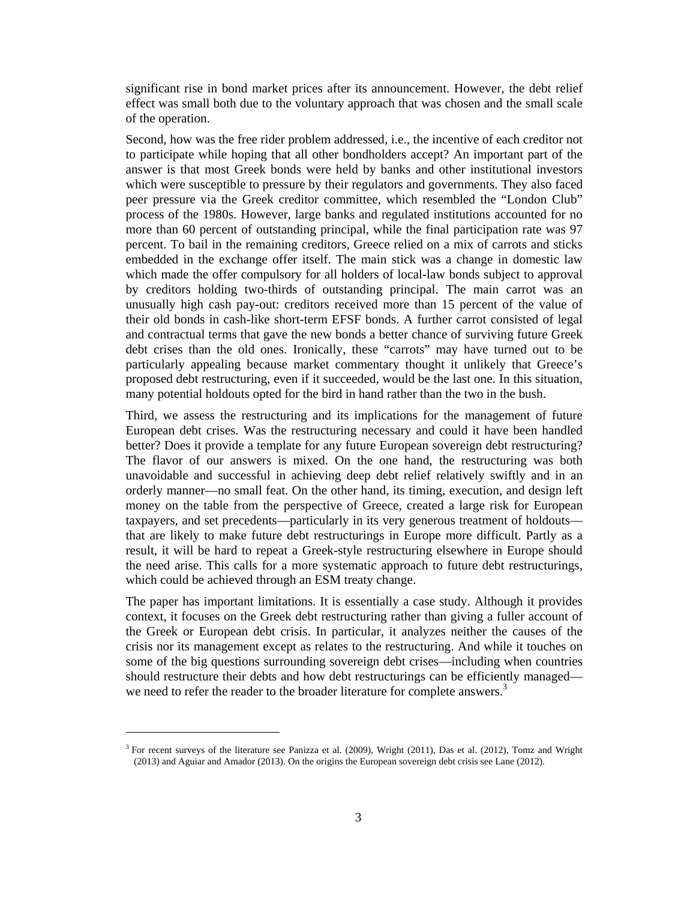significant rise in bond market prices after its announcement. However, the debt relief effect was small both due to the voluntary approach that was chosen and the small scale of the operation.

Second, how was the free rider problem addressed, i.e., the incentive of each creditor not to participate while hoping that all other bondholders accept? An important part of the answer is that most Greek bonds were held by banks and other institutional investors which were susceptible to pressure by their regulators and governments. They also faced peer pressure via the Greek creditor committee, which resembled the "London Club" process of the 1980s. However, large banks and regulated institutions accounted for no more than 60 percent of outstanding principal, while the final participation rate was 97 percent. To bail in the remaining creditors, Greece relied on a mix of carrots and sticks embedded in the exchange offer itself. The main stick was a change in domestic law which made the offer compulsory for all holders of local-law bonds subject to approval by creditors holding two-thirds of outstanding principal. The main carrot was an unusually high cash pay-out: creditors received more than 15 percent of the value of their old bonds in cash-like short-term EFSF bonds. A further carrot consisted of legal and contractual terms that gave the new bonds a better chance of surviving future Greek debt crises than the old ones. Ironically, these "carrots" may have turned out to be particularly appealing because market commentary thought it unlikely that Greece's proposed debt restructuring, even if it succeeded, would be the last one. In this situation, many potential holdouts opted for the bird in hand rather than the two in the bush.

Third, we assess the restructuring and its implications for the management of future European debt crises. Was the restructuring necessary and could it have been handled better? Does it provide a template for any future European sovereign debt restructuring? The flavor of our answers is mixed. On the one hand, the restructuring was both unavoidable and successful in achieving deep debt relief relatively swiftly and in an orderly manner—no small feat. On the other hand, its timing, execution, and design left money on the table from the perspective of Greece, created a large risk for European taxpayers, and set precedents—particularly in its very generous treatment of holdouts that are likely to make future debt restructurings in Europe more difficult. Partly as a result, it will be hard to repeat a Greek-style restructuring elsewhere in Europe should the need arise. This calls for a more systematic approach to future debt restructurings, which could be achieved through an ESM treaty change.

The paper has important limitations. It is essentially a case study. Although it provides context, it focuses on the Greek debt restructuring rather than giving a fuller account of the Greek or European debt crisis. In particular, it analyzes neither the causes of the crisis nor its management except as relates to the restructuring. And while it touches on some of the big questions surrounding sovereign debt crises—including when countries should restructure their debts and how debt restructurings can be efficiently managed we need to refer the reader to the broader literature for complete answers.<sup>3</sup>

 $\overline{a}$ 

<sup>&</sup>lt;sup>3</sup> For recent surveys of the literature see Panizza et al. (2009), Wright (2011), Das et al. (2012), Tomz and Wright (2013) and Aguiar and Amador (2013). On the origins the European sovereign debt crisis see Lane (2012).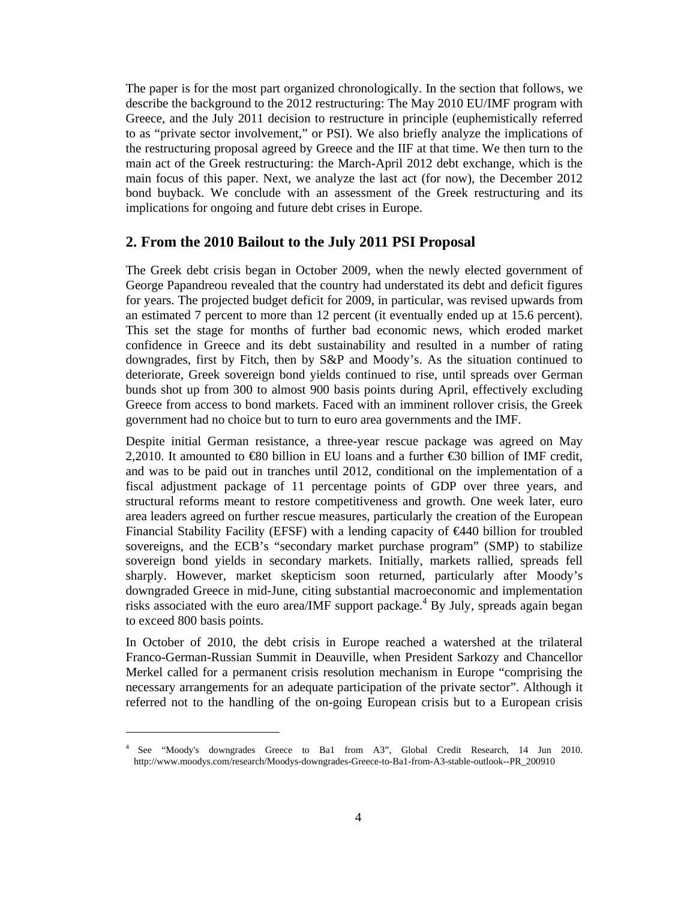The paper is for the most part organized chronologically. In the section that follows, we describe the background to the 2012 restructuring: The May 2010 EU/IMF program with Greece, and the July 2011 decision to restructure in principle (euphemistically referred to as "private sector involvement," or PSI). We also briefly analyze the implications of the restructuring proposal agreed by Greece and the IIF at that time. We then turn to the main act of the Greek restructuring: the March-April 2012 debt exchange, which is the main focus of this paper. Next, we analyze the last act (for now), the December 2012 bond buyback. We conclude with an assessment of the Greek restructuring and its implications for ongoing and future debt crises in Europe.

#### **2. From the 2010 Bailout to the July 2011 PSI Proposal**

The Greek debt crisis began in October 2009, when the newly elected government of George Papandreou revealed that the country had understated its debt and deficit figures for years. The projected budget deficit for 2009, in particular, was revised upwards from an estimated 7 percent to more than 12 percent (it eventually ended up at 15.6 percent). This set the stage for months of further bad economic news, which eroded market confidence in Greece and its debt sustainability and resulted in a number of rating downgrades, first by Fitch, then by S&P and Moody's. As the situation continued to deteriorate, Greek sovereign bond yields continued to rise, until spreads over German bunds shot up from 300 to almost 900 basis points during April, effectively excluding Greece from access to bond markets. Faced with an imminent rollover crisis, the Greek government had no choice but to turn to euro area governments and the IMF.

Despite initial German resistance, a three-year rescue package was agreed on May 2,2010. It amounted to  $\otimes$ 0 billion in EU loans and a further  $\otimes$ 0 billion of IMF credit, and was to be paid out in tranches until 2012, conditional on the implementation of a fiscal adjustment package of 11 percentage points of GDP over three years, and structural reforms meant to restore competitiveness and growth. One week later, euro area leaders agreed on further rescue measures, particularly the creation of the European Financial Stability Facility (EFSF) with a lending capacity of €440 billion for troubled sovereigns, and the ECB's "secondary market purchase program" (SMP) to stabilize sovereign bond yields in secondary markets. Initially, markets rallied, spreads fell sharply. However, market skepticism soon returned, particularly after Moody's downgraded Greece in mid-June, citing substantial macroeconomic and implementation risks associated with the euro area/IMF support package.<sup>4</sup> By July, spreads again began to exceed 800 basis points.

In October of 2010, the debt crisis in Europe reached a watershed at the trilateral Franco-German-Russian Summit in Deauville, when President Sarkozy and Chancellor Merkel called for a permanent crisis resolution mechanism in Europe "comprising the necessary arrangements for an adequate participation of the private sector". Although it referred not to the handling of the on-going European crisis but to a European crisis

 $\overline{a}$ 

<sup>4</sup> See "Moody's downgrades Greece to Ba1 from A3", Global Credit Research, 14 Jun 2010. http://www.moodys.com/research/Moodys-downgrades-Greece-to-Ba1-from-A3-stable-outlook--PR\_200910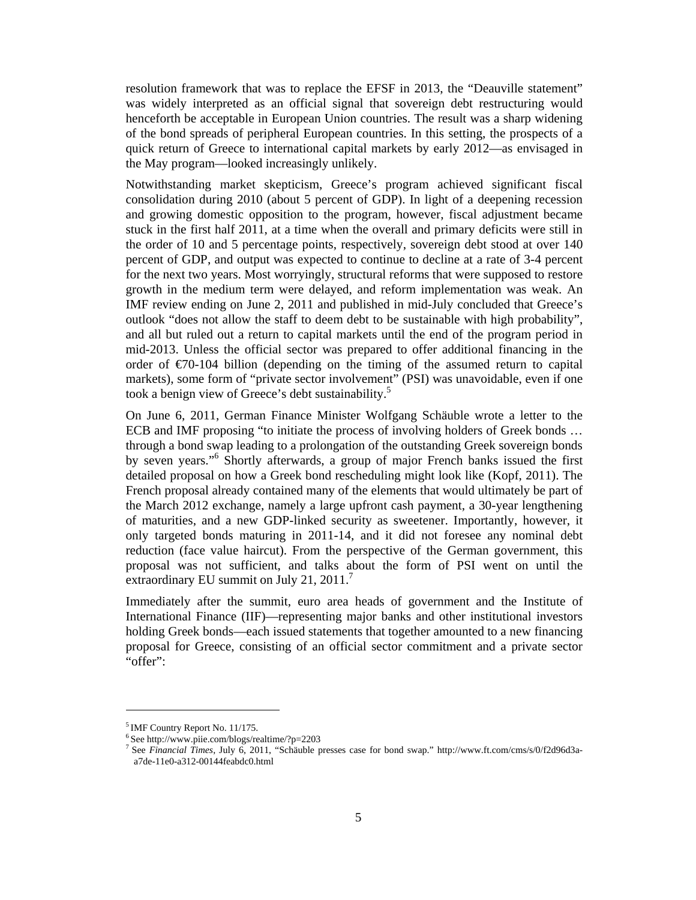resolution framework that was to replace the EFSF in 2013, the "Deauville statement" was widely interpreted as an official signal that sovereign debt restructuring would henceforth be acceptable in European Union countries. The result was a sharp widening of the bond spreads of peripheral European countries. In this setting, the prospects of a quick return of Greece to international capital markets by early 2012—as envisaged in the May program—looked increasingly unlikely.

Notwithstanding market skepticism, Greece's program achieved significant fiscal consolidation during 2010 (about 5 percent of GDP). In light of a deepening recession and growing domestic opposition to the program, however, fiscal adjustment became stuck in the first half 2011, at a time when the overall and primary deficits were still in the order of 10 and 5 percentage points, respectively, sovereign debt stood at over 140 percent of GDP, and output was expected to continue to decline at a rate of 3-4 percent for the next two years. Most worryingly, structural reforms that were supposed to restore growth in the medium term were delayed, and reform implementation was weak. An IMF review ending on June 2, 2011 and published in mid-July concluded that Greece's outlook "does not allow the staff to deem debt to be sustainable with high probability", and all but ruled out a return to capital markets until the end of the program period in mid-2013. Unless the official sector was prepared to offer additional financing in the order of  $\epsilon$ 70-104 billion (depending on the timing of the assumed return to capital markets), some form of "private sector involvement" (PSI) was unavoidable, even if one took a benign view of Greece's debt sustainability.<sup>5</sup>

On June 6, 2011, German Finance Minister Wolfgang Schäuble wrote a letter to the ECB and IMF proposing "to initiate the process of involving holders of Greek bonds … through a bond swap leading to a prolongation of the outstanding Greek sovereign bonds by seven years."<sup>6</sup> Shortly afterwards, a group of major French banks issued the first detailed proposal on how a Greek bond rescheduling might look like (Kopf, 2011). The French proposal already contained many of the elements that would ultimately be part of the March 2012 exchange, namely a large upfront cash payment, a 30-year lengthening of maturities, and a new GDP-linked security as sweetener. Importantly, however, it only targeted bonds maturing in 2011-14, and it did not foresee any nominal debt reduction (face value haircut). From the perspective of the German government, this proposal was not sufficient, and talks about the form of PSI went on until the extraordinary EU summit on July 21, 2011.<sup>7</sup>

Immediately after the summit, euro area heads of government and the Institute of International Finance (IIF)—representing major banks and other institutional investors holding Greek bonds—each issued statements that together amounted to a new financing proposal for Greece, consisting of an official sector commitment and a private sector "offer":

<sup>5</sup> IMF Country Report No. 11/175.

 $6$  See http://www.piie.com/blogs/realtime/?p=2203

<sup>7</sup> See *Financial Times*, July 6, 2011, "Schäuble presses case for bond swap." http://www.ft.com/cms/s/0/f2d96d3aa7de-11e0-a312-00144feabdc0.html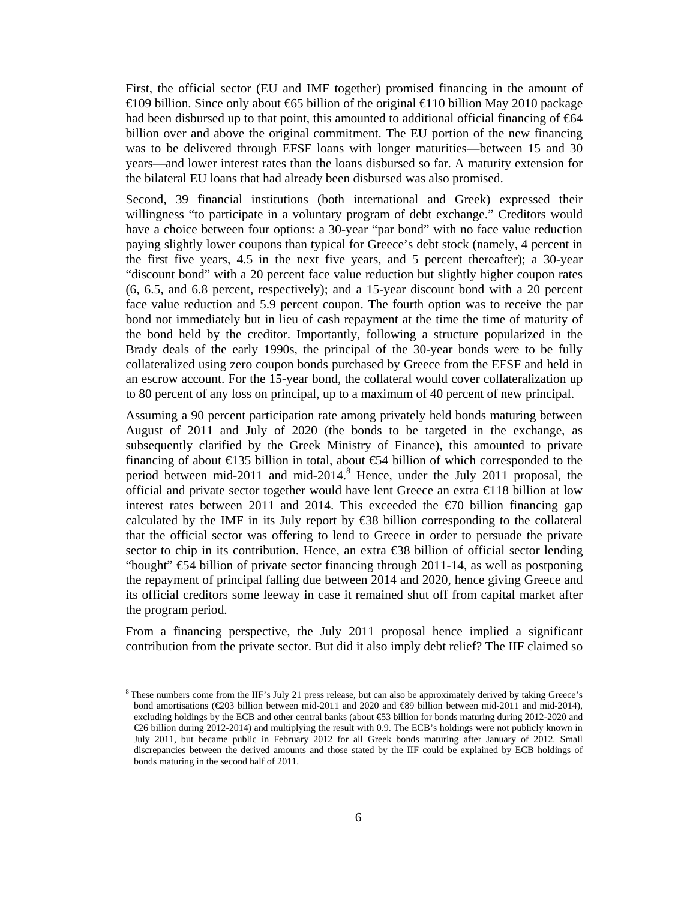First, the official sector (EU and IMF together) promised financing in the amount of €109 billion. Since only about €65 billion of the original €110 billion May 2010 package had been disbursed up to that point, this amounted to additional official financing of  $\epsilon$ 64 billion over and above the original commitment. The EU portion of the new financing was to be delivered through EFSF loans with longer maturities—between 15 and 30 years—and lower interest rates than the loans disbursed so far. A maturity extension for the bilateral EU loans that had already been disbursed was also promised.

Second, 39 financial institutions (both international and Greek) expressed their willingness "to participate in a voluntary program of debt exchange." Creditors would have a choice between four options: a 30-year "par bond" with no face value reduction paying slightly lower coupons than typical for Greece's debt stock (namely, 4 percent in the first five years, 4.5 in the next five years, and 5 percent thereafter); a 30-year "discount bond" with a 20 percent face value reduction but slightly higher coupon rates (6, 6.5, and 6.8 percent, respectively); and a 15-year discount bond with a 20 percent face value reduction and 5.9 percent coupon. The fourth option was to receive the par bond not immediately but in lieu of cash repayment at the time the time of maturity of the bond held by the creditor. Importantly, following a structure popularized in the Brady deals of the early 1990s, the principal of the 30-year bonds were to be fully collateralized using zero coupon bonds purchased by Greece from the EFSF and held in an escrow account. For the 15-year bond, the collateral would cover collateralization up to 80 percent of any loss on principal, up to a maximum of 40 percent of new principal.

Assuming a 90 percent participation rate among privately held bonds maturing between August of 2011 and July of 2020 (the bonds to be targeted in the exchange, as subsequently clarified by the Greek Ministry of Finance), this amounted to private financing of about  $\bigoplus$  35 billion in total, about  $\bigoplus$  4 billion of which corresponded to the period between mid-2011 and mid-2014.<sup>8</sup> Hence, under the July 2011 proposal, the official and private sector together would have lent Greece an extra  $\bigoplus$  18 billion at low interest rates between 2011 and 2014. This exceeded the  $\epsilon$ 70 billion financing gap calculated by the IMF in its July report by €38 billion corresponding to the collateral that the official sector was offering to lend to Greece in order to persuade the private sector to chip in its contribution. Hence, an extra  $\infty$ 8 billion of official sector lending "bought" €54 billion of private sector financing through 2011-14, as well as postponing the repayment of principal falling due between 2014 and 2020, hence giving Greece and its official creditors some leeway in case it remained shut off from capital market after the program period.

From a financing perspective, the July 2011 proposal hence implied a significant contribution from the private sector. But did it also imply debt relief? The IIF claimed so

<sup>&</sup>lt;sup>8</sup> These numbers come from the IIF's July 21 press release, but can also be approximately derived by taking Greece's bond amortisations (€203 billion between mid-2011 and 2020 and €89 billion between mid-2011 and mid-2014), excluding holdings by the ECB and other central banks (about €53 billion for bonds maturing during 2012-2020 and €26 billion during 2012-2014) and multiplying the result with 0.9. The ECB's holdings were not publicly known in July 2011, but became public in February 2012 for all Greek bonds maturing after January of 2012. Small discrepancies between the derived amounts and those stated by the IIF could be explained by ECB holdings of bonds maturing in the second half of 2011.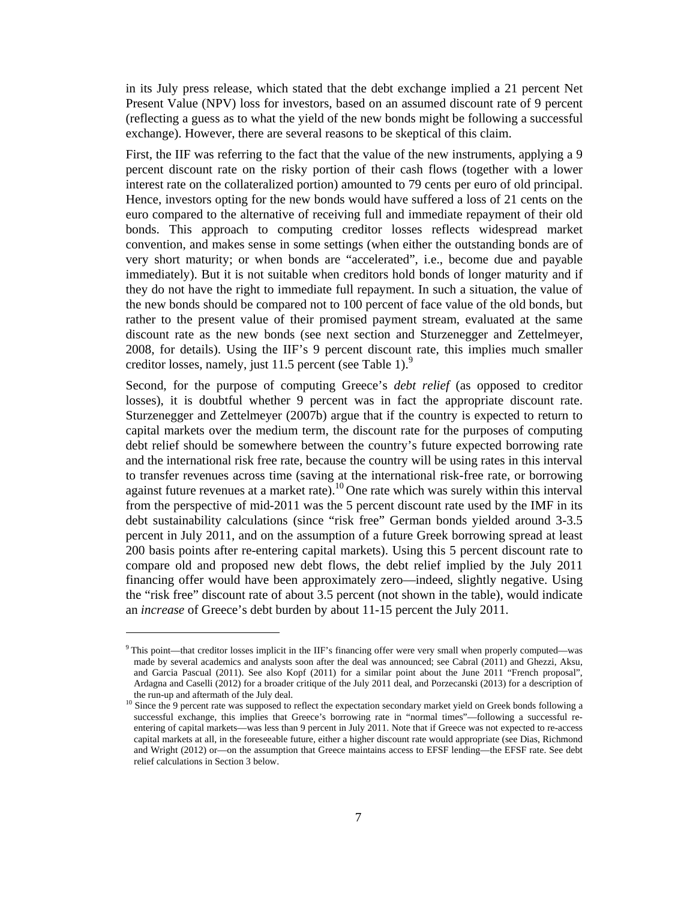in its July press release, which stated that the debt exchange implied a 21 percent Net Present Value (NPV) loss for investors, based on an assumed discount rate of 9 percent (reflecting a guess as to what the yield of the new bonds might be following a successful exchange). However, there are several reasons to be skeptical of this claim.

First, the IIF was referring to the fact that the value of the new instruments, applying a 9 percent discount rate on the risky portion of their cash flows (together with a lower interest rate on the collateralized portion) amounted to 79 cents per euro of old principal. Hence, investors opting for the new bonds would have suffered a loss of 21 cents on the euro compared to the alternative of receiving full and immediate repayment of their old bonds. This approach to computing creditor losses reflects widespread market convention, and makes sense in some settings (when either the outstanding bonds are of very short maturity; or when bonds are "accelerated", i.e., become due and payable immediately). But it is not suitable when creditors hold bonds of longer maturity and if they do not have the right to immediate full repayment. In such a situation, the value of the new bonds should be compared not to 100 percent of face value of the old bonds, but rather to the present value of their promised payment stream, evaluated at the same discount rate as the new bonds (see next section and Sturzenegger and Zettelmeyer, 2008, for details). Using the IIF's 9 percent discount rate, this implies much smaller creditor losses, namely, just 11.5 percent (see Table 1).<sup>9</sup>

Second, for the purpose of computing Greece's *debt relief* (as opposed to creditor losses), it is doubtful whether 9 percent was in fact the appropriate discount rate. Sturzenegger and Zettelmeyer (2007b) argue that if the country is expected to return to capital markets over the medium term, the discount rate for the purposes of computing debt relief should be somewhere between the country's future expected borrowing rate and the international risk free rate, because the country will be using rates in this interval to transfer revenues across time (saving at the international risk-free rate, or borrowing against future revenues at a market rate).<sup>10</sup> One rate which was surely within this interval from the perspective of mid-2011 was the 5 percent discount rate used by the IMF in its debt sustainability calculations (since "risk free" German bonds yielded around 3-3.5 percent in July 2011, and on the assumption of a future Greek borrowing spread at least 200 basis points after re-entering capital markets). Using this 5 percent discount rate to compare old and proposed new debt flows, the debt relief implied by the July 2011 financing offer would have been approximately zero—indeed, slightly negative. Using the "risk free" discount rate of about 3.5 percent (not shown in the table), would indicate an *increase* of Greece's debt burden by about 11-15 percent the July 2011.

<sup>9</sup> This point—that creditor losses implicit in the IIF's financing offer were very small when properly computed—was made by several academics and analysts soon after the deal was announced; see Cabral (2011) and Ghezzi, Aksu, and Garcia Pascual (2011). See also Kopf (2011) for a similar point about the June 2011 "French proposal", Ardagna and Caselli (2012) for a broader critique of the July 2011 deal, and Porzecanski (2013) for a description of

the run-up and aftermath of the July deal.<br><sup>10</sup> Since the 9 percent rate was supposed to reflect the expectation secondary market yield on Greek bonds following a successful exchange, this implies that Greece's borrowing rate in "normal times"—following a successful reentering of capital markets—was less than 9 percent in July 2011. Note that if Greece was not expected to re-access capital markets at all, in the foreseeable future, either a higher discount rate would appropriate (see Dias, Richmond and Wright (2012) or—on the assumption that Greece maintains access to EFSF lending—the EFSF rate. See debt relief calculations in Section 3 below.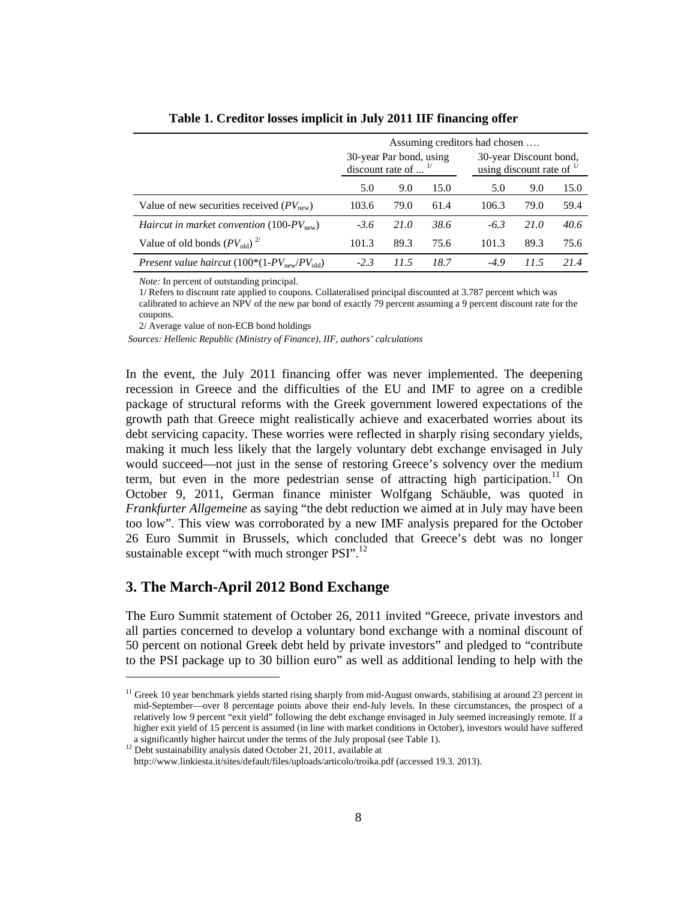|                                                                    | Assuming creditors had chosen                             |      |      |                                                    |      |      |  |  |
|--------------------------------------------------------------------|-----------------------------------------------------------|------|------|----------------------------------------------------|------|------|--|--|
|                                                                    | 30-year Par bond, using<br>discount rate of $\frac{1}{1}$ |      |      | 30-year Discount bond,<br>using discount rate of " |      |      |  |  |
|                                                                    | 5.0                                                       | 9.0  | 15.0 | 5.0                                                | 9.0  | 15.0 |  |  |
| Value of new securities received $(PV_{new})$                      | 103.6                                                     | 79.0 | 61.4 | 106.3                                              | 79.0 | 59.4 |  |  |
| <i>Haircut in market convention</i> $(100-PV_{new})$               | $-3.6$                                                    | 21.0 | 38.6 | $-6.3$                                             | 21.0 | 40.6 |  |  |
| Value of old bonds $(PV_{old})^{2/3}$                              | 101.3                                                     | 89.3 | 75.6 | 101.3                                              | 89.3 | 75.6 |  |  |
| Present value haircut (100*(1- $PV_{\text{new}}/PV_{\text{old}}$ ) | $-2.3$                                                    | 11.5 | 18.7 | $-4.9$                                             | 11.5 | 21.4 |  |  |

**Table 1. Creditor losses implicit in July 2011 IIF financing offer** 

*Note:* In percent of outstanding principal.

1/ Refers to discount rate applied to coupons. Collateralised principal discounted at 3.787 percent which was calibrated to achieve an NPV of the new par bond of exactly 79 percent assuming a 9 percent discount rate for the coupons.

2/ Average value of non-ECB bond holdings

 *Sources: Hellenic Republic (Ministry of Finance), IIF, authors' calculations* 

In the event, the July 2011 financing offer was never implemented. The deepening recession in Greece and the difficulties of the EU and IMF to agree on a credible package of structural reforms with the Greek government lowered expectations of the growth path that Greece might realistically achieve and exacerbated worries about its debt servicing capacity. These worries were reflected in sharply rising secondary yields, making it much less likely that the largely voluntary debt exchange envisaged in July would succeed—not just in the sense of restoring Greece's solvency over the medium term, but even in the more pedestrian sense of attracting high participation.<sup>11</sup> On October 9, 2011, German finance minister Wolfgang Schäuble, was quoted in *Frankfurter Allgemeine* as saying "the debt reduction we aimed at in July may have been too low". This view was corroborated by a new IMF analysis prepared for the October 26 Euro Summit in Brussels, which concluded that Greece's debt was no longer sustainable except "with much stronger PSI".<sup>12</sup>

# **3. The March-April 2012 Bond Exchange**

The Euro Summit statement of October 26, 2011 invited "Greece, private investors and all parties concerned to develop a voluntary bond exchange with a nominal discount of 50 percent on notional Greek debt held by private investors" and pledged to "contribute to the PSI package up to 30 billion euro" as well as additional lending to help with the

 $11$  Greek 10 year benchmark yields started rising sharply from mid-August onwards, stabilising at around 23 percent in mid-September—over 8 percentage points above their end-July levels. In these circumstances, the prospect of a relatively low 9 percent "exit yield" following the debt exchange envisaged in July seemed increasingly remote. If a higher exit yield of 15 percent is assumed (in line with market conditions in October), investors would have suffered a significantly higher haircut under the terms of the July proposal (see Table 1).

 $12$  Debt sustainability analysis dated October 21, 2011, available at

http://www.linkiesta.it/sites/default/files/uploads/articolo/troika.pdf (accessed 19.3. 2013).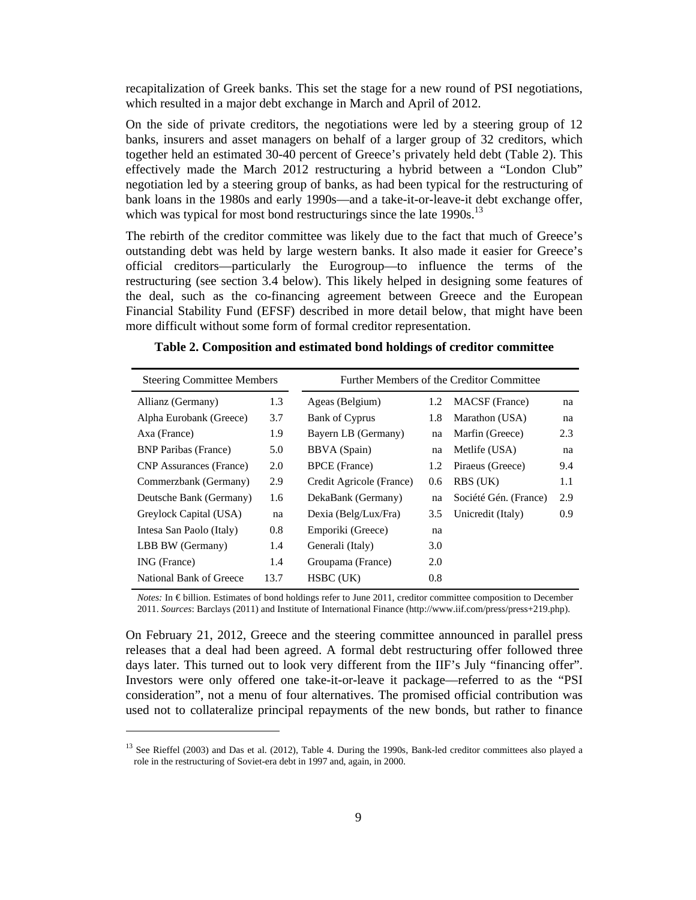recapitalization of Greek banks. This set the stage for a new round of PSI negotiations, which resulted in a major debt exchange in March and April of 2012.

On the side of private creditors, the negotiations were led by a steering group of 12 banks, insurers and asset managers on behalf of a larger group of 32 creditors, which together held an estimated 30-40 percent of Greece's privately held debt (Table 2). This effectively made the March 2012 restructuring a hybrid between a "London Club" negotiation led by a steering group of banks, as had been typical for the restructuring of bank loans in the 1980s and early 1990s—and a take-it-or-leave-it debt exchange offer, which was typical for most bond restructurings since the late  $1990s$ <sup>13</sup>

The rebirth of the creditor committee was likely due to the fact that much of Greece's outstanding debt was held by large western banks. It also made it easier for Greece's official creditors—particularly the Eurogroup—to influence the terms of the restructuring (see section 3.4 below). This likely helped in designing some features of the deal, such as the co-financing agreement between Greece and the European Financial Stability Fund (EFSF) described in more detail below, that might have been more difficult without some form of formal creditor representation.

| <b>Steering Committee Members</b> |      | Further Members of the Creditor Committee |     |                       |     |  |
|-----------------------------------|------|-------------------------------------------|-----|-----------------------|-----|--|
| Allianz (Germany)                 | 1.3  | Ageas (Belgium)                           | 1.2 | MACSF (France)        | na  |  |
| Alpha Eurobank (Greece)           | 3.7  | <b>Bank of Cyprus</b>                     | 1.8 | Marathon (USA)        | na  |  |
| Axa (France)                      | 1.9  | Bayern LB (Germany)                       | na  | Marfin (Greece)       | 2.3 |  |
| <b>BNP</b> Paribas (France)       | 5.0  | <b>BBVA</b> (Spain)                       | na  | Metlife (USA)         | na  |  |
| <b>CNP</b> Assurances (France)    | 2.0  | <b>BPCE</b> (France)                      | 1.2 | Piraeus (Greece)      | 9.4 |  |
| Commerzbank (Germany)             | 2.9  | Credit Agricole (France)                  | 0.6 | RBS (UK)              | 1.1 |  |
| Deutsche Bank (Germany)           | 1.6  | DekaBank (Germany)                        | na  | Société Gén. (France) | 2.9 |  |
| Greylock Capital (USA)            | na   | Dexia (Belg/Lux/Fra)                      | 3.5 | Unicredit (Italy)     | 0.9 |  |
| Intesa San Paolo (Italy)          | 0.8  | Emporiki (Greece)                         | na  |                       |     |  |
| LBB BW (Germany)                  | 1.4  | Generali (Italy)                          | 3.0 |                       |     |  |
| ING (France)                      | 1.4  | Groupama (France)                         | 2.0 |                       |     |  |
| National Bank of Greece           | 13.7 | HSBC (UK)                                 | 0.8 |                       |     |  |

**Table 2. Composition and estimated bond holdings of creditor committee** 

*Notes:* In €billion. Estimates of bond holdings refer to June 2011, creditor committee composition to December 2011. *Sources*: Barclays (2011) and Institute of International Finance (http://www.iif.com/press/press+219.php).

On February 21, 2012, Greece and the steering committee announced in parallel press releases that a deal had been agreed. A formal debt restructuring offer followed three days later. This turned out to look very different from the IIF's July "financing offer". Investors were only offered one take-it-or-leave it package—referred to as the "PSI consideration", not a menu of four alternatives. The promised official contribution was used not to collateralize principal repayments of the new bonds, but rather to finance

 $13$  See Rieffel (2003) and Das et al. (2012), Table 4. During the 1990s, Bank-led creditor committees also played a role in the restructuring of Soviet-era debt in 1997 and, again, in 2000.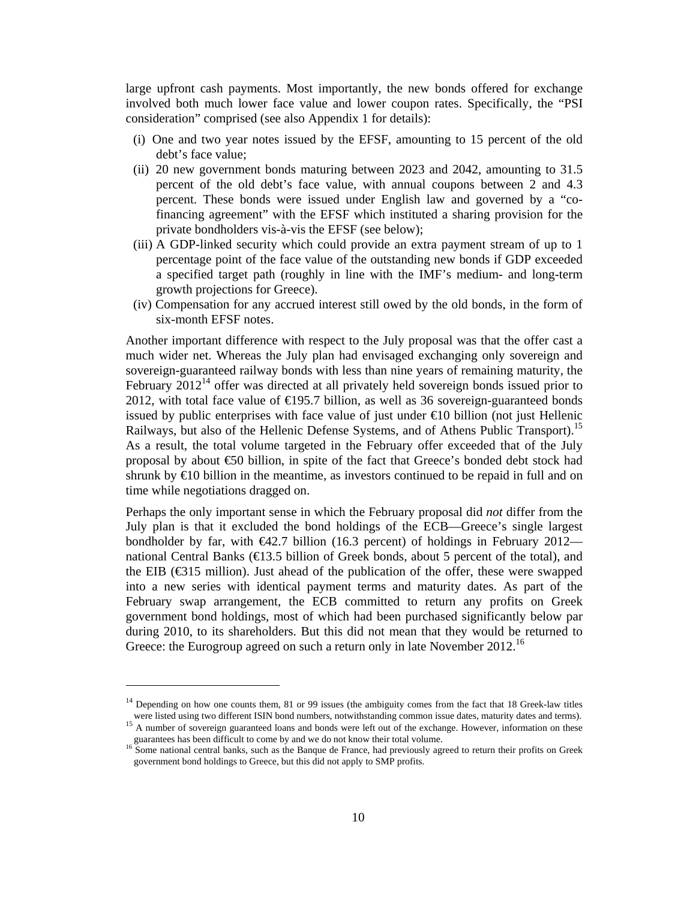large upfront cash payments. Most importantly, the new bonds offered for exchange involved both much lower face value and lower coupon rates. Specifically, the "PSI consideration" comprised (see also Appendix 1 for details):

- (i) One and two year notes issued by the EFSF, amounting to 15 percent of the old debt's face value;
- (ii) 20 new government bonds maturing between 2023 and 2042, amounting to 31.5 percent of the old debt's face value, with annual coupons between 2 and 4.3 percent. These bonds were issued under English law and governed by a "cofinancing agreement" with the EFSF which instituted a sharing provision for the private bondholders vis-à-vis the EFSF (see below);
- (iii) A GDP-linked security which could provide an extra payment stream of up to 1 percentage point of the face value of the outstanding new bonds if GDP exceeded a specified target path (roughly in line with the IMF's medium- and long-term growth projections for Greece).
- (iv) Compensation for any accrued interest still owed by the old bonds, in the form of six-month EFSF notes.

Another important difference with respect to the July proposal was that the offer cast a much wider net. Whereas the July plan had envisaged exchanging only sovereign and sovereign-guaranteed railway bonds with less than nine years of remaining maturity, the February  $2012<sup>14</sup>$  offer was directed at all privately held sovereign bonds issued prior to 2012, with total face value of  $\epsilon$ 195.7 billion, as well as 36 sovereign-guaranteed bonds issued by public enterprises with face value of just under €10 billion (not just Hellenic Railways, but also of the Hellenic Defense Systems, and of Athens Public Transport).<sup>15</sup> As a result, the total volume targeted in the February offer exceeded that of the July proposal by about  $\epsilon$ 50 billion, in spite of the fact that Greece's bonded debt stock had shrunk by  $\bigoplus$  0 billion in the meantime, as investors continued to be repaid in full and on time while negotiations dragged on.

Perhaps the only important sense in which the February proposal did *not* differ from the July plan is that it excluded the bond holdings of the ECB—Greece's single largest bondholder by far, with  $\epsilon 42.7$  billion (16.3 percent) of holdings in February 2012 national Central Banks (€13.5 billion of Greek bonds, about 5 percent of the total), and the EIB  $(\text{\textless} 315 \text{ million})$ . Just ahead of the publication of the offer, these were swapped into a new series with identical payment terms and maturity dates. As part of the February swap arrangement, the ECB committed to return any profits on Greek government bond holdings, most of which had been purchased significantly below par during 2010, to its shareholders. But this did not mean that they would be returned to Greece: the Eurogroup agreed on such a return only in late November 2012.<sup>16</sup>

<sup>&</sup>lt;sup>14</sup> Depending on how one counts them, 81 or 99 issues (the ambiguity comes from the fact that 18 Greek-law titles were listed using two different ISIN bond numbers, notwithstanding common issue dates, maturity dates and terms).<br><sup>15</sup> A number of sovereign guaranteed loans and bonds were left out of the exchange. However, information on

guarantees has been difficult to come by and we do not know their total volume.<br><sup>16</sup> Some national central banks, such as the Banque de France, had previously agreed to return their profits on Greek

government bond holdings to Greece, but this did not apply to SMP profits.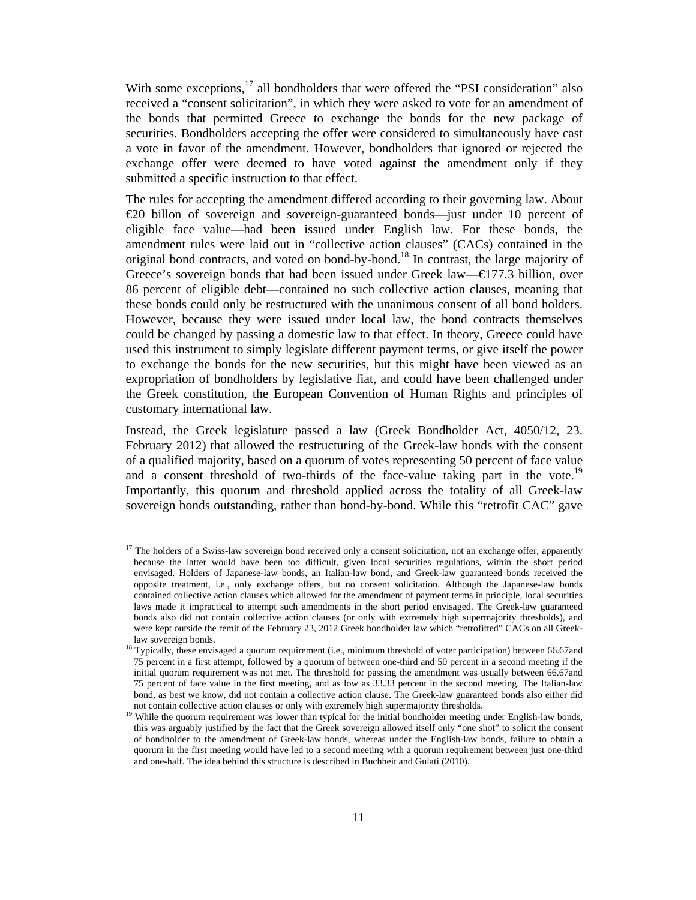With some exceptions, $17$  all bondholders that were offered the "PSI consideration" also received a "consent solicitation", in which they were asked to vote for an amendment of the bonds that permitted Greece to exchange the bonds for the new package of securities. Bondholders accepting the offer were considered to simultaneously have cast a vote in favor of the amendment. However, bondholders that ignored or rejected the exchange offer were deemed to have voted against the amendment only if they submitted a specific instruction to that effect.

The rules for accepting the amendment differed according to their governing law. About €20 billon of sovereign and sovereign-guaranteed bonds—just under 10 percent of eligible face value—had been issued under English law. For these bonds, the amendment rules were laid out in "collective action clauses" (CACs) contained in the original bond contracts, and voted on bond-by-bond.18 In contrast, the large majority of Greece's sovereign bonds that had been issued under Greek law—€177.3 billion, over 86 percent of eligible debt—contained no such collective action clauses, meaning that these bonds could only be restructured with the unanimous consent of all bond holders. However, because they were issued under local law, the bond contracts themselves could be changed by passing a domestic law to that effect. In theory, Greece could have used this instrument to simply legislate different payment terms, or give itself the power to exchange the bonds for the new securities, but this might have been viewed as an expropriation of bondholders by legislative fiat, and could have been challenged under the Greek constitution, the European Convention of Human Rights and principles of customary international law.

Instead, the Greek legislature passed a law (Greek Bondholder Act, 4050/12, 23. February 2012) that allowed the restructuring of the Greek-law bonds with the consent of a qualified majority, based on a quorum of votes representing 50 percent of face value and a consent threshold of two-thirds of the face-value taking part in the vote.<sup>19</sup> Importantly, this quorum and threshold applied across the totality of all Greek-law sovereign bonds outstanding, rather than bond-by-bond. While this "retrofit CAC" gave

 $\overline{a}$ 

<sup>&</sup>lt;sup>17</sup> The holders of a Swiss-law sovereign bond received only a consent solicitation, not an exchange offer, apparently because the latter would have been too difficult, given local securities regulations, within the short period envisaged. Holders of Japanese-law bonds, an Italian-law bond, and Greek-law guaranteed bonds received the opposite treatment, i.e., only exchange offers, but no consent solicitation. Although the Japanese-law bonds contained collective action clauses which allowed for the amendment of payment terms in principle, local securities laws made it impractical to attempt such amendments in the short period envisaged. The Greek-law guaranteed bonds also did not contain collective action clauses (or only with extremely high supermajority thresholds), and were kept outside the remit of the February 23, 2012 Greek bondholder law which "retrofitted" CACs on all Greek-

law sovereign bonds.<br><sup>18</sup> Typically, these envisaged a quorum requirement (i.e., minimum threshold of voter participation) between 66.67and 75 percent in a first attempt, followed by a quorum of between one-third and 50 percent in a second meeting if the initial quorum requirement was not met. The threshold for passing the amendment was usually between 66.67and 75 percent of face value in the first meeting, and as low as 33.33 percent in the second meeting. The Italian-law bond, as best we know, did not contain a collective action clause. The Greek-law guaranteed bonds also either did

<sup>&</sup>lt;sup>19</sup> While the quorum requirement was lower than typical for the initial bondholder meeting under English-law bonds, this was arguably justified by the fact that the Greek sovereign allowed itself only "one shot" to solicit the consent of bondholder to the amendment of Greek-law bonds, whereas under the English-law bonds, failure to obtain a quorum in the first meeting would have led to a second meeting with a quorum requirement between just one-third and one-half. The idea behind this structure is described in Buchheit and Gulati (2010).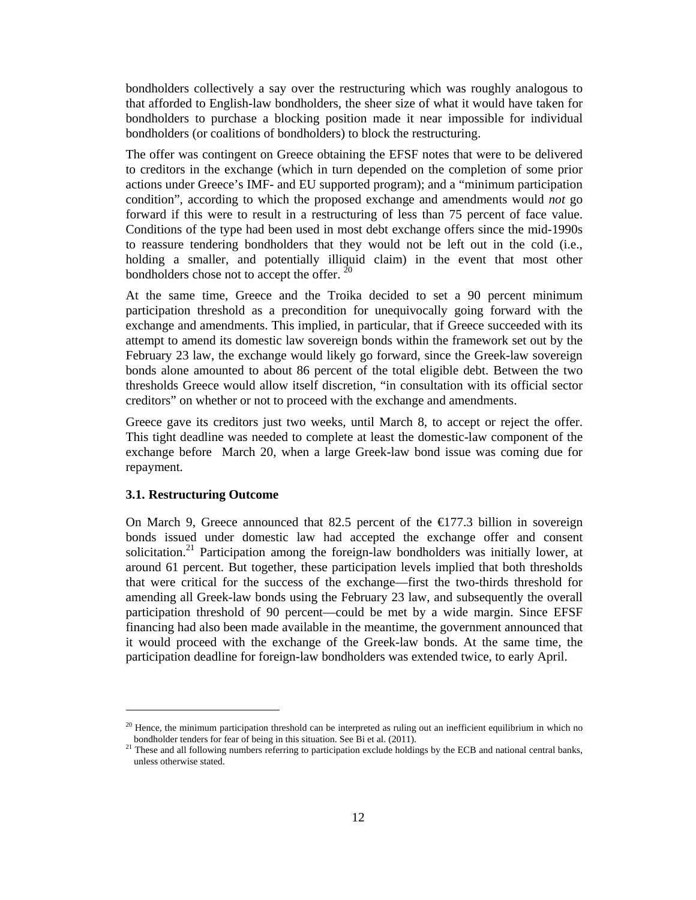bondholders collectively a say over the restructuring which was roughly analogous to that afforded to English-law bondholders, the sheer size of what it would have taken for bondholders to purchase a blocking position made it near impossible for individual bondholders (or coalitions of bondholders) to block the restructuring.

The offer was contingent on Greece obtaining the EFSF notes that were to be delivered to creditors in the exchange (which in turn depended on the completion of some prior actions under Greece's IMF- and EU supported program); and a "minimum participation condition", according to which the proposed exchange and amendments would *not* go forward if this were to result in a restructuring of less than 75 percent of face value. Conditions of the type had been used in most debt exchange offers since the mid-1990s to reassure tendering bondholders that they would not be left out in the cold (i.e., holding a smaller, and potentially illiquid claim) in the event that most other bondholders chose not to accept the offer. <sup>20</sup>

At the same time, Greece and the Troika decided to set a 90 percent minimum participation threshold as a precondition for unequivocally going forward with the exchange and amendments. This implied, in particular, that if Greece succeeded with its attempt to amend its domestic law sovereign bonds within the framework set out by the February 23 law, the exchange would likely go forward, since the Greek-law sovereign bonds alone amounted to about 86 percent of the total eligible debt. Between the two thresholds Greece would allow itself discretion, "in consultation with its official sector creditors" on whether or not to proceed with the exchange and amendments.

Greece gave its creditors just two weeks, until March 8, to accept or reject the offer. This tight deadline was needed to complete at least the domestic-law component of the exchange before March 20, when a large Greek-law bond issue was coming due for repayment.

#### **3.1. Restructuring Outcome**

l

On March 9, Greece announced that 82.5 percent of the  $\bigoplus$  77.3 billion in sovereign bonds issued under domestic law had accepted the exchange offer and consent solicitation.<sup>21</sup> Participation among the foreign-law bondholders was initially lower, at around 61 percent. But together, these participation levels implied that both thresholds that were critical for the success of the exchange—first the two-thirds threshold for amending all Greek-law bonds using the February 23 law, and subsequently the overall participation threshold of 90 percent—could be met by a wide margin. Since EFSF financing had also been made available in the meantime, the government announced that it would proceed with the exchange of the Greek-law bonds. At the same time, the participation deadline for foreign-law bondholders was extended twice, to early April. .

<sup>&</sup>lt;sup>20</sup> Hence, the minimum participation threshold can be interpreted as ruling out an inefficient equilibrium in which no bondholder tenders for fear of being in this situation. See Bi et al.  $(2011)$ .

<sup>&</sup>lt;sup>21</sup> These and all following numbers referring to participation exclude holdings by the ECB and national central banks, unless otherwise stated.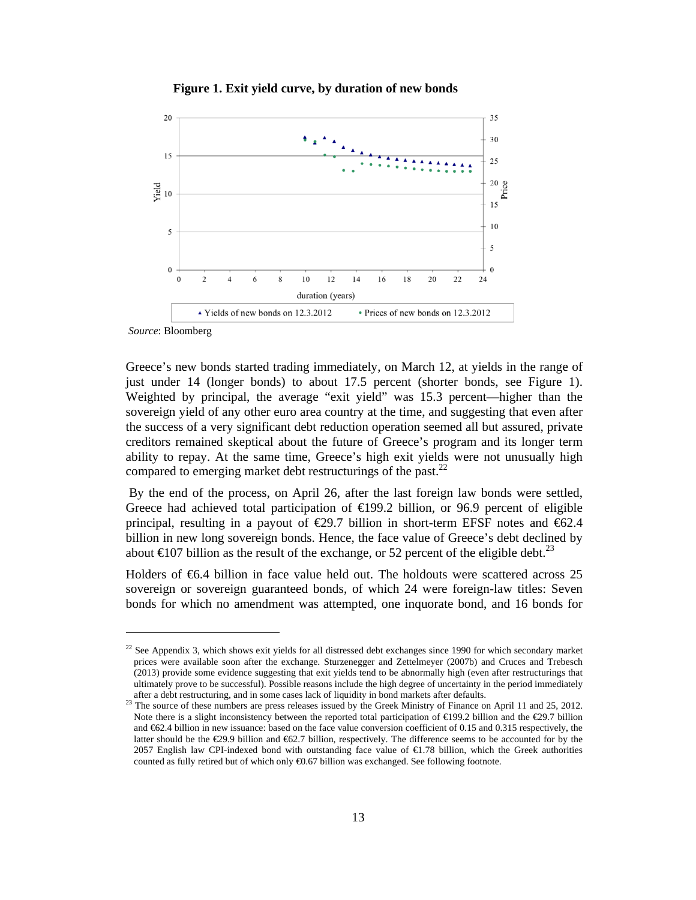

**Figure 1. Exit yield curve, by duration of new bonds** 

 *Source*: Bloomberg

l

Greece's new bonds started trading immediately, on March 12, at yields in the range of just under 14 (longer bonds) to about 17.5 percent (shorter bonds, see Figure 1). Weighted by principal, the average "exit yield" was 15.3 percent—higher than the sovereign yield of any other euro area country at the time, and suggesting that even after the success of a very significant debt reduction operation seemed all but assured, private creditors remained skeptical about the future of Greece's program and its longer term ability to repay. At the same time, Greece's high exit yields were not unusually high compared to emerging market debt restructurings of the past. $^{22}$ 

 By the end of the process, on April 26, after the last foreign law bonds were settled, Greece had achieved total participation of  $\in$  99.2 billion, or 96.9 percent of eligible principal, resulting in a payout of  $\epsilon$ 29.7 billion in short-term EFSF notes and  $\epsilon$ 62.4 billion in new long sovereign bonds. Hence, the face value of Greece's debt declined by about  $\text{E}107$  billion as the result of the exchange, or 52 percent of the eligible debt.<sup>23</sup>

Holders of  $66.4$  billion in face value held out. The holdouts were scattered across 25 sovereign or sovereign guaranteed bonds, of which 24 were foreign-law titles: Seven bonds for which no amendment was attempted, one inquorate bond, and 16 bonds for

 $22$  See Appendix 3, which shows exit yields for all distressed debt exchanges since 1990 for which secondary market prices were available soon after the exchange. Sturzenegger and Zettelmeyer (2007b) and Cruces and Trebesch (2013) provide some evidence suggesting that exit yields tend to be abnormally high (even after restructurings that ultimately prove to be successful). Possible reasons include the high degree of uncertainty in the period immediately

after a debt restructuring, and in some cases lack of liquidity in bond markets after defaults. <sup>23</sup> The source of these numbers are press releases issued by the Greek Ministry of Finance on April 11 and 25, 2012. Note there is a slight inconsistency between the reported total participation of  $\epsilon$ 99.2 billion and the  $\epsilon$ 9.7 billion and €62.4 billion in new issuance: based on the face value conversion coefficient of 0.15 and 0.315 respectively, the latter should be the  $\epsilon$ 29.9 billion and  $\epsilon$ 62.7 billion, respectively. The difference seems to be accounted for by the 2057 English law CPI-indexed bond with outstanding face value of €1.78 billion, which the Greek authorities counted as fully retired but of which only €0.67 billion was exchanged. See following footnote.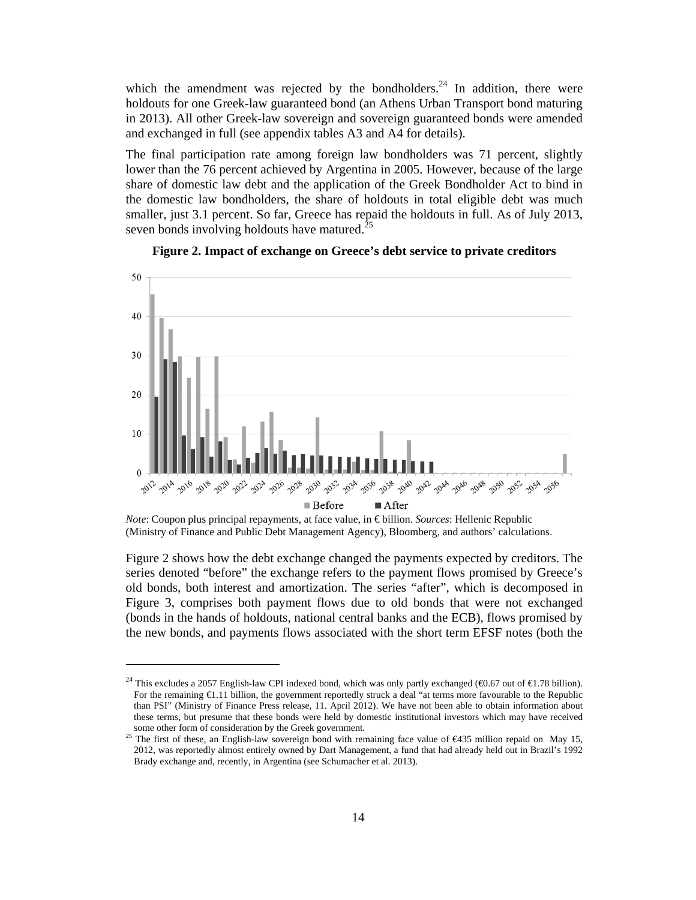which the amendment was rejected by the bondholders.<sup>24</sup> In addition, there were holdouts for one Greek-law guaranteed bond (an Athens Urban Transport bond maturing in 2013). All other Greek-law sovereign and sovereign guaranteed bonds were amended and exchanged in full (see appendix tables A3 and A4 for details).

The final participation rate among foreign law bondholders was 71 percent, slightly lower than the 76 percent achieved by Argentina in 2005. However, because of the large share of domestic law debt and the application of the Greek Bondholder Act to bind in the domestic law bondholders, the share of holdouts in total eligible debt was much smaller, just 3.1 percent. So far, Greece has repaid the holdouts in full. As of July 2013, seven bonds involving holdouts have matured.<sup>2</sup>





*Note*: Coupon plus principal repayments, at face value, in €billion. *Sources*: Hellenic Republic (Ministry of Finance and Public Debt Management Agency), Bloomberg, and authors' calculations.

Figure 2 shows how the debt exchange changed the payments expected by creditors. The series denoted "before" the exchange refers to the payment flows promised by Greece's old bonds, both interest and amortization. The series "after", which is decomposed in Figure 3, comprises both payment flows due to old bonds that were not exchanged (bonds in the hands of holdouts, national central banks and the ECB), flows promised by the new bonds, and payments flows associated with the short term EFSF notes (both the

<sup>&</sup>lt;sup>24</sup> This excludes a 2057 English-law CPI indexed bond, which was only partly exchanged ( $\text{ } \text{\textcircled{40.67}}$  out of  $\text{ } \text{\textcircled{1.78}}$  billion). For the remaining €1.11 billion, the government reportedly struck a deal "at terms more favourable to the Republic than PSI" (Ministry of Finance Press release, 11. April 2012). We have not been able to obtain information about these terms, but presume that these bonds were held by domestic institutional investors which may have received

some other form of consideration by the Greek government.<br><sup>25</sup> The first of these, an English-law sovereign bond with remaining face value of  $\epsilon$ 435 million repaid on May 15, 2012, was reportedly almost entirely owned by Dart Management, a fund that had already held out in Brazil's 1992 Brady exchange and, recently, in Argentina (see Schumacher et al. 2013).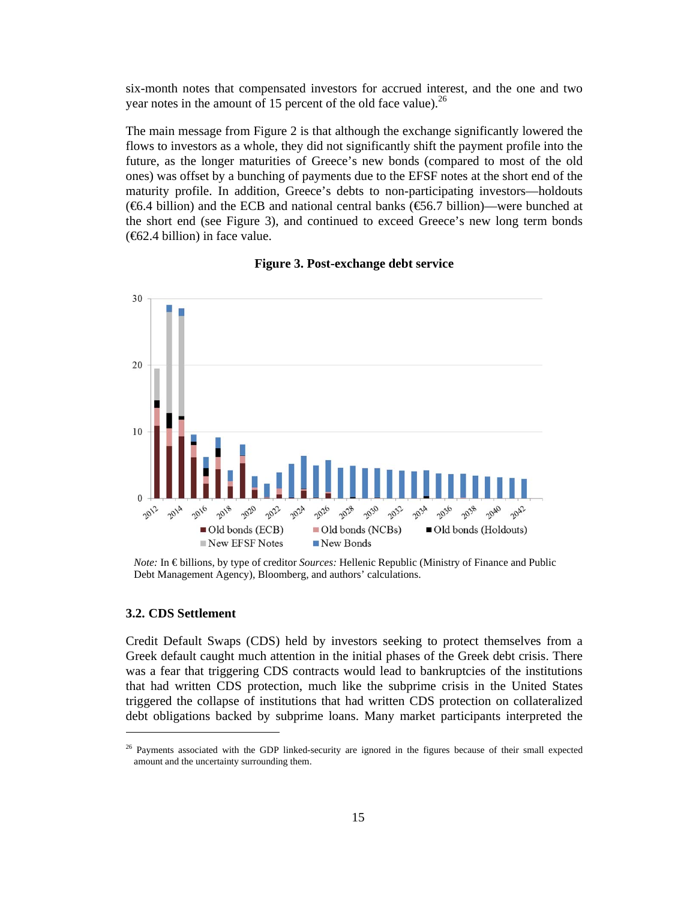six-month notes that compensated investors for accrued interest, and the one and two year notes in the amount of 15 percent of the old face value).<sup>26</sup>

The main message from Figure 2 is that although the exchange significantly lowered the flows to investors as a whole, they did not significantly shift the payment profile into the future, as the longer maturities of Greece's new bonds (compared to most of the old ones) was offset by a bunching of payments due to the EFSF notes at the short end of the maturity profile. In addition, Greece's debts to non-participating investors—holdouts ( $6.4$  billion) and the ECB and national central banks ( $6.6$ .7 billion)—were bunched at the short end (see Figure 3), and continued to exceed Greece's new long term bonds  $(662.4$  billion) in face value.



#### **Figure 3. Post-exchange debt service**

*Note:* In €billions, by type of creditor *Sources:* Hellenic Republic (Ministry of Finance and Public Debt Management Agency), Bloomberg, and authors' calculations.

#### **3.2. CDS Settlement**

 $\overline{a}$ 

Credit Default Swaps (CDS) held by investors seeking to protect themselves from a Greek default caught much attention in the initial phases of the Greek debt crisis. There was a fear that triggering CDS contracts would lead to bankruptcies of the institutions that had written CDS protection, much like the subprime crisis in the United States triggered the collapse of institutions that had written CDS protection on collateralized debt obligations backed by subprime loans. Many market participants interpreted the

<sup>&</sup>lt;sup>26</sup> Payments associated with the GDP linked-security are ignored in the figures because of their small expected amount and the uncertainty surrounding them.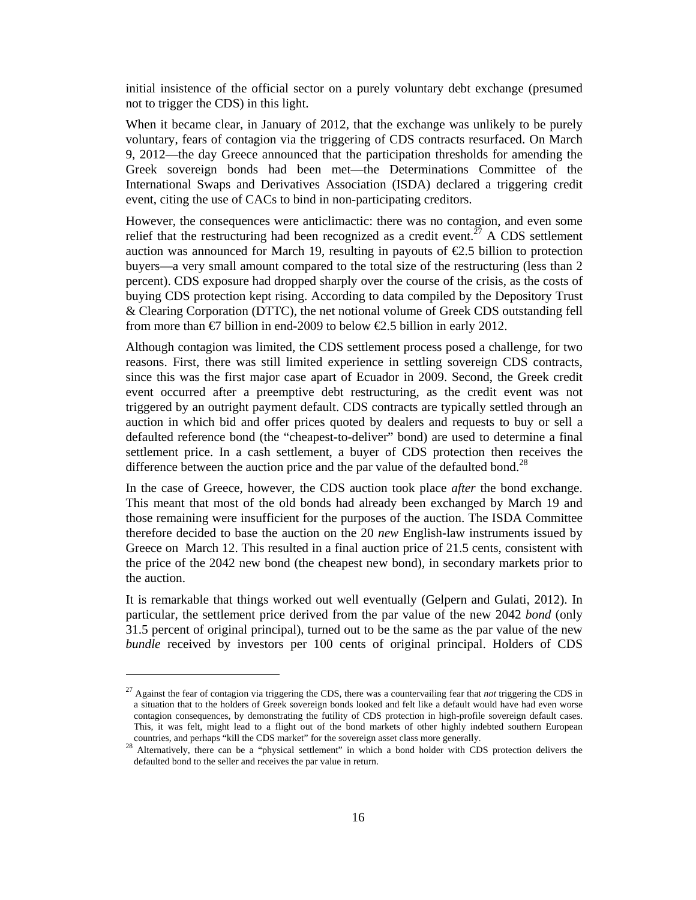initial insistence of the official sector on a purely voluntary debt exchange (presumed not to trigger the CDS) in this light.

When it became clear, in January of 2012, that the exchange was unlikely to be purely voluntary, fears of contagion via the triggering of CDS contracts resurfaced. On March 9, 2012—the day Greece announced that the participation thresholds for amending the Greek sovereign bonds had been met—the Determinations Committee of the International Swaps and Derivatives Association (ISDA) declared a triggering credit event, citing the use of CACs to bind in non-participating creditors.

However, the consequences were anticlimactic: there was no contagion, and even some relief that the restructuring had been recognized as a credit event.<sup>27</sup> A CDS settlement auction was announced for March 19, resulting in payouts of  $\epsilon$ 2.5 billion to protection buyers—a very small amount compared to the total size of the restructuring (less than 2 percent). CDS exposure had dropped sharply over the course of the crisis, as the costs of buying CDS protection kept rising. According to data compiled by the Depository Trust & Clearing Corporation (DTTC), the net notional volume of Greek CDS outstanding fell from more than  $\epsilon$  billion in end-2009 to below  $\epsilon$ 2.5 billion in early 2012.

Although contagion was limited, the CDS settlement process posed a challenge, for two reasons. First, there was still limited experience in settling sovereign CDS contracts, since this was the first major case apart of Ecuador in 2009. Second, the Greek credit event occurred after a preemptive debt restructuring, as the credit event was not triggered by an outright payment default. CDS contracts are typically settled through an auction in which bid and offer prices quoted by dealers and requests to buy or sell a defaulted reference bond (the "cheapest-to-deliver" bond) are used to determine a final settlement price. In a cash settlement, a buyer of CDS protection then receives the difference between the auction price and the par value of the defaulted bond.<sup>28</sup>

In the case of Greece, however, the CDS auction took place *after* the bond exchange. This meant that most of the old bonds had already been exchanged by March 19 and those remaining were insufficient for the purposes of the auction. The ISDA Committee therefore decided to base the auction on the 20 *new* English-law instruments issued by Greece on March 12. This resulted in a final auction price of 21.5 cents, consistent with the price of the 2042 new bond (the cheapest new bond), in secondary markets prior to the auction.

It is remarkable that things worked out well eventually (Gelpern and Gulati, 2012). In particular, the settlement price derived from the par value of the new 2042 *bond* (only 31.5 percent of original principal), turned out to be the same as the par value of the new *bundle* received by investors per 100 cents of original principal. Holders of CDS

<sup>27</sup> Against the fear of contagion via triggering the CDS, there was a countervailing fear that *not* triggering the CDS in a situation that to the holders of Greek sovereign bonds looked and felt like a default would have had even worse contagion consequences, by demonstrating the futility of CDS protection in high-profile sovereign default cases. This, it was felt, might lead to a flight out of the bond markets of other highly indebted southern European countries, and perhaps "kill the CDS market" for the sovereign asset class more generally.<br><sup>28</sup> Alternatively, there can be a "physical settlement" in which a bond holder with CDS protection delivers the

defaulted bond to the seller and receives the par value in return.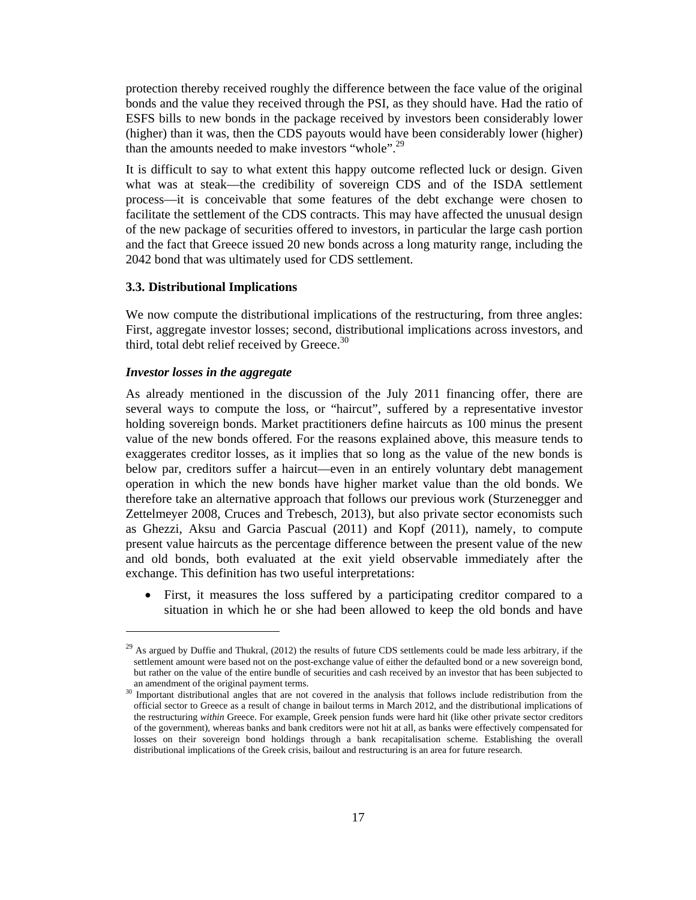protection thereby received roughly the difference between the face value of the original bonds and the value they received through the PSI, as they should have. Had the ratio of ESFS bills to new bonds in the package received by investors been considerably lower (higher) than it was, then the CDS payouts would have been considerably lower (higher) than the amounts needed to make investors "whole".<sup>29</sup>

It is difficult to say to what extent this happy outcome reflected luck or design. Given what was at steak—the credibility of sovereign CDS and of the ISDA settlement process—it is conceivable that some features of the debt exchange were chosen to facilitate the settlement of the CDS contracts. This may have affected the unusual design of the new package of securities offered to investors, in particular the large cash portion and the fact that Greece issued 20 new bonds across a long maturity range, including the 2042 bond that was ultimately used for CDS settlement.

#### **3.3. Distributional Implications**

We now compute the distributional implications of the restructuring, from three angles: First, aggregate investor losses; second, distributional implications across investors, and third, total debt relief received by Greece.<sup>30</sup>

#### *Investor losses in the aggregate*

l

As already mentioned in the discussion of the July 2011 financing offer, there are several ways to compute the loss, or "haircut", suffered by a representative investor holding sovereign bonds. Market practitioners define haircuts as 100 minus the present value of the new bonds offered. For the reasons explained above, this measure tends to exaggerates creditor losses, as it implies that so long as the value of the new bonds is below par, creditors suffer a haircut—even in an entirely voluntary debt management operation in which the new bonds have higher market value than the old bonds. We therefore take an alternative approach that follows our previous work (Sturzenegger and Zettelmeyer 2008, Cruces and Trebesch, 2013), but also private sector economists such as Ghezzi, Aksu and Garcia Pascual (2011) and Kopf (2011), namely, to compute present value haircuts as the percentage difference between the present value of the new and old bonds, both evaluated at the exit yield observable immediately after the exchange. This definition has two useful interpretations:

 First, it measures the loss suffered by a participating creditor compared to a situation in which he or she had been allowed to keep the old bonds and have

 $29$  As argued by Duffie and Thukral, (2012) the results of future CDS settlements could be made less arbitrary, if the settlement amount were based not on the post-exchange value of either the defaulted bond or a new sovereign bond, but rather on the value of the entire bundle of securities and cash received by an investor that has been subjected to

an amendment of the original payment terms.<br><sup>30</sup> Important distributional angles that are not covered in the analysis that follows include redistribution from the official sector to Greece as a result of change in bailout terms in March 2012, and the distributional implications of the restructuring *within* Greece. For example, Greek pension funds were hard hit (like other private sector creditors of the government), whereas banks and bank creditors were not hit at all, as banks were effectively compensated for losses on their sovereign bond holdings through a bank recapitalisation scheme. Establishing the overall distributional implications of the Greek crisis, bailout and restructuring is an area for future research.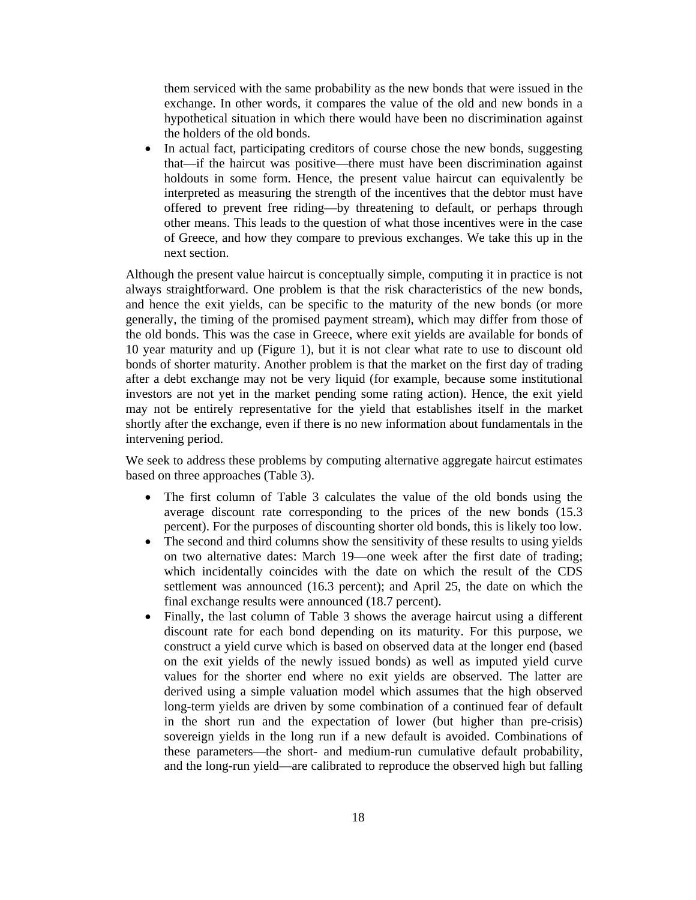them serviced with the same probability as the new bonds that were issued in the exchange. In other words, it compares the value of the old and new bonds in a hypothetical situation in which there would have been no discrimination against the holders of the old bonds.

• In actual fact, participating creditors of course chose the new bonds, suggesting that—if the haircut was positive—there must have been discrimination against holdouts in some form. Hence, the present value haircut can equivalently be interpreted as measuring the strength of the incentives that the debtor must have offered to prevent free riding—by threatening to default, or perhaps through other means. This leads to the question of what those incentives were in the case of Greece, and how they compare to previous exchanges. We take this up in the next section.

Although the present value haircut is conceptually simple, computing it in practice is not always straightforward. One problem is that the risk characteristics of the new bonds, and hence the exit yields, can be specific to the maturity of the new bonds (or more generally, the timing of the promised payment stream), which may differ from those of the old bonds. This was the case in Greece, where exit yields are available for bonds of 10 year maturity and up (Figure 1), but it is not clear what rate to use to discount old bonds of shorter maturity. Another problem is that the market on the first day of trading after a debt exchange may not be very liquid (for example, because some institutional investors are not yet in the market pending some rating action). Hence, the exit yield may not be entirely representative for the yield that establishes itself in the market shortly after the exchange, even if there is no new information about fundamentals in the intervening period.

We seek to address these problems by computing alternative aggregate haircut estimates based on three approaches (Table 3).

- The first column of Table 3 calculates the value of the old bonds using the average discount rate corresponding to the prices of the new bonds (15.3 percent). For the purposes of discounting shorter old bonds, this is likely too low.
- The second and third columns show the sensitivity of these results to using yields on two alternative dates: March 19—one week after the first date of trading; which incidentally coincides with the date on which the result of the CDS settlement was announced (16.3 percent); and April 25, the date on which the final exchange results were announced (18.7 percent).
- Finally, the last column of Table 3 shows the average haircut using a different discount rate for each bond depending on its maturity. For this purpose, we construct a yield curve which is based on observed data at the longer end (based on the exit yields of the newly issued bonds) as well as imputed yield curve values for the shorter end where no exit yields are observed. The latter are derived using a simple valuation model which assumes that the high observed long-term yields are driven by some combination of a continued fear of default in the short run and the expectation of lower (but higher than pre-crisis) sovereign yields in the long run if a new default is avoided. Combinations of these parameters—the short- and medium-run cumulative default probability, and the long-run yield—are calibrated to reproduce the observed high but falling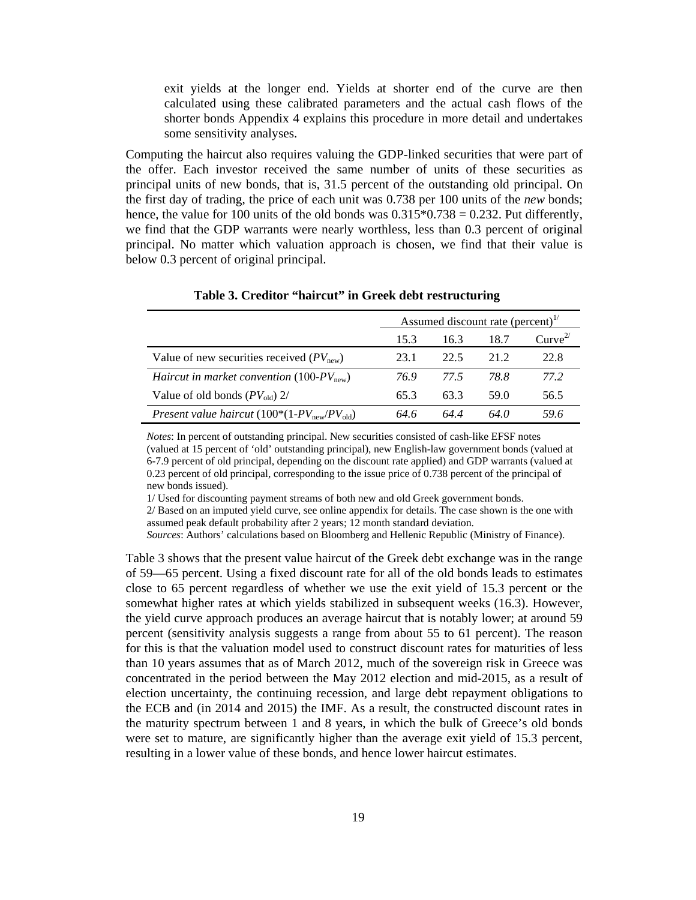exit yields at the longer end. Yields at shorter end of the curve are then calculated using these calibrated parameters and the actual cash flows of the shorter bonds Appendix 4 explains this procedure in more detail and undertakes some sensitivity analyses.

Computing the haircut also requires valuing the GDP-linked securities that were part of the offer. Each investor received the same number of units of these securities as principal units of new bonds, that is, 31.5 percent of the outstanding old principal. On the first day of trading, the price of each unit was 0.738 per 100 units of the *new* bonds; hence, the value for 100 units of the old bonds was  $0.315*0.738 = 0.232$ . Put differently, we find that the GDP warrants were nearly worthless, less than 0.3 percent of original principal. No matter which valuation approach is chosen, we find that their value is below 0.3 percent of original principal.

|                                                                    | Assumed discount rate (percent) <sup>1/</sup> |      |      |                   |  |
|--------------------------------------------------------------------|-----------------------------------------------|------|------|-------------------|--|
|                                                                    | 15.3                                          | 16.3 | 18.7 | $Curve^{2\prime}$ |  |
| Value of new securities received $(PV_{\text{new}})$               | 23.1                                          | 22.5 | 21.2 | 22.8              |  |
| <i>Haircut in market convention</i> (100- $PV_{\text{new}}$ )      | 76 Q                                          | 775  | 78.8 | 77.2              |  |
| Value of old bonds $(PV_{old})$ 2/                                 | 65.3                                          | 63.3 | 59.0 | 56.5              |  |
| Present value haircut (100*(1- $PV_{\text{new}}/PV_{\text{old}}$ ) | 64 6                                          | 64 4 | 64 O | 59.6              |  |

**Table 3. Creditor "haircut" in Greek debt restructuring** 

*Notes*: In percent of outstanding principal. New securities consisted of cash-like EFSF notes (valued at 15 percent of 'old' outstanding principal), new English-law government bonds (valued at 6-7.9 percent of old principal, depending on the discount rate applied) and GDP warrants (valued at 0.23 percent of old principal, corresponding to the issue price of 0.738 percent of the principal of new bonds issued).

1/ Used for discounting payment streams of both new and old Greek government bonds.

2/ Based on an imputed yield curve, see online appendix for details. The case shown is the one with assumed peak default probability after 2 years; 12 month standard deviation.

*Sources*: Authors' calculations based on Bloomberg and Hellenic Republic (Ministry of Finance).

Table 3 shows that the present value haircut of the Greek debt exchange was in the range of 59—65 percent. Using a fixed discount rate for all of the old bonds leads to estimates close to 65 percent regardless of whether we use the exit yield of 15.3 percent or the somewhat higher rates at which yields stabilized in subsequent weeks (16.3). However, the yield curve approach produces an average haircut that is notably lower; at around 59 percent (sensitivity analysis suggests a range from about 55 to 61 percent). The reason for this is that the valuation model used to construct discount rates for maturities of less than 10 years assumes that as of March 2012, much of the sovereign risk in Greece was concentrated in the period between the May 2012 election and mid-2015, as a result of election uncertainty, the continuing recession, and large debt repayment obligations to the ECB and (in 2014 and 2015) the IMF. As a result, the constructed discount rates in the maturity spectrum between 1 and 8 years, in which the bulk of Greece's old bonds were set to mature, are significantly higher than the average exit yield of 15.3 percent, resulting in a lower value of these bonds, and hence lower haircut estimates.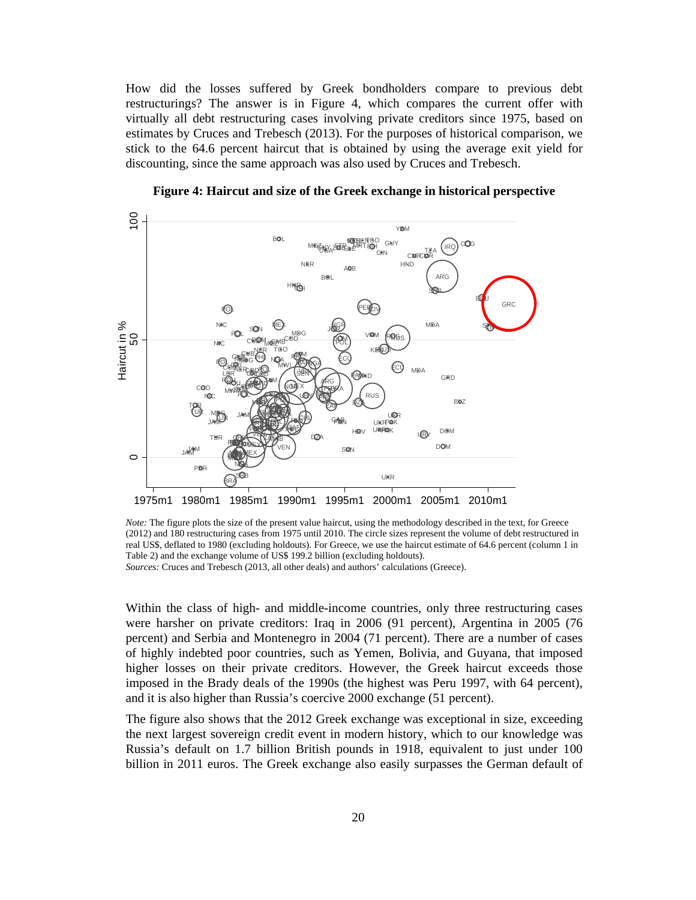How did the losses suffered by Greek bondholders compare to previous debt restructurings? The answer is in Figure 4, which compares the current offer with virtually all debt restructuring cases involving private creditors since 1975, based on estimates by Cruces and Trebesch (2013). For the purposes of historical comparison, we stick to the 64.6 percent haircut that is obtained by using the average exit yield for discounting, since the same approach was also used by Cruces and Trebesch.



**Figure 4: Haircut and size of the Greek exchange in historical perspective** 

*Note:* The figure plots the size of the present value haircut, using the methodology described in the text, for Greece (2012) and 180 restructuring cases from 1975 until 2010. The circle sizes represent the volume of debt restructured in real US\$, deflated to 1980 (excluding holdouts). For Greece, we use the haircut estimate of 64.6 percent (column 1 in Table 2) and the exchange volume of US\$ 199.2 billion (excluding holdouts).

*Sources:* Cruces and Trebesch (2013, all other deals) and authors' calculations (Greece).

Within the class of high- and middle-income countries, only three restructuring cases were harsher on private creditors: Iraq in 2006 (91 percent), Argentina in 2005 (76 percent) and Serbia and Montenegro in 2004 (71 percent). There are a number of cases of highly indebted poor countries, such as Yemen, Bolivia, and Guyana, that imposed higher losses on their private creditors. However, the Greek haircut exceeds those imposed in the Brady deals of the 1990s (the highest was Peru 1997, with 64 percent), and it is also higher than Russia's coercive 2000 exchange (51 percent).

The figure also shows that the 2012 Greek exchange was exceptional in size, exceeding the next largest sovereign credit event in modern history, which to our knowledge was Russia's default on 1.7 billion British pounds in 1918, equivalent to just under 100 billion in 2011 euros. The Greek exchange also easily surpasses the German default of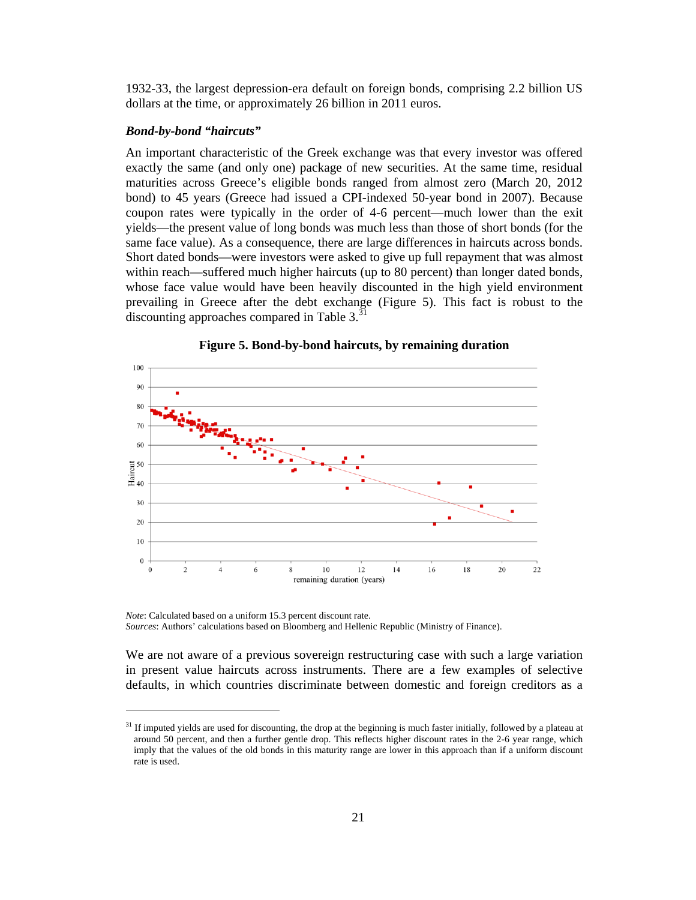1932-33, the largest depression-era default on foreign bonds, comprising 2.2 billion US dollars at the time, or approximately 26 billion in 2011 euros.

#### *Bond-by-bond "haircuts"*

l

An important characteristic of the Greek exchange was that every investor was offered exactly the same (and only one) package of new securities. At the same time, residual maturities across Greece's eligible bonds ranged from almost zero (March 20, 2012 bond) to 45 years (Greece had issued a CPI-indexed 50-year bond in 2007). Because coupon rates were typically in the order of 4-6 percent—much lower than the exit yields—the present value of long bonds was much less than those of short bonds (for the same face value). As a consequence, there are large differences in haircuts across bonds. Short dated bonds—were investors were asked to give up full repayment that was almost within reach—suffered much higher haircuts (up to 80 percent) than longer dated bonds, whose face value would have been heavily discounted in the high yield environment prevailing in Greece after the debt exchange (Figure 5). This fact is robust to the discounting approaches compared in Table  $3<sup>31</sup>$ 





*Note*: Calculated based on a uniform 15.3 percent discount rate. *Sources*: Authors' calculations based on Bloomberg and Hellenic Republic (Ministry of Finance).

We are not aware of a previous sovereign restructuring case with such a large variation in present value haircuts across instruments. There are a few examples of selective defaults, in which countries discriminate between domestic and foreign creditors as a

 $31$  If imputed yields are used for discounting, the drop at the beginning is much faster initially, followed by a plateau at around 50 percent, and then a further gentle drop. This reflects higher discount rates in the 2-6 year range, which imply that the values of the old bonds in this maturity range are lower in this approach than if a uniform discount rate is used.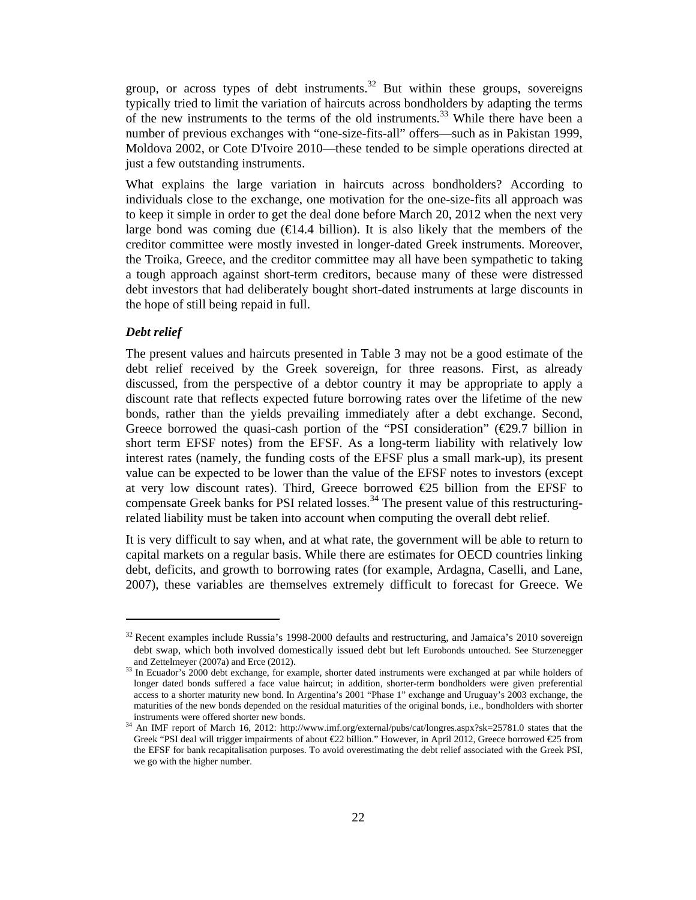group, or across types of debt instruments.<sup>32</sup> But within these groups, sovereigns typically tried to limit the variation of haircuts across bondholders by adapting the terms of the new instruments to the terms of the old instruments.<sup>33</sup> While there have been a number of previous exchanges with "one-size-fits-all" offers—such as in Pakistan 1999, Moldova 2002, or Cote D'Ivoire 2010—these tended to be simple operations directed at just a few outstanding instruments.

What explains the large variation in haircuts across bondholders? According to individuals close to the exchange, one motivation for the one-size-fits all approach was to keep it simple in order to get the deal done before March 20, 2012 when the next very large bond was coming due ( $\in$ 14.4 billion). It is also likely that the members of the creditor committee were mostly invested in longer-dated Greek instruments. Moreover, the Troika, Greece, and the creditor committee may all have been sympathetic to taking a tough approach against short-term creditors, because many of these were distressed debt investors that had deliberately bought short-dated instruments at large discounts in the hope of still being repaid in full.

#### *Debt relief*

The present values and haircuts presented in Table 3 may not be a good estimate of the debt relief received by the Greek sovereign, for three reasons. First, as already discussed, from the perspective of a debtor country it may be appropriate to apply a discount rate that reflects expected future borrowing rates over the lifetime of the new bonds, rather than the yields prevailing immediately after a debt exchange. Second, Greece borrowed the quasi-cash portion of the "PSI consideration" ( $\epsilon$ 29.7 billion in short term EFSF notes) from the EFSF. As a long-term liability with relatively low interest rates (namely, the funding costs of the EFSF plus a small mark-up), its present value can be expected to be lower than the value of the EFSF notes to investors (except at very low discount rates). Third, Greece borrowed  $\epsilon$ 25 billion from the EFSF to compensate Greek banks for PSI related losses. $34$  The present value of this restructuringrelated liability must be taken into account when computing the overall debt relief.

It is very difficult to say when, and at what rate, the government will be able to return to capital markets on a regular basis. While there are estimates for OECD countries linking debt, deficits, and growth to borrowing rates (for example, Ardagna, Caselli, and Lane, 2007), these variables are themselves extremely difficult to forecast for Greece. We

<sup>&</sup>lt;sup>32</sup> Recent examples include Russia's 1998-2000 defaults and restructuring, and Jamaica's 2010 sovereign debt swap, which both involved domestically issued debt but left Eurobonds untouched. See Sturzenegger and Zettelmeyer (2007a) and Erce (2012).

 $\frac{33}{13}$  In Ecuador's 2000 debt exchange, for example, shorter dated instruments were exchanged at par while holders of longer dated bonds suffered a face value haircut; in addition, shorter-term bondholders were given preferential access to a shorter maturity new bond. In Argentina's 2001 "Phase 1" exchange and Uruguay's 2003 exchange, the maturities of the new bonds depended on the residual maturities of the original bonds, i.e., bondholders with shorter instruments were offered shorter new bonds. 34 An IMF report of March 16, 2012: http://www.imf.org/external/pubs/cat/longres.aspx?sk=25781.0 states that the

Greek "PSI deal will trigger impairments of about €22 billion." However, in April 2012, Greece borrowed €25 from the EFSF for bank recapitalisation purposes. To avoid overestimating the debt relief associated with the Greek PSI, we go with the higher number.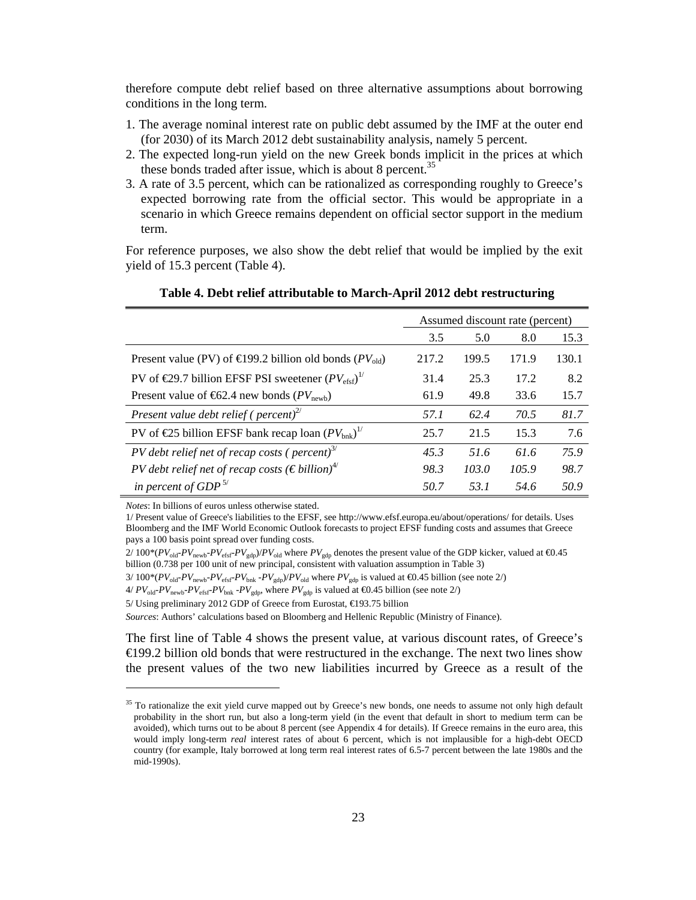therefore compute debt relief based on three alternative assumptions about borrowing conditions in the long term.

- 1. The average nominal interest rate on public debt assumed by the IMF at the outer end (for 2030) of its March 2012 debt sustainability analysis, namely 5 percent.
- 2. The expected long-run yield on the new Greek bonds implicit in the prices at which these bonds traded after issue, which is about 8 percent.<sup>35</sup>
- 3. A rate of 3.5 percent, which can be rationalized as corresponding roughly to Greece's expected borrowing rate from the official sector. This would be appropriate in a scenario in which Greece remains dependent on official sector support in the medium term.

For reference purposes, we also show the debt relief that would be implied by the exit yield of 15.3 percent (Table 4).

|                                                                                        | Assumed discount rate (percent) |       |       |       |  |
|----------------------------------------------------------------------------------------|---------------------------------|-------|-------|-------|--|
|                                                                                        | 3.5                             | 5.0   | 8.0   | 15.3  |  |
| Present value (PV) of $\bigoplus$ 99.2 billion old bonds (PV <sub>old</sub> )          | 217.2                           | 199.5 | 171.9 | 130.1 |  |
| PV of $\epsilon$ 29.7 billion EFSF PSI sweetener $(PV_{\text{eff}})^{1/2}$             | 31.4                            | 25.3  | 17.2  | 8.2   |  |
| Present value of $62.4$ new bonds ( $PV_{\text{new}}$ )                                | 61.9                            | 49.8  | 33.6  | 15.7  |  |
| Present value debt relief (percent) <sup><math>2^{7}</math></sup>                      | 57.1                            | 62.4  | 70.5  | 81.7  |  |
| PV of $\text{\textcircled{25}}$ billion EFSF bank recap loan $(PV_{\text{bnk}})^{1/2}$ | 25.7                            | 21.5  | 15.3  | 7.6   |  |
| PV debt relief net of recap costs ( $percent$ ) <sup>3/</sup>                          | 45.3                            | 51.6  | 61.6  | 75.9  |  |
| PV debt relief net of recap costs ( $\in$ billion) <sup>4/</sup>                       | 98.3                            | 103.0 | 105.9 | 98.7  |  |
| in percent of GDP $^{5/}$                                                              | 50.7                            | 53.1  | 54.6  | 50.9  |  |

**Table 4. Debt relief attributable to March-April 2012 debt restructuring** 

*Notes*: In billions of euros unless otherwise stated.

l

1/ Present value of Greece's liabilities to the EFSF, see http://www.efsf.europa.eu/about/operations/ for details. Uses Bloomberg and the IMF World Economic Outlook forecasts to project EFSF funding costs and assumes that Greece pays a 100 basis point spread over funding costs.

 $2/100*(PV_{old}-PV_{newb}-PV_{eff}-PV_{gdp})/PV_{old}$  where  $PV_{gdp}$  denotes the present value of the GDP kicker, valued at  $\bigoplus$ .45 billion (0.738 per 100 unit of new principal, consistent with valuation assumption in Table 3)

 $3/100*(PV_{old}-PV_{newb}-PV_{esf}-PV_{bnk}-PV_{gdp})/PV_{old}$  where  $PV_{gdp}$  is valued at  $\bigoplus$ .45 billion (see note 2/)

 $4/ PV_{\text{old}} - PV_{\text{newb}} - PV_{\text{eff}} - PV_{\text{bnk}} - PV_{\text{gdp}}$ , where  $PV_{\text{gdp}}$  is valued at  $60.45$  billion (see note 2/)

5/ Using preliminary 2012 GDP of Greece from Eurostat, €193.75 billion

*Sources*: Authors' calculations based on Bloomberg and Hellenic Republic (Ministry of Finance).

The first line of Table 4 shows the present value, at various discount rates, of Greece's €199.2 billion old bonds that were restructured in the exchange. The next two lines show the present values of the two new liabilities incurred by Greece as a result of the

<sup>&</sup>lt;sup>35</sup> To rationalize the exit yield curve mapped out by Greece's new bonds, one needs to assume not only high default probability in the short run, but also a long-term yield (in the event that default in short to medium term can be avoided), which turns out to be about 8 percent (see Appendix 4 for details). If Greece remains in the euro area, this would imply long-term *real* interest rates of about 6 percent, which is not implausible for a high-debt OECD country (for example, Italy borrowed at long term real interest rates of 6.5-7 percent between the late 1980s and the mid-1990s).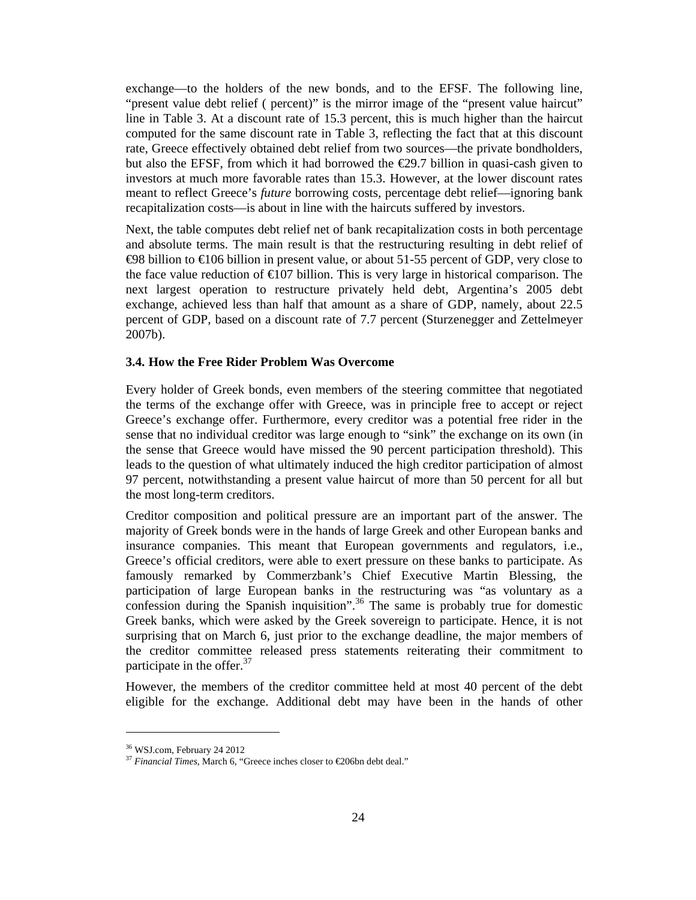exchange—to the holders of the new bonds, and to the EFSF. The following line, "present value debt relief ( percent)" is the mirror image of the "present value haircut" line in Table 3. At a discount rate of 15.3 percent, this is much higher than the haircut computed for the same discount rate in Table 3, reflecting the fact that at this discount rate, Greece effectively obtained debt relief from two sources—the private bondholders, but also the EFSF, from which it had borrowed the €29.7 billion in quasi-cash given to investors at much more favorable rates than 15.3. However, at the lower discount rates meant to reflect Greece's *future* borrowing costs, percentage debt relief—ignoring bank recapitalization costs—is about in line with the haircuts suffered by investors.

Next, the table computes debt relief net of bank recapitalization costs in both percentage and absolute terms. The main result is that the restructuring resulting in debt relief of €98 billion to €106 billion in present value, or about 51-55 percent of GDP, very close to the face value reduction of  $E[07]$  billion. This is very large in historical comparison. The next largest operation to restructure privately held debt, Argentina's 2005 debt exchange, achieved less than half that amount as a share of GDP, namely, about 22.5 percent of GDP, based on a discount rate of 7.7 percent (Sturzenegger and Zettelmeyer 2007b).

# **3.4. How the Free Rider Problem Was Overcome**

Every holder of Greek bonds, even members of the steering committee that negotiated the terms of the exchange offer with Greece, was in principle free to accept or reject Greece's exchange offer. Furthermore, every creditor was a potential free rider in the sense that no individual creditor was large enough to "sink" the exchange on its own (in the sense that Greece would have missed the 90 percent participation threshold). This leads to the question of what ultimately induced the high creditor participation of almost 97 percent, notwithstanding a present value haircut of more than 50 percent for all but the most long-term creditors.

Creditor composition and political pressure are an important part of the answer. The majority of Greek bonds were in the hands of large Greek and other European banks and insurance companies. This meant that European governments and regulators, i.e., Greece's official creditors, were able to exert pressure on these banks to participate. As famously remarked by Commerzbank's Chief Executive Martin Blessing, the participation of large European banks in the restructuring was "as voluntary as a confession during the Spanish inquisition".<sup>36</sup> The same is probably true for domestic Greek banks, which were asked by the Greek sovereign to participate. Hence, it is not surprising that on March 6, just prior to the exchange deadline, the major members of the creditor committee released press statements reiterating their commitment to participate in the offer.<sup>37</sup>

However, the members of the creditor committee held at most 40 percent of the debt eligible for the exchange. Additional debt may have been in the hands of other

 $\overline{a}$ 

<sup>36</sup> WSJ.com, February 24 2012

<sup>37</sup> *Financial Times*, March 6, "Greece inches closer to €206bn debt deal."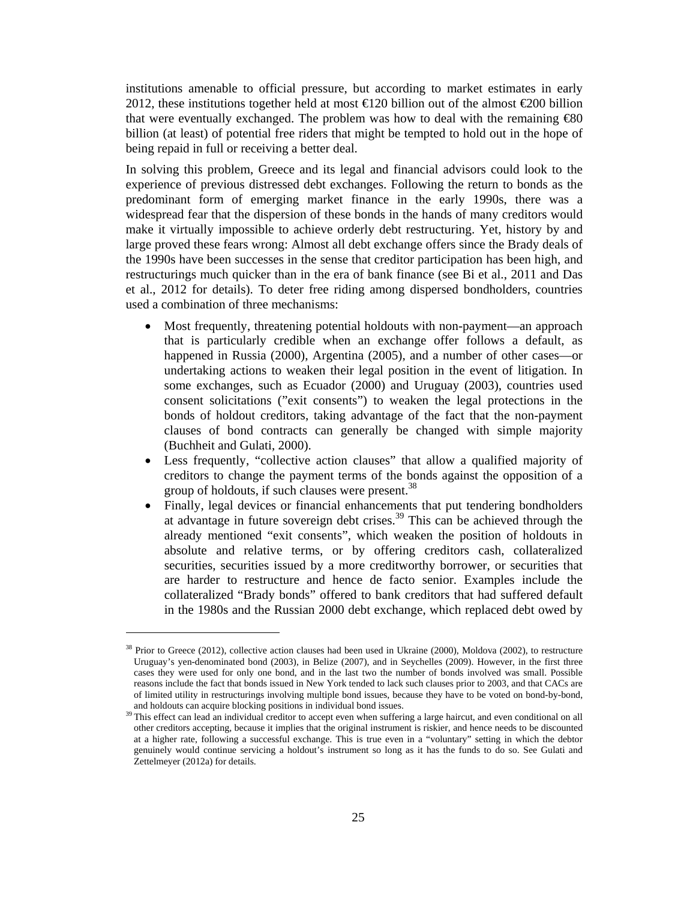institutions amenable to official pressure, but according to market estimates in early 2012, these institutions together held at most  $\bigoplus$  20 billion out of the almost  $\bigoplus$  00 billion that were eventually exchanged. The problem was how to deal with the remaining  $\epsilon$ 80 billion (at least) of potential free riders that might be tempted to hold out in the hope of being repaid in full or receiving a better deal.

In solving this problem, Greece and its legal and financial advisors could look to the experience of previous distressed debt exchanges. Following the return to bonds as the predominant form of emerging market finance in the early 1990s, there was a widespread fear that the dispersion of these bonds in the hands of many creditors would make it virtually impossible to achieve orderly debt restructuring. Yet, history by and large proved these fears wrong: Almost all debt exchange offers since the Brady deals of the 1990s have been successes in the sense that creditor participation has been high, and restructurings much quicker than in the era of bank finance (see Bi et al., 2011 and Das et al., 2012 for details). To deter free riding among dispersed bondholders, countries used a combination of three mechanisms:

- Most frequently, threatening potential holdouts with non-payment—an approach that is particularly credible when an exchange offer follows a default, as happened in Russia (2000), Argentina (2005), and a number of other cases—or undertaking actions to weaken their legal position in the event of litigation. In some exchanges, such as Ecuador (2000) and Uruguay (2003), countries used consent solicitations ("exit consents") to weaken the legal protections in the bonds of holdout creditors, taking advantage of the fact that the non-payment clauses of bond contracts can generally be changed with simple majority (Buchheit and Gulati, 2000).
- Less frequently, "collective action clauses" that allow a qualified majority of creditors to change the payment terms of the bonds against the opposition of a group of holdouts, if such clauses were present.<sup>38</sup>
- Finally, legal devices or financial enhancements that put tendering bondholders at advantage in future sovereign debt crises.<sup>39</sup> This can be achieved through the already mentioned "exit consents", which weaken the position of holdouts in absolute and relative terms, or by offering creditors cash, collateralized securities, securities issued by a more creditworthy borrower, or securities that are harder to restructure and hence de facto senior. Examples include the collateralized "Brady bonds" offered to bank creditors that had suffered default in the 1980s and the Russian 2000 debt exchange, which replaced debt owed by

<sup>38</sup> Prior to Greece (2012), collective action clauses had been used in Ukraine (2000), Moldova (2002), to restructure Uruguay's yen-denominated bond (2003), in Belize (2007), and in Seychelles (2009). However, in the first three cases they were used for only one bond, and in the last two the number of bonds involved was small. Possible reasons include the fact that bonds issued in New York tended to lack such clauses prior to 2003, and that CACs are of limited utility in restructurings involving multiple bond issues, because they have to be voted on bond-by-bond,

<sup>&</sup>lt;sup>39</sup> This effect can lead an individual creditor to accept even when suffering a large haircut, and even conditional on all other creditors accepting, because it implies that the original instrument is riskier, and hence needs to be discounted at a higher rate, following a successful exchange. This is true even in a "voluntary" setting in which the debtor genuinely would continue servicing a holdout's instrument so long as it has the funds to do so. See Gulati and Zettelmeyer (2012a) for details.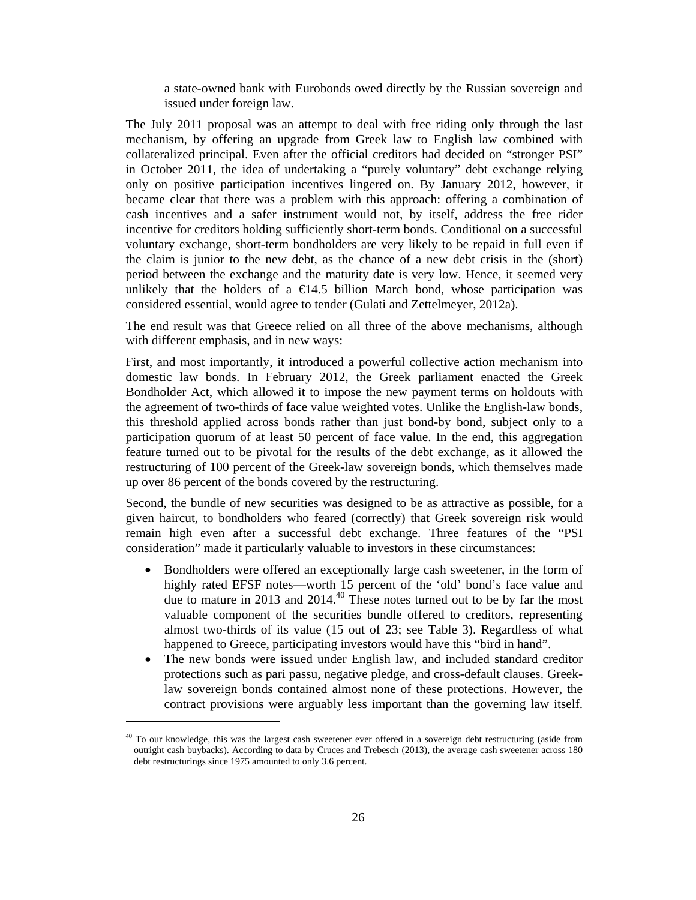a state-owned bank with Eurobonds owed directly by the Russian sovereign and issued under foreign law.

The July 2011 proposal was an attempt to deal with free riding only through the last mechanism, by offering an upgrade from Greek law to English law combined with collateralized principal. Even after the official creditors had decided on "stronger PSI" in October 2011, the idea of undertaking a "purely voluntary" debt exchange relying only on positive participation incentives lingered on. By January 2012, however, it became clear that there was a problem with this approach: offering a combination of cash incentives and a safer instrument would not, by itself, address the free rider incentive for creditors holding sufficiently short-term bonds. Conditional on a successful voluntary exchange, short-term bondholders are very likely to be repaid in full even if the claim is junior to the new debt, as the chance of a new debt crisis in the (short) period between the exchange and the maturity date is very low. Hence, it seemed very unlikely that the holders of a  $\in$  4.5 billion March bond, whose participation was considered essential, would agree to tender (Gulati and Zettelmeyer, 2012a).

The end result was that Greece relied on all three of the above mechanisms, although with different emphasis, and in new ways:

First, and most importantly, it introduced a powerful collective action mechanism into domestic law bonds. In February 2012, the Greek parliament enacted the Greek Bondholder Act, which allowed it to impose the new payment terms on holdouts with the agreement of two-thirds of face value weighted votes. Unlike the English-law bonds, this threshold applied across bonds rather than just bond-by bond, subject only to a participation quorum of at least 50 percent of face value. In the end, this aggregation feature turned out to be pivotal for the results of the debt exchange, as it allowed the restructuring of 100 percent of the Greek-law sovereign bonds, which themselves made up over 86 percent of the bonds covered by the restructuring.

Second, the bundle of new securities was designed to be as attractive as possible, for a given haircut, to bondholders who feared (correctly) that Greek sovereign risk would remain high even after a successful debt exchange. Three features of the "PSI consideration" made it particularly valuable to investors in these circumstances:

- Bondholders were offered an exceptionally large cash sweetener, in the form of highly rated EFSF notes—worth 15 percent of the 'old' bond's face value and due to mature in 2013 and 2014.<sup>40</sup> These notes turned out to be by far the most valuable component of the securities bundle offered to creditors, representing almost two-thirds of its value (15 out of 23; see Table 3). Regardless of what happened to Greece, participating investors would have this "bird in hand".
- The new bonds were issued under English law, and included standard creditor protections such as pari passu, negative pledge, and cross-default clauses. Greeklaw sovereign bonds contained almost none of these protections. However, the contract provisions were arguably less important than the governing law itself.

 $\overline{a}$ 

 $40$  To our knowledge, this was the largest cash sweetener ever offered in a sovereign debt restructuring (aside from outright cash buybacks). According to data by Cruces and Trebesch (2013), the average cash sweetener across 180 debt restructurings since 1975 amounted to only 3.6 percent.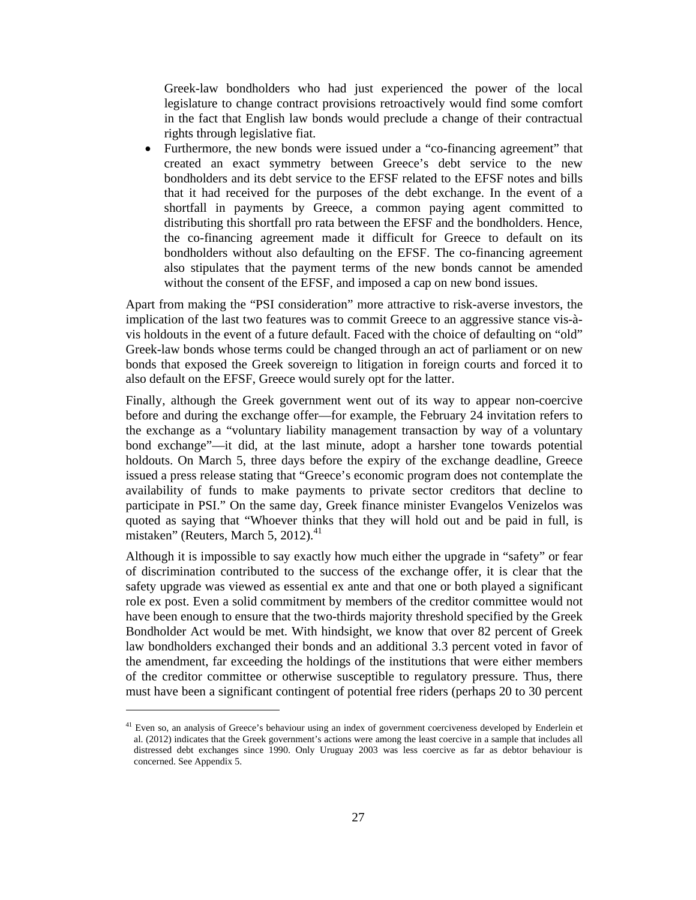Greek-law bondholders who had just experienced the power of the local legislature to change contract provisions retroactively would find some comfort in the fact that English law bonds would preclude a change of their contractual rights through legislative fiat.

 Furthermore, the new bonds were issued under a "co-financing agreement" that created an exact symmetry between Greece's debt service to the new bondholders and its debt service to the EFSF related to the EFSF notes and bills that it had received for the purposes of the debt exchange. In the event of a shortfall in payments by Greece, a common paying agent committed to distributing this shortfall pro rata between the EFSF and the bondholders. Hence, the co-financing agreement made it difficult for Greece to default on its bondholders without also defaulting on the EFSF. The co-financing agreement also stipulates that the payment terms of the new bonds cannot be amended without the consent of the EFSF, and imposed a cap on new bond issues.

Apart from making the "PSI consideration" more attractive to risk-averse investors, the implication of the last two features was to commit Greece to an aggressive stance vis-àvis holdouts in the event of a future default. Faced with the choice of defaulting on "old" Greek-law bonds whose terms could be changed through an act of parliament or on new bonds that exposed the Greek sovereign to litigation in foreign courts and forced it to also default on the EFSF, Greece would surely opt for the latter.

Finally, although the Greek government went out of its way to appear non-coercive before and during the exchange offer—for example, the February 24 invitation refers to the exchange as a "voluntary liability management transaction by way of a voluntary bond exchange"—it did, at the last minute, adopt a harsher tone towards potential holdouts. On March 5, three days before the expiry of the exchange deadline, Greece issued a press release stating that "Greece's economic program does not contemplate the availability of funds to make payments to private sector creditors that decline to participate in PSI." On the same day, Greek finance minister Evangelos Venizelos was quoted as saying that "Whoever thinks that they will hold out and be paid in full, is mistaken" (Reuters, March 5, 2012). $^{41}$ 

Although it is impossible to say exactly how much either the upgrade in "safety" or fear of discrimination contributed to the success of the exchange offer, it is clear that the safety upgrade was viewed as essential ex ante and that one or both played a significant role ex post. Even a solid commitment by members of the creditor committee would not have been enough to ensure that the two-thirds majority threshold specified by the Greek Bondholder Act would be met. With hindsight, we know that over 82 percent of Greek law bondholders exchanged their bonds and an additional 3.3 percent voted in favor of the amendment, far exceeding the holdings of the institutions that were either members of the creditor committee or otherwise susceptible to regulatory pressure. Thus, there must have been a significant contingent of potential free riders (perhaps 20 to 30 percent

 $41$  Even so, an analysis of Greece's behaviour using an index of government coerciveness developed by Enderlein et al. (2012) indicates that the Greek government's actions were among the least coercive in a sample that includes all distressed debt exchanges since 1990. Only Uruguay 2003 was less coercive as far as debtor behaviour is concerned. See Appendix 5.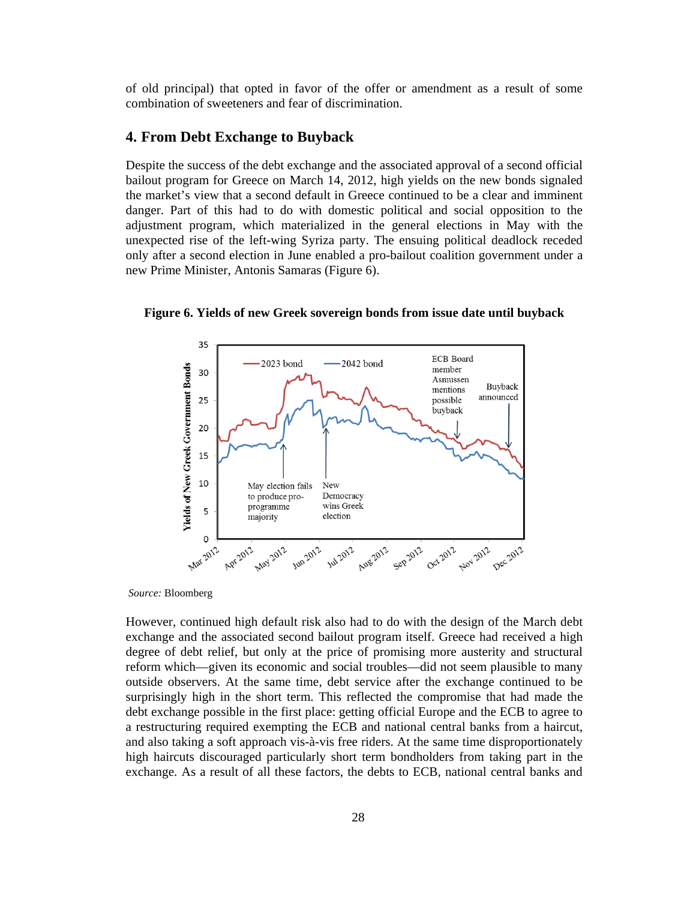of old principal) that opted in favor of the offer or amendment as a result of some combination of sweeteners and fear of discrimination.

# **4. From Debt Exchange to Buyback**

Despite the success of the debt exchange and the associated approval of a second official bailout program for Greece on March 14, 2012, high yields on the new bonds signaled the market's view that a second default in Greece continued to be a clear and imminent danger. Part of this had to do with domestic political and social opposition to the adjustment program, which materialized in the general elections in May with the unexpected rise of the left-wing Syriza party. The ensuing political deadlock receded only after a second election in June enabled a pro-bailout coalition government under a new Prime Minister, Antonis Samaras (Figure 6).



**Figure 6. Yields of new Greek sovereign bonds from issue date until buyback** 

 *Source:* Bloomberg

However, continued high default risk also had to do with the design of the March debt exchange and the associated second bailout program itself. Greece had received a high degree of debt relief, but only at the price of promising more austerity and structural reform which—given its economic and social troubles—did not seem plausible to many outside observers. At the same time, debt service after the exchange continued to be surprisingly high in the short term. This reflected the compromise that had made the debt exchange possible in the first place: getting official Europe and the ECB to agree to a restructuring required exempting the ECB and national central banks from a haircut, and also taking a soft approach vis-à-vis free riders. At the same time disproportionately high haircuts discouraged particularly short term bondholders from taking part in the exchange. As a result of all these factors, the debts to ECB, national central banks and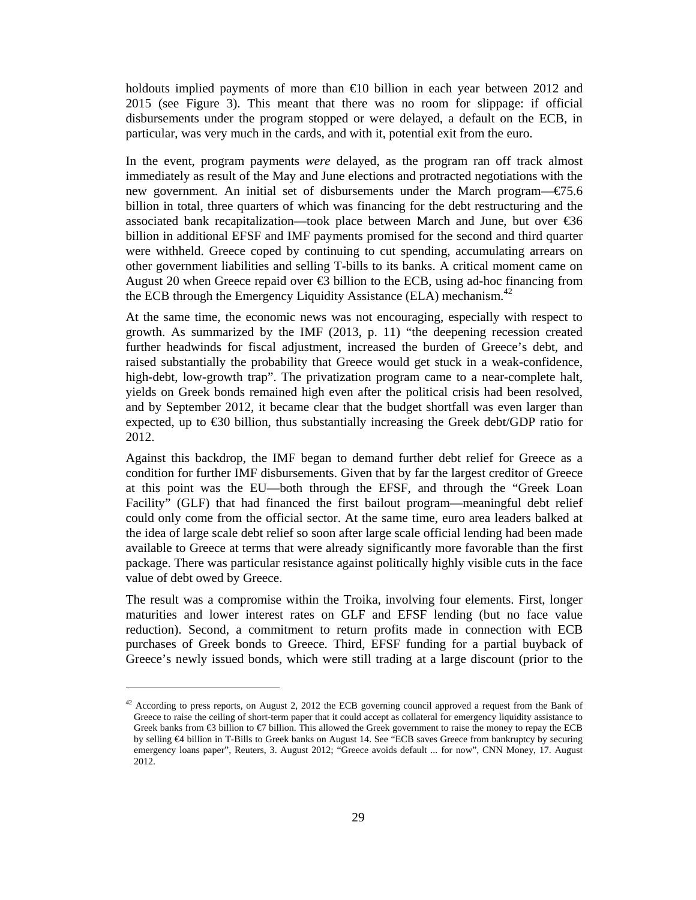holdouts implied payments of more than €10 billion in each year between 2012 and 2015 (see Figure 3). This meant that there was no room for slippage: if official disbursements under the program stopped or were delayed, a default on the ECB, in particular, was very much in the cards, and with it, potential exit from the euro.

In the event, program payments *were* delayed, as the program ran off track almost immediately as result of the May and June elections and protracted negotiations with the new government. An initial set of disbursements under the March program—€75.6 billion in total, three quarters of which was financing for the debt restructuring and the associated bank recapitalization—took place between March and June, but over €36 billion in additional EFSF and IMF payments promised for the second and third quarter were withheld. Greece coped by continuing to cut spending, accumulating arrears on other government liabilities and selling T-bills to its banks. A critical moment came on August 20 when Greece repaid over  $\bigoplus$  billion to the ECB, using ad-hoc financing from the ECB through the Emergency Liquidity Assistance (ELA) mechanism.<sup>42</sup>

At the same time, the economic news was not encouraging, especially with respect to growth. As summarized by the IMF (2013, p. 11) "the deepening recession created further headwinds for fiscal adjustment, increased the burden of Greece's debt, and raised substantially the probability that Greece would get stuck in a weak-confidence, high-debt, low-growth trap". The privatization program came to a near-complete halt, yields on Greek bonds remained high even after the political crisis had been resolved, and by September 2012, it became clear that the budget shortfall was even larger than expected, up to  $\epsilon$ 30 billion, thus substantially increasing the Greek debt/GDP ratio for 2012.

Against this backdrop, the IMF began to demand further debt relief for Greece as a condition for further IMF disbursements. Given that by far the largest creditor of Greece at this point was the EU—both through the EFSF, and through the "Greek Loan Facility" (GLF) that had financed the first bailout program—meaningful debt relief could only come from the official sector. At the same time, euro area leaders balked at the idea of large scale debt relief so soon after large scale official lending had been made available to Greece at terms that were already significantly more favorable than the first package. There was particular resistance against politically highly visible cuts in the face value of debt owed by Greece.

The result was a compromise within the Troika, involving four elements. First, longer maturities and lower interest rates on GLF and EFSF lending (but no face value reduction). Second, a commitment to return profits made in connection with ECB purchases of Greek bonds to Greece. Third, EFSF funding for a partial buyback of Greece's newly issued bonds, which were still trading at a large discount (prior to the

 $42$  According to press reports, on August 2, 2012 the ECB governing council approved a request from the Bank of Greece to raise the ceiling of short-term paper that it could accept as collateral for emergency liquidity assistance to Greek banks from €3 billion to €7 billion. This allowed the Greek government to raise the money to repay the ECB by selling €4 billion in T-Bills to Greek banks on August 14. See "ECB saves Greece from bankruptcy by securing emergency loans paper", Reuters, 3. August 2012; "Greece avoids default ... for now", CNN Money, 17. August 2012.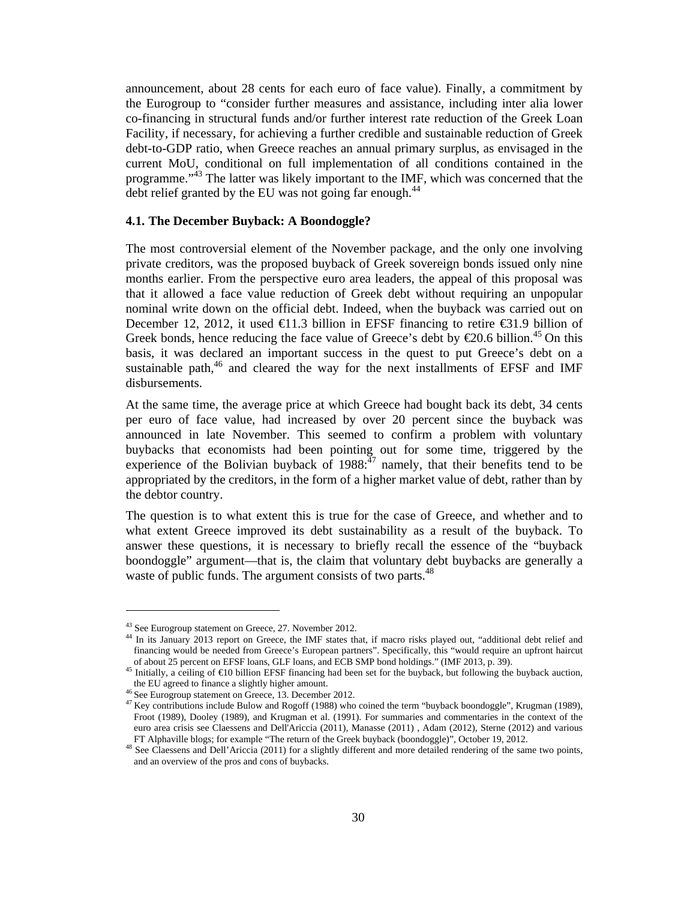announcement, about 28 cents for each euro of face value). Finally, a commitment by the Eurogroup to "consider further measures and assistance, including inter alia lower co-financing in structural funds and/or further interest rate reduction of the Greek Loan Facility, if necessary, for achieving a further credible and sustainable reduction of Greek debt-to-GDP ratio, when Greece reaches an annual primary surplus, as envisaged in the current MoU, conditional on full implementation of all conditions contained in the programme."<sup>43</sup> The latter was likely important to the IMF, which was concerned that the debt relief granted by the EU was not going far enough.<sup>44</sup>

#### **4.1. The December Buyback: A Boondoggle?**

The most controversial element of the November package, and the only one involving private creditors, was the proposed buyback of Greek sovereign bonds issued only nine months earlier. From the perspective euro area leaders, the appeal of this proposal was that it allowed a face value reduction of Greek debt without requiring an unpopular nominal write down on the official debt. Indeed, when the buyback was carried out on December 12, 2012, it used  $\bigoplus$  1.3 billion in EFSF financing to retire  $\bigoplus$  1.9 billion of Greek bonds, hence reducing the face value of Greece's debt by  $\epsilon 20.6$  billion.<sup>45</sup> On this basis, it was declared an important success in the quest to put Greece's debt on a sustainable path, $46$  and cleared the way for the next installments of EFSF and IMF disbursements.

At the same time, the average price at which Greece had bought back its debt, 34 cents per euro of face value, had increased by over 20 percent since the buyback was announced in late November. This seemed to confirm a problem with voluntary buybacks that economists had been pointing out for some time, triggered by the experience of the Bolivian buyback of  $1988:^{47}$  namely, that their benefits tend to be appropriated by the creditors, in the form of a higher market value of debt, rather than by the debtor country.

The question is to what extent this is true for the case of Greece, and whether and to what extent Greece improved its debt sustainability as a result of the buyback. To answer these questions, it is necessary to briefly recall the essence of the "buyback boondoggle" argument—that is, the claim that voluntary debt buybacks are generally a waste of public funds. The argument consists of two parts.<sup>48</sup>

<sup>43</sup> See Eurogroup statement on Greece, 27. November 2012.

<sup>44</sup> In its January 2013 report on Greece, the IMF states that, if macro risks played out, "additional debt relief and financing would be needed from Greece's European partners". Specifically, this "would require an upfront haircut of about 25 percent on EFSF loans, GLF loans, and ECB SMP bond holdings." (IMF 2013, p. 39).

<sup>&</sup>lt;sup>45</sup> Initially, a ceiling of  $\bigoplus$  billion EFSF financing had been set for the buyback, but following the buyback auction, the EU agreed to finance a slightly higher amount.<br><sup>46</sup> See Eurogroup statement on Greece, 13. December 2012.<br><sup>47</sup> Key contributions include Bulow and Rogoff (1988) who coined the term "buyback boondoggle", Krugman (1989)

Froot (1989), Dooley (1989), and Krugman et al. (1991). For summaries and commentaries in the context of the euro area crisis see Claessens and Dell'Ariccia (2011), Manasse (2011), Adam (2012), Sterne (2012) and various FT Alphaville blogs; for example "The return of the Greek buyback (boondoggle)", October 19, 2012.

<sup>&</sup>lt;sup>48</sup> See Claessens and Dell'Ariccia (2011) for a slightly different and more detailed rendering of the same two points, and an overview of the pros and cons of buybacks.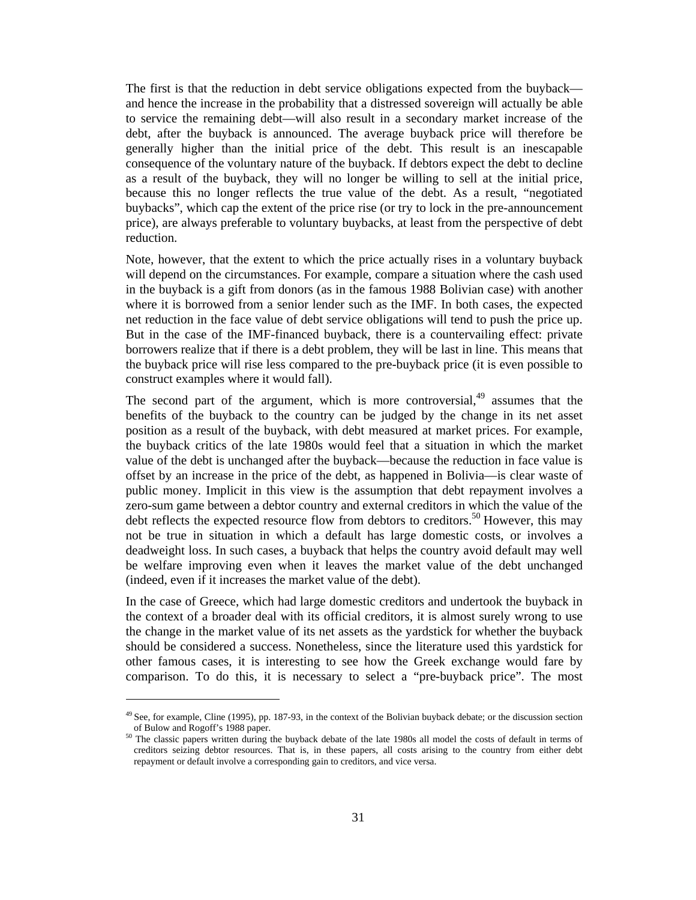The first is that the reduction in debt service obligations expected from the buyback and hence the increase in the probability that a distressed sovereign will actually be able to service the remaining debt—will also result in a secondary market increase of the debt, after the buyback is announced. The average buyback price will therefore be generally higher than the initial price of the debt. This result is an inescapable consequence of the voluntary nature of the buyback. If debtors expect the debt to decline as a result of the buyback, they will no longer be willing to sell at the initial price, because this no longer reflects the true value of the debt. As a result, "negotiated buybacks", which cap the extent of the price rise (or try to lock in the pre-announcement price), are always preferable to voluntary buybacks, at least from the perspective of debt reduction.

Note, however, that the extent to which the price actually rises in a voluntary buyback will depend on the circumstances. For example, compare a situation where the cash used in the buyback is a gift from donors (as in the famous 1988 Bolivian case) with another where it is borrowed from a senior lender such as the IMF. In both cases, the expected net reduction in the face value of debt service obligations will tend to push the price up. But in the case of the IMF-financed buyback, there is a countervailing effect: private borrowers realize that if there is a debt problem, they will be last in line. This means that the buyback price will rise less compared to the pre-buyback price (it is even possible to construct examples where it would fall).

The second part of the argument, which is more controversial,  $49$  assumes that the benefits of the buyback to the country can be judged by the change in its net asset position as a result of the buyback, with debt measured at market prices. For example, the buyback critics of the late 1980s would feel that a situation in which the market value of the debt is unchanged after the buyback—because the reduction in face value is offset by an increase in the price of the debt, as happened in Bolivia—is clear waste of public money. Implicit in this view is the assumption that debt repayment involves a zero-sum game between a debtor country and external creditors in which the value of the debt reflects the expected resource flow from debtors to creditors.<sup>50</sup> However, this may not be true in situation in which a default has large domestic costs, or involves a deadweight loss. In such cases, a buyback that helps the country avoid default may well be welfare improving even when it leaves the market value of the debt unchanged (indeed, even if it increases the market value of the debt).

In the case of Greece, which had large domestic creditors and undertook the buyback in the context of a broader deal with its official creditors, it is almost surely wrong to use the change in the market value of its net assets as the yardstick for whether the buyback should be considered a success. Nonetheless, since the literature used this yardstick for other famous cases, it is interesting to see how the Greek exchange would fare by comparison. To do this, it is necessary to select a "pre-buyback price". The most

 $\overline{a}$ 

 $49$  See, for example, Cline (1995), pp. 187-93, in the context of the Bolivian buyback debate; or the discussion section

of Bulow and Rogoff's 1988 paper. 50 The classic papers written during the buyback debate of the late 1980s all model the costs of default in terms of creditors seizing debtor resources. That is, in these papers, all costs arising to the country from either debt repayment or default involve a corresponding gain to creditors, and vice versa.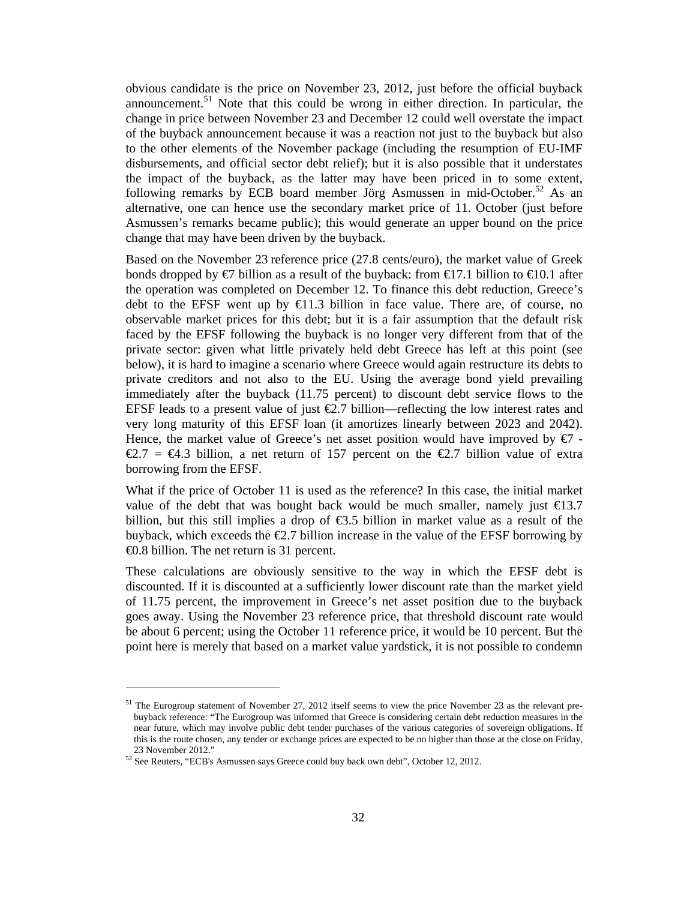obvious candidate is the price on November 23, 2012, just before the official buyback announcement.51 Note that this could be wrong in either direction. In particular, the change in price between November 23 and December 12 could well overstate the impact of the buyback announcement because it was a reaction not just to the buyback but also to the other elements of the November package (including the resumption of EU-IMF disbursements, and official sector debt relief); but it is also possible that it understates the impact of the buyback, as the latter may have been priced in to some extent, following remarks by ECB board member Jörg Asmussen in mid-October.<sup>52</sup> As an alternative, one can hence use the secondary market price of 11. October (just before Asmussen's remarks became public); this would generate an upper bound on the price change that may have been driven by the buyback.

Based on the November 23 reference price (27.8 cents/euro), the market value of Greek bonds dropped by  $\epsilon$  billion as a result of the buyback: from  $\epsilon$ 17.1 billion to  $\epsilon$ 10.1 after the operation was completed on December 12. To finance this debt reduction, Greece's debt to the EFSF went up by  $\bigoplus$  1.3 billion in face value. There are, of course, no observable market prices for this debt; but it is a fair assumption that the default risk faced by the EFSF following the buyback is no longer very different from that of the private sector: given what little privately held debt Greece has left at this point (see below), it is hard to imagine a scenario where Greece would again restructure its debts to private creditors and not also to the EU. Using the average bond yield prevailing immediately after the buyback (11.75 percent) to discount debt service flows to the EFSF leads to a present value of just  $\epsilon$ 2.7 billion—reflecting the low interest rates and very long maturity of this EFSF loan (it amortizes linearly between 2023 and 2042). Hence, the market value of Greece's net asset position would have improved by  $\epsilon$ . €2.7 = €4.3 billion, a net return of 157 percent on the €2.7 billion value of extra borrowing from the EFSF.

What if the price of October 11 is used as the reference? In this case, the initial market value of the debt that was bought back would be much smaller, namely just  $\epsilon$ 13.7 billion, but this still implies a drop of  $\epsilon$ 3.5 billion in market value as a result of the buyback, which exceeds the  $\epsilon$ 2.7 billion increase in the value of the EFSF borrowing by €0.8 billion. The net return is 31 percent.

These calculations are obviously sensitive to the way in which the EFSF debt is discounted. If it is discounted at a sufficiently lower discount rate than the market yield of 11.75 percent, the improvement in Greece's net asset position due to the buyback goes away. Using the November 23 reference price, that threshold discount rate would be about 6 percent; using the October 11 reference price, it would be 10 percent. But the point here is merely that based on a market value yardstick, it is not possible to condemn

<sup>&</sup>lt;sup>51</sup> The Eurogroup statement of November 27, 2012 itself seems to view the price November 23 as the relevant prebuyback reference: "The Eurogroup was informed that Greece is considering certain debt reduction measures in the near future, which may involve public debt tender purchases of the various categories of sovereign obligations. If this is the route chosen, any tender or exchange prices are expected to be no higher than those at the close on Friday, 23 November 2012."  $52$  See Reuters, "ECB's Asmussen says Greece could buy back own debt", October 12, 2012.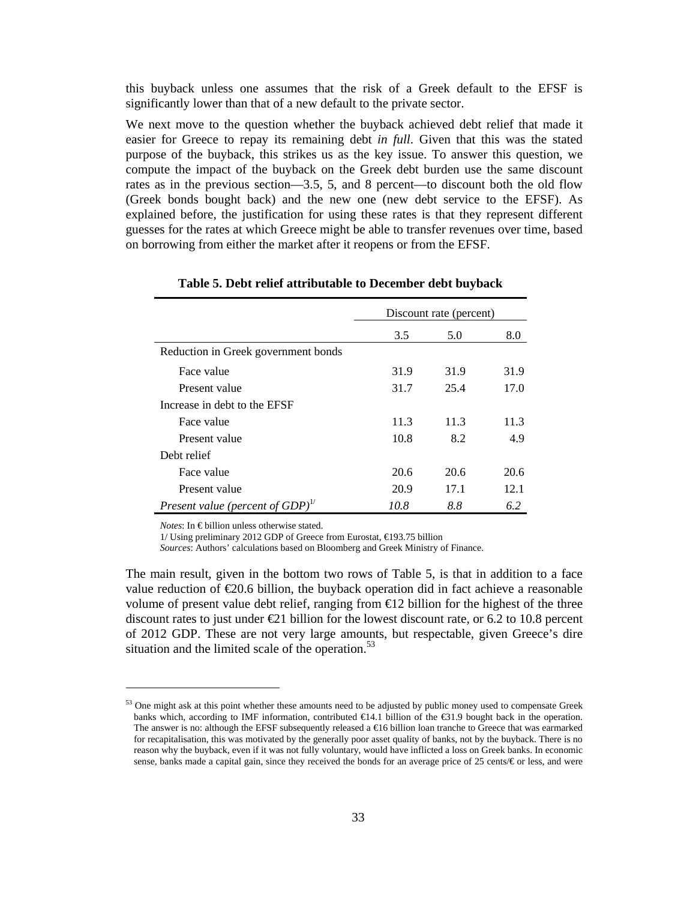this buyback unless one assumes that the risk of a Greek default to the EFSF is significantly lower than that of a new default to the private sector.

We next move to the question whether the buyback achieved debt relief that made it easier for Greece to repay its remaining debt *in full*. Given that this was the stated purpose of the buyback, this strikes us as the key issue. To answer this question, we compute the impact of the buyback on the Greek debt burden use the same discount rates as in the previous section—3.5, 5, and 8 percent—to discount both the old flow (Greek bonds bought back) and the new one (new debt service to the EFSF). As explained before, the justification for using these rates is that they represent different guesses for the rates at which Greece might be able to transfer revenues over time, based on borrowing from either the market after it reopens or from the EFSF.

|                                                 | Discount rate (percent) |      |      |  |
|-------------------------------------------------|-------------------------|------|------|--|
|                                                 | 3.5                     | 5.0  | 8.0  |  |
| Reduction in Greek government bonds             |                         |      |      |  |
| Face value                                      | 31.9                    | 31.9 | 31.9 |  |
| Present value                                   | 31.7                    | 25.4 | 17.0 |  |
| Increase in debt to the EFSF                    |                         |      |      |  |
| Face value                                      | 11.3                    | 11.3 | 11.3 |  |
| Present value                                   | 10.8                    | 8.2  | 4.9  |  |
| Debt relief                                     |                         |      |      |  |
| Face value                                      | 20.6                    | 20.6 | 20.6 |  |
| Present value                                   | 20.9                    | 17.1 | 12.1 |  |
| Present value (percent of $GDP$ ) <sup>1/</sup> | 10.8                    | 8.8  | 6.2  |  |

#### **Table 5. Debt relief attributable to December debt buyback**

*Notes*: In € billion unless otherwise stated.

l

1/ Using preliminary 2012 GDP of Greece from Eurostat, €193.75 billion

*Sources*: Authors' calculations based on Bloomberg and Greek Ministry of Finance.

The main result, given in the bottom two rows of Table 5, is that in addition to a face value reduction of  $\epsilon 20.6$  billion, the buyback operation did in fact achieve a reasonable volume of present value debt relief, ranging from  $\bigoplus$  2 billion for the highest of the three discount rates to just under  $\epsilon 21$  billion for the lowest discount rate, or 6.2 to 10.8 percent of 2012 GDP. These are not very large amounts, but respectable, given Greece's dire situation and the limited scale of the operation.<sup>53</sup>

<sup>&</sup>lt;sup>53</sup> One might ask at this point whether these amounts need to be adjusted by public money used to compensate Greek banks which, according to IMF information, contributed  $\in$  4.1 billion of the  $\in$  1.9 bought back in the operation. The answer is no: although the EFSF subsequently released a  $\epsilon$ 6 billion loan tranche to Greece that was earmarked for recapitalisation, this was motivated by the generally poor asset quality of banks, not by the buyback. There is no reason why the buyback, even if it was not fully voluntary, would have inflicted a loss on Greek banks. In economic sense, banks made a capital gain, since they received the bonds for an average price of 25 cents/€ or less, and were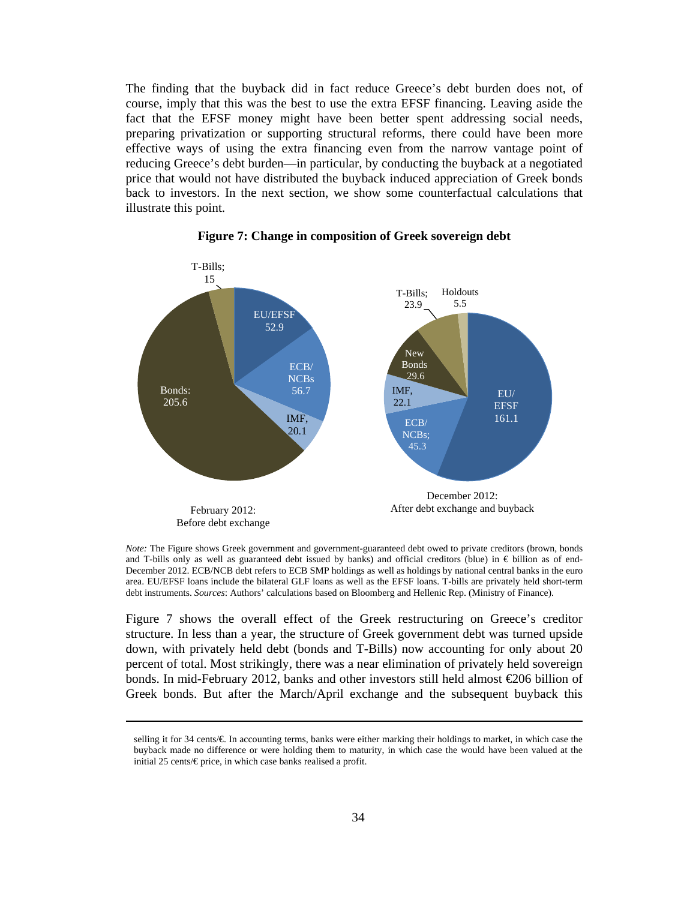The finding that the buyback did in fact reduce Greece's debt burden does not, of course, imply that this was the best to use the extra EFSF financing. Leaving aside the fact that the EFSF money might have been better spent addressing social needs, preparing privatization or supporting structural reforms, there could have been more effective ways of using the extra financing even from the narrow vantage point of reducing Greece's debt burden—in particular, by conducting the buyback at a negotiated price that would not have distributed the buyback induced appreciation of Greek bonds back to investors. In the next section, we show some counterfactual calculations that illustrate this point.



**Figure 7: Change in composition of Greek sovereign debt**

*Note:* The Figure shows Greek government and government-guaranteed debt owed to private creditors (brown, bonds and T-bills only as well as guaranteed debt issued by banks) and official creditors (blue) in € billion as of end-December 2012. ECB/NCB debt refers to ECB SMP holdings as well as holdings by national central banks in the euro area. EU/EFSF loans include the bilateral GLF loans as well as the EFSF loans. T-bills are privately held short-term debt instruments. *Sources*: Authors' calculations based on Bloomberg and Hellenic Rep. (Ministry of Finance).

Figure 7 shows the overall effect of the Greek restructuring on Greece's creditor structure. In less than a year, the structure of Greek government debt was turned upside down, with privately held debt (bonds and T-Bills) now accounting for only about 20 percent of total. Most strikingly, there was a near elimination of privately held sovereign bonds. In mid-February 2012, banks and other investors still held almost €206 billion of Greek bonds. But after the March/April exchange and the subsequent buyback this

 $\overline{a}$ 

selling it for 34 cents/€. In accounting terms, banks were either marking their holdings to market, in which case the buyback made no difference or were holding them to maturity, in which case the would have been valued at the initial 25 cents/€ price, in which case banks realised a profit.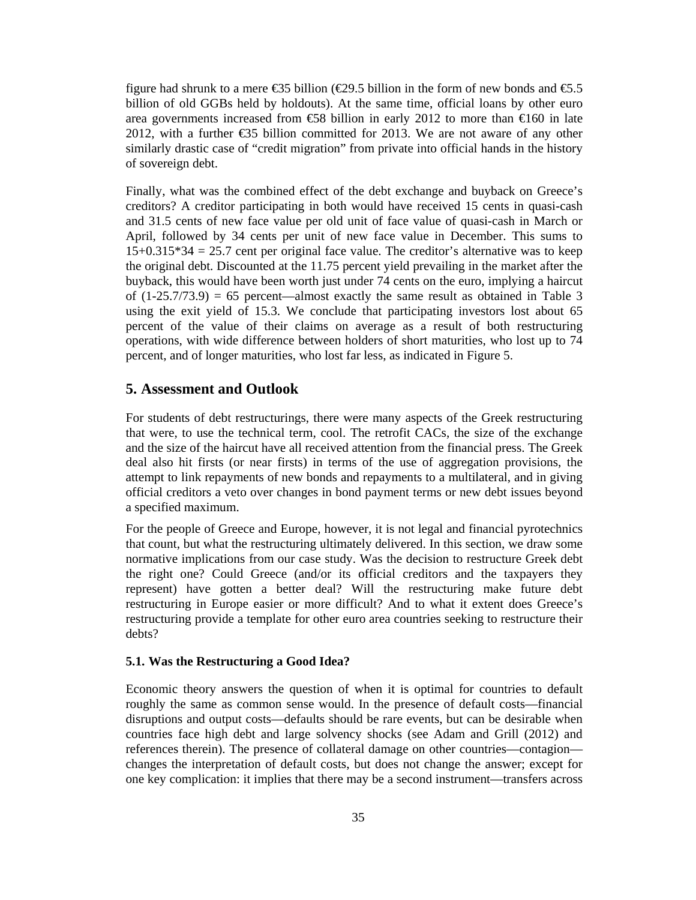figure had shrunk to a mere  $\text{\textsterling}35$  billion ( $\text{\textsterling}9.5$  billion in the form of new bonds and  $\text{\textsterling}5.5$ billion of old GGBs held by holdouts). At the same time, official loans by other euro area governments increased from €58 billion in early 2012 to more than €160 in late 2012, with a further  $\epsilon$ 55 billion committed for 2013. We are not aware of any other similarly drastic case of "credit migration" from private into official hands in the history of sovereign debt.

Finally, what was the combined effect of the debt exchange and buyback on Greece's creditors? A creditor participating in both would have received 15 cents in quasi-cash and 31.5 cents of new face value per old unit of face value of quasi-cash in March or April, followed by 34 cents per unit of new face value in December. This sums to  $15+0.315*34 = 25.7$  cent per original face value. The creditor's alternative was to keep the original debt. Discounted at the 11.75 percent yield prevailing in the market after the buyback, this would have been worth just under 74 cents on the euro, implying a haircut of  $(1-25.7/73.9) = 65$  percent—almost exactly the same result as obtained in Table 3 using the exit yield of 15.3. We conclude that participating investors lost about 65 percent of the value of their claims on average as a result of both restructuring operations, with wide difference between holders of short maturities, who lost up to 74 percent, and of longer maturities, who lost far less, as indicated in Figure 5.

# **5. Assessment and Outlook**

For students of debt restructurings, there were many aspects of the Greek restructuring that were, to use the technical term, cool. The retrofit CACs, the size of the exchange and the size of the haircut have all received attention from the financial press. The Greek deal also hit firsts (or near firsts) in terms of the use of aggregation provisions, the attempt to link repayments of new bonds and repayments to a multilateral, and in giving official creditors a veto over changes in bond payment terms or new debt issues beyond a specified maximum.

For the people of Greece and Europe, however, it is not legal and financial pyrotechnics that count, but what the restructuring ultimately delivered. In this section, we draw some normative implications from our case study. Was the decision to restructure Greek debt the right one? Could Greece (and/or its official creditors and the taxpayers they represent) have gotten a better deal? Will the restructuring make future debt restructuring in Europe easier or more difficult? And to what it extent does Greece's restructuring provide a template for other euro area countries seeking to restructure their debts?

#### **5.1. Was the Restructuring a Good Idea?**

Economic theory answers the question of when it is optimal for countries to default roughly the same as common sense would. In the presence of default costs—financial disruptions and output costs—defaults should be rare events, but can be desirable when countries face high debt and large solvency shocks (see Adam and Grill (2012) and references therein). The presence of collateral damage on other countries—contagion changes the interpretation of default costs, but does not change the answer; except for one key complication: it implies that there may be a second instrument—transfers across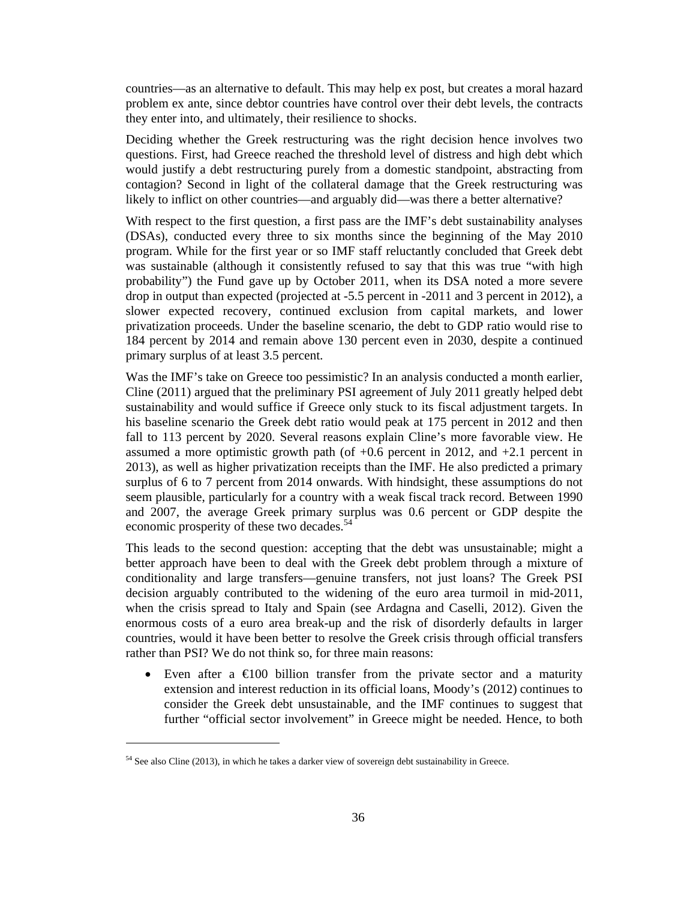countries—as an alternative to default. This may help ex post, but creates a moral hazard problem ex ante, since debtor countries have control over their debt levels, the contracts they enter into, and ultimately, their resilience to shocks.

Deciding whether the Greek restructuring was the right decision hence involves two questions. First, had Greece reached the threshold level of distress and high debt which would justify a debt restructuring purely from a domestic standpoint, abstracting from contagion? Second in light of the collateral damage that the Greek restructuring was likely to inflict on other countries—and arguably did—was there a better alternative?

With respect to the first question, a first pass are the IMF's debt sustainability analyses (DSAs), conducted every three to six months since the beginning of the May 2010 program. While for the first year or so IMF staff reluctantly concluded that Greek debt was sustainable (although it consistently refused to say that this was true "with high probability") the Fund gave up by October 2011, when its DSA noted a more severe drop in output than expected (projected at -5.5 percent in -2011 and 3 percent in 2012), a slower expected recovery, continued exclusion from capital markets, and lower privatization proceeds. Under the baseline scenario, the debt to GDP ratio would rise to 184 percent by 2014 and remain above 130 percent even in 2030, despite a continued primary surplus of at least 3.5 percent.

Was the IMF's take on Greece too pessimistic? In an analysis conducted a month earlier, Cline (2011) argued that the preliminary PSI agreement of July 2011 greatly helped debt sustainability and would suffice if Greece only stuck to its fiscal adjustment targets. In his baseline scenario the Greek debt ratio would peak at 175 percent in 2012 and then fall to 113 percent by 2020. Several reasons explain Cline's more favorable view. He assumed a more optimistic growth path (of  $+0.6$  percent in 2012, and  $+2.1$  percent in 2013), as well as higher privatization receipts than the IMF. He also predicted a primary surplus of 6 to 7 percent from 2014 onwards. With hindsight, these assumptions do not seem plausible, particularly for a country with a weak fiscal track record. Between 1990 and 2007, the average Greek primary surplus was 0.6 percent or GDP despite the economic prosperity of these two decades.<sup>54</sup>

This leads to the second question: accepting that the debt was unsustainable; might a better approach have been to deal with the Greek debt problem through a mixture of conditionality and large transfers—genuine transfers, not just loans? The Greek PSI decision arguably contributed to the widening of the euro area turmoil in mid-2011, when the crisis spread to Italy and Spain (see Ardagna and Caselli, 2012). Given the enormous costs of a euro area break-up and the risk of disorderly defaults in larger countries, would it have been better to resolve the Greek crisis through official transfers rather than PSI? We do not think so, for three main reasons:

Even after a  $\infty$  billion transfer from the private sector and a maturity extension and interest reduction in its official loans, Moody's (2012) continues to consider the Greek debt unsustainable, and the IMF continues to suggest that further "official sector involvement" in Greece might be needed. Hence, to both

 $\overline{a}$ 

<sup>&</sup>lt;sup>54</sup> See also Cline (2013), in which he takes a darker view of sovereign debt sustainability in Greece.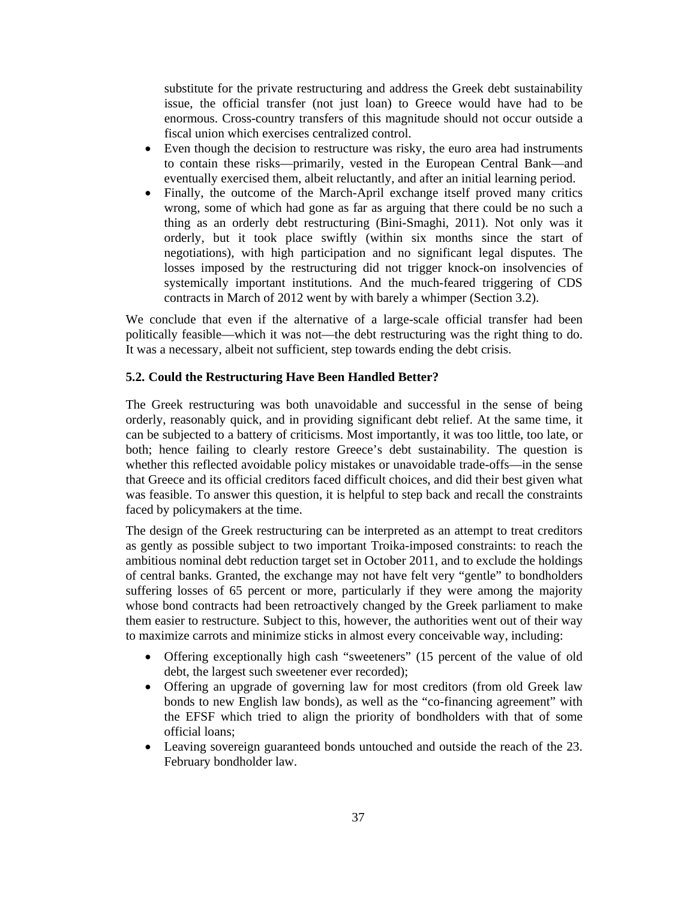substitute for the private restructuring and address the Greek debt sustainability issue, the official transfer (not just loan) to Greece would have had to be enormous. Cross-country transfers of this magnitude should not occur outside a fiscal union which exercises centralized control.

- Even though the decision to restructure was risky, the euro area had instruments to contain these risks—primarily, vested in the European Central Bank—and eventually exercised them, albeit reluctantly, and after an initial learning period.
- Finally, the outcome of the March-April exchange itself proved many critics wrong, some of which had gone as far as arguing that there could be no such a thing as an orderly debt restructuring (Bini-Smaghi, 2011). Not only was it orderly, but it took place swiftly (within six months since the start of negotiations), with high participation and no significant legal disputes. The losses imposed by the restructuring did not trigger knock-on insolvencies of systemically important institutions. And the much-feared triggering of CDS contracts in March of 2012 went by with barely a whimper (Section 3.2).

We conclude that even if the alternative of a large-scale official transfer had been politically feasible—which it was not—the debt restructuring was the right thing to do. It was a necessary, albeit not sufficient, step towards ending the debt crisis.

# **5.2. Could the Restructuring Have Been Handled Better?**

The Greek restructuring was both unavoidable and successful in the sense of being orderly, reasonably quick, and in providing significant debt relief. At the same time, it can be subjected to a battery of criticisms. Most importantly, it was too little, too late, or both; hence failing to clearly restore Greece's debt sustainability. The question is whether this reflected avoidable policy mistakes or unavoidable trade-offs—in the sense that Greece and its official creditors faced difficult choices, and did their best given what was feasible. To answer this question, it is helpful to step back and recall the constraints faced by policymakers at the time.

The design of the Greek restructuring can be interpreted as an attempt to treat creditors as gently as possible subject to two important Troika-imposed constraints: to reach the ambitious nominal debt reduction target set in October 2011, and to exclude the holdings of central banks. Granted, the exchange may not have felt very "gentle" to bondholders suffering losses of 65 percent or more, particularly if they were among the majority whose bond contracts had been retroactively changed by the Greek parliament to make them easier to restructure. Subject to this, however, the authorities went out of their way to maximize carrots and minimize sticks in almost every conceivable way, including:

- Offering exceptionally high cash "sweeteners" (15 percent of the value of old debt, the largest such sweetener ever recorded);
- Offering an upgrade of governing law for most creditors (from old Greek law bonds to new English law bonds), as well as the "co-financing agreement" with the EFSF which tried to align the priority of bondholders with that of some official loans;
- Leaving sovereign guaranteed bonds untouched and outside the reach of the 23. February bondholder law.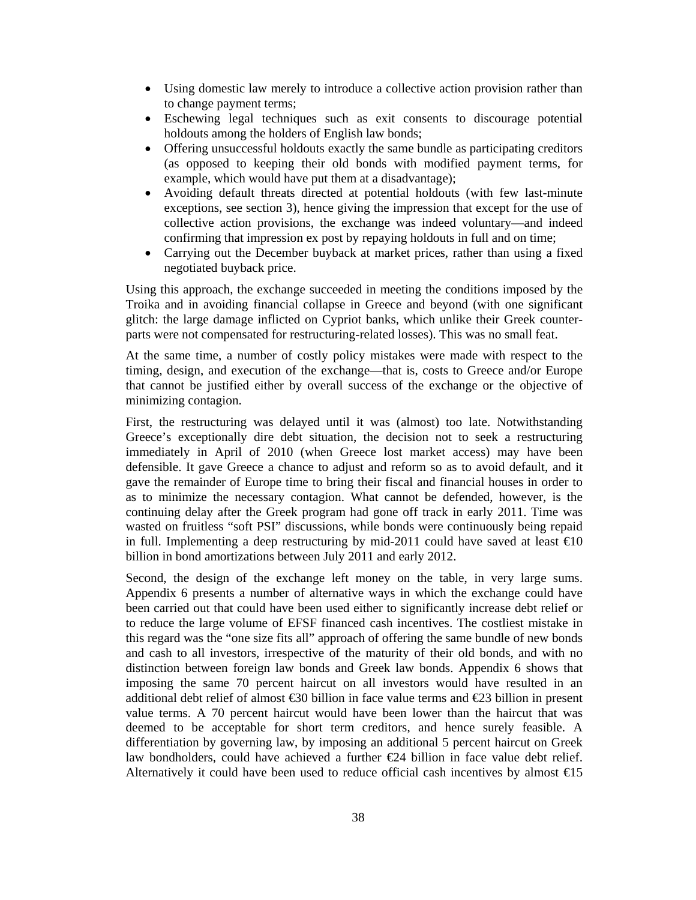- Using domestic law merely to introduce a collective action provision rather than to change payment terms;
- Eschewing legal techniques such as exit consents to discourage potential holdouts among the holders of English law bonds;
- Offering unsuccessful holdouts exactly the same bundle as participating creditors (as opposed to keeping their old bonds with modified payment terms, for example, which would have put them at a disadvantage);
- Avoiding default threats directed at potential holdouts (with few last-minute exceptions, see section 3), hence giving the impression that except for the use of collective action provisions, the exchange was indeed voluntary—and indeed confirming that impression ex post by repaying holdouts in full and on time;
- Carrying out the December buyback at market prices, rather than using a fixed negotiated buyback price.

Using this approach, the exchange succeeded in meeting the conditions imposed by the Troika and in avoiding financial collapse in Greece and beyond (with one significant glitch: the large damage inflicted on Cypriot banks, which unlike their Greek counterparts were not compensated for restructuring-related losses). This was no small feat.

At the same time, a number of costly policy mistakes were made with respect to the timing, design, and execution of the exchange—that is, costs to Greece and/or Europe that cannot be justified either by overall success of the exchange or the objective of minimizing contagion.

First, the restructuring was delayed until it was (almost) too late. Notwithstanding Greece's exceptionally dire debt situation, the decision not to seek a restructuring immediately in April of 2010 (when Greece lost market access) may have been defensible. It gave Greece a chance to adjust and reform so as to avoid default, and it gave the remainder of Europe time to bring their fiscal and financial houses in order to as to minimize the necessary contagion. What cannot be defended, however, is the continuing delay after the Greek program had gone off track in early 2011. Time was wasted on fruitless "soft PSI" discussions, while bonds were continuously being repaid in full. Implementing a deep restructuring by mid-2011 could have saved at least  $\text{\textsterling}0$ billion in bond amortizations between July 2011 and early 2012.

Second, the design of the exchange left money on the table, in very large sums. Appendix 6 presents a number of alternative ways in which the exchange could have been carried out that could have been used either to significantly increase debt relief or to reduce the large volume of EFSF financed cash incentives. The costliest mistake in this regard was the "one size fits all" approach of offering the same bundle of new bonds and cash to all investors, irrespective of the maturity of their old bonds, and with no distinction between foreign law bonds and Greek law bonds. Appendix 6 shows that imposing the same 70 percent haircut on all investors would have resulted in an additional debt relief of almost  $\textcircled{3}0$  billion in face value terms and  $\textcircled{2}3$  billion in present value terms. A 70 percent haircut would have been lower than the haircut that was deemed to be acceptable for short term creditors, and hence surely feasible. A differentiation by governing law, by imposing an additional 5 percent haircut on Greek law bondholders, could have achieved a further €24 billion in face value debt relief. Alternatively it could have been used to reduce official cash incentives by almost  $\epsilon$ 15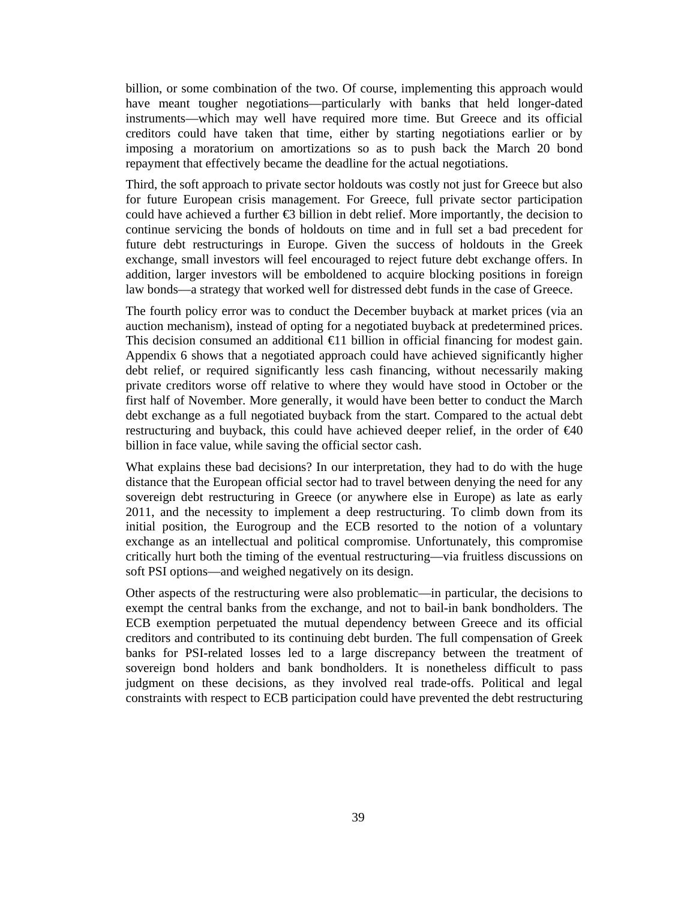billion, or some combination of the two. Of course, implementing this approach would have meant tougher negotiations—particularly with banks that held longer-dated instruments—which may well have required more time. But Greece and its official creditors could have taken that time, either by starting negotiations earlier or by imposing a moratorium on amortizations so as to push back the March 20 bond repayment that effectively became the deadline for the actual negotiations.

Third, the soft approach to private sector holdouts was costly not just for Greece but also for future European crisis management. For Greece, full private sector participation could have achieved a further  $\bigoplus$  billion in debt relief. More importantly, the decision to continue servicing the bonds of holdouts on time and in full set a bad precedent for future debt restructurings in Europe. Given the success of holdouts in the Greek exchange, small investors will feel encouraged to reject future debt exchange offers. In addition, larger investors will be emboldened to acquire blocking positions in foreign law bonds—a strategy that worked well for distressed debt funds in the case of Greece.

The fourth policy error was to conduct the December buyback at market prices (via an auction mechanism), instead of opting for a negotiated buyback at predetermined prices. This decision consumed an additional  $\bigoplus$  1 billion in official financing for modest gain. Appendix 6 shows that a negotiated approach could have achieved significantly higher debt relief, or required significantly less cash financing, without necessarily making private creditors worse off relative to where they would have stood in October or the first half of November. More generally, it would have been better to conduct the March debt exchange as a full negotiated buyback from the start. Compared to the actual debt restructuring and buyback, this could have achieved deeper relief, in the order of  $\epsilon 40$ billion in face value, while saving the official sector cash.

What explains these bad decisions? In our interpretation, they had to do with the huge distance that the European official sector had to travel between denying the need for any sovereign debt restructuring in Greece (or anywhere else in Europe) as late as early 2011, and the necessity to implement a deep restructuring. To climb down from its initial position, the Eurogroup and the ECB resorted to the notion of a voluntary exchange as an intellectual and political compromise. Unfortunately, this compromise critically hurt both the timing of the eventual restructuring—via fruitless discussions on soft PSI options—and weighed negatively on its design.

Other aspects of the restructuring were also problematic—in particular, the decisions to exempt the central banks from the exchange, and not to bail-in bank bondholders. The ECB exemption perpetuated the mutual dependency between Greece and its official creditors and contributed to its continuing debt burden. The full compensation of Greek banks for PSI-related losses led to a large discrepancy between the treatment of sovereign bond holders and bank bondholders. It is nonetheless difficult to pass judgment on these decisions, as they involved real trade-offs. Political and legal constraints with respect to ECB participation could have prevented the debt restructuring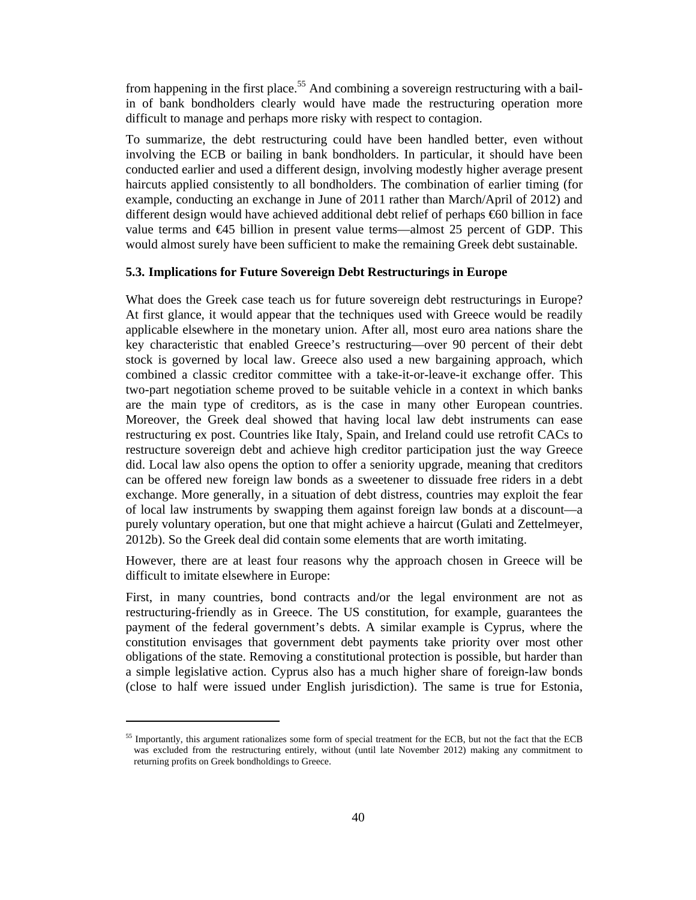from happening in the first place.<sup>55</sup> And combining a sovereign restructuring with a bailin of bank bondholders clearly would have made the restructuring operation more difficult to manage and perhaps more risky with respect to contagion.

To summarize, the debt restructuring could have been handled better, even without involving the ECB or bailing in bank bondholders. In particular, it should have been conducted earlier and used a different design, involving modestly higher average present haircuts applied consistently to all bondholders. The combination of earlier timing (for example, conducting an exchange in June of 2011 rather than March/April of 2012) and different design would have achieved additional debt relief of perhaps €60 billion in face value terms and €45 billion in present value terms—almost 25 percent of GDP. This would almost surely have been sufficient to make the remaining Greek debt sustainable.

#### **5.3. Implications for Future Sovereign Debt Restructurings in Europe**

What does the Greek case teach us for future sovereign debt restructurings in Europe? At first glance, it would appear that the techniques used with Greece would be readily applicable elsewhere in the monetary union. After all, most euro area nations share the key characteristic that enabled Greece's restructuring—over 90 percent of their debt stock is governed by local law. Greece also used a new bargaining approach, which combined a classic creditor committee with a take-it-or-leave-it exchange offer. This two-part negotiation scheme proved to be suitable vehicle in a context in which banks are the main type of creditors, as is the case in many other European countries. Moreover, the Greek deal showed that having local law debt instruments can ease restructuring ex post. Countries like Italy, Spain, and Ireland could use retrofit CACs to restructure sovereign debt and achieve high creditor participation just the way Greece did. Local law also opens the option to offer a seniority upgrade, meaning that creditors can be offered new foreign law bonds as a sweetener to dissuade free riders in a debt exchange. More generally, in a situation of debt distress, countries may exploit the fear of local law instruments by swapping them against foreign law bonds at a discount—a purely voluntary operation, but one that might achieve a haircut (Gulati and Zettelmeyer, 2012b). So the Greek deal did contain some elements that are worth imitating.

However, there are at least four reasons why the approach chosen in Greece will be difficult to imitate elsewhere in Europe:

First, in many countries, bond contracts and/or the legal environment are not as restructuring-friendly as in Greece. The US constitution, for example, guarantees the payment of the federal government's debts. A similar example is Cyprus, where the constitution envisages that government debt payments take priority over most other obligations of the state. Removing a constitutional protection is possible, but harder than a simple legislative action. Cyprus also has a much higher share of foreign-law bonds (close to half were issued under English jurisdiction). The same is true for Estonia,

 $\overline{a}$ 

<sup>&</sup>lt;sup>55</sup> Importantly, this argument rationalizes some form of special treatment for the ECB, but not the fact that the ECB was excluded from the restructuring entirely, without (until late November 2012) making any commitment to returning profits on Greek bondholdings to Greece.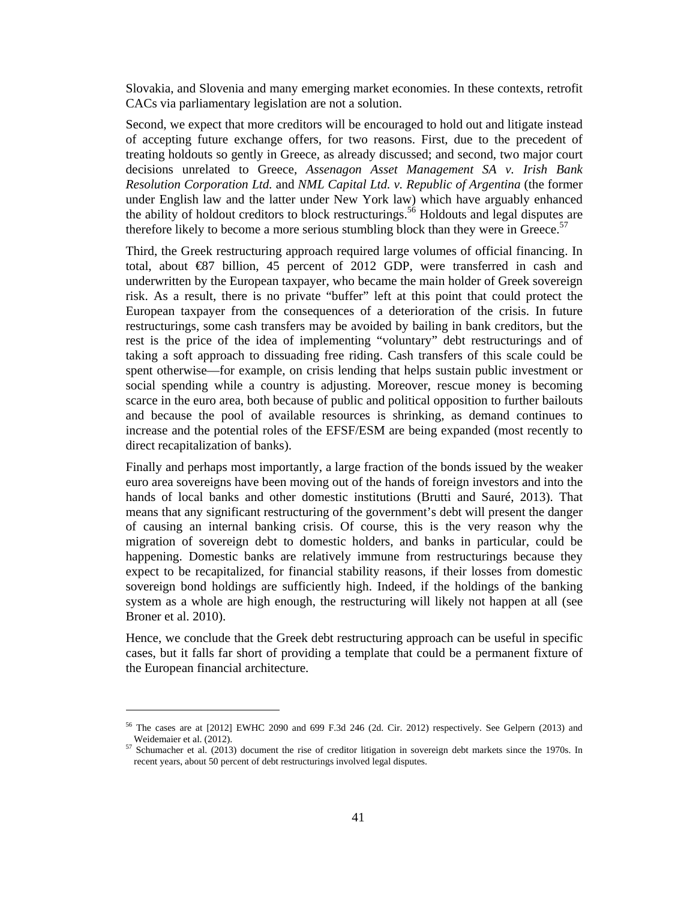Slovakia, and Slovenia and many emerging market economies. In these contexts, retrofit CACs via parliamentary legislation are not a solution.

Second, we expect that more creditors will be encouraged to hold out and litigate instead of accepting future exchange offers, for two reasons. First, due to the precedent of treating holdouts so gently in Greece, as already discussed; and second, two major court decisions unrelated to Greece, *Assenagon Asset Management SA v. Irish Bank Resolution Corporation Ltd.* and *NML Capital Ltd. v. Republic of Argentina* (the former under English law and the latter under New York law) which have arguably enhanced the ability of holdout creditors to block restructurings.<sup>56</sup> Holdouts and legal disputes are therefore likely to become a more serious stumbling block than they were in Greece.<sup>57</sup>

Third, the Greek restructuring approach required large volumes of official financing. In total, about €87 billion, 45 percent of 2012 GDP, were transferred in cash and underwritten by the European taxpayer, who became the main holder of Greek sovereign risk. As a result, there is no private "buffer" left at this point that could protect the European taxpayer from the consequences of a deterioration of the crisis. In future restructurings, some cash transfers may be avoided by bailing in bank creditors, but the rest is the price of the idea of implementing "voluntary" debt restructurings and of taking a soft approach to dissuading free riding. Cash transfers of this scale could be spent otherwise—for example, on crisis lending that helps sustain public investment or social spending while a country is adjusting. Moreover, rescue money is becoming scarce in the euro area, both because of public and political opposition to further bailouts and because the pool of available resources is shrinking, as demand continues to increase and the potential roles of the EFSF/ESM are being expanded (most recently to direct recapitalization of banks).

Finally and perhaps most importantly, a large fraction of the bonds issued by the weaker euro area sovereigns have been moving out of the hands of foreign investors and into the hands of local banks and other domestic institutions (Brutti and Sauré, 2013). That means that any significant restructuring of the government's debt will present the danger of causing an internal banking crisis. Of course, this is the very reason why the migration of sovereign debt to domestic holders, and banks in particular, could be happening. Domestic banks are relatively immune from restructurings because they expect to be recapitalized, for financial stability reasons, if their losses from domestic sovereign bond holdings are sufficiently high. Indeed, if the holdings of the banking system as a whole are high enough, the restructuring will likely not happen at all (see Broner et al. 2010).

Hence, we conclude that the Greek debt restructuring approach can be useful in specific cases, but it falls far short of providing a template that could be a permanent fixture of the European financial architecture.

<sup>56</sup> The cases are at [2012] EWHC 2090 and 699 F.3d 246 (2d. Cir. 2012) respectively. See Gelpern (2013) and Weidemaier et al. (2012).<br><sup>57</sup> Schumacher et al. (2013) document the rise of creditor litigation in sovereign debt markets since the 1970s. In

recent years, about 50 percent of debt restructurings involved legal disputes.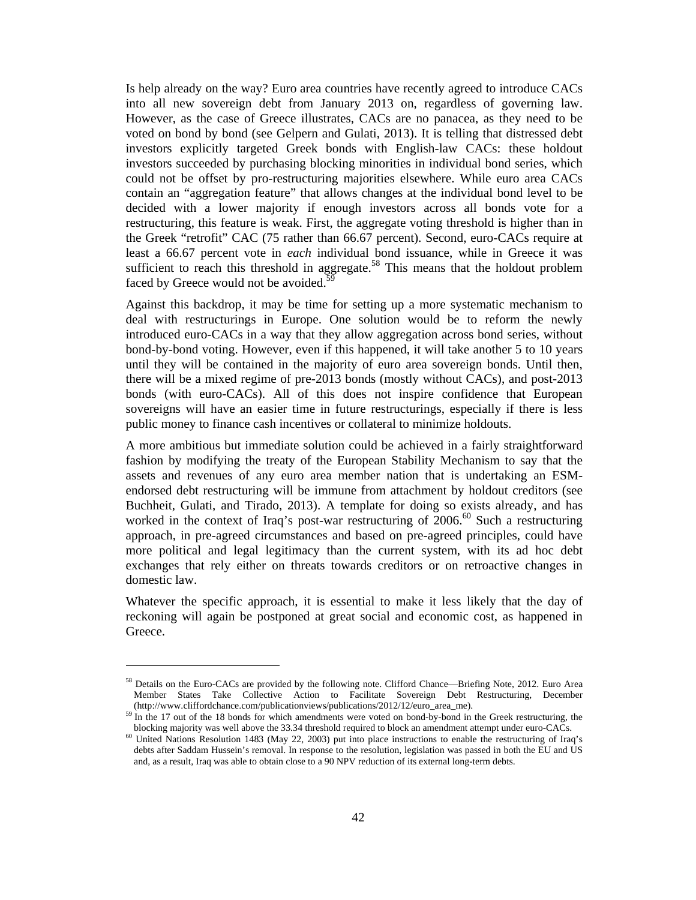Is help already on the way? Euro area countries have recently agreed to introduce CACs into all new sovereign debt from January 2013 on, regardless of governing law. However, as the case of Greece illustrates, CACs are no panacea, as they need to be voted on bond by bond (see Gelpern and Gulati, 2013). It is telling that distressed debt investors explicitly targeted Greek bonds with English-law CACs: these holdout investors succeeded by purchasing blocking minorities in individual bond series, which could not be offset by pro-restructuring majorities elsewhere. While euro area CACs contain an "aggregation feature" that allows changes at the individual bond level to be decided with a lower majority if enough investors across all bonds vote for a restructuring, this feature is weak. First, the aggregate voting threshold is higher than in the Greek "retrofit" CAC (75 rather than 66.67 percent). Second, euro-CACs require at least a 66.67 percent vote in *each* individual bond issuance, while in Greece it was sufficient to reach this threshold in aggregate.<sup>58</sup> This means that the holdout problem faced by Greece would not be avoided.<sup>59</sup>

Against this backdrop, it may be time for setting up a more systematic mechanism to deal with restructurings in Europe. One solution would be to reform the newly introduced euro-CACs in a way that they allow aggregation across bond series, without bond-by-bond voting. However, even if this happened, it will take another 5 to 10 years until they will be contained in the majority of euro area sovereign bonds. Until then, there will be a mixed regime of pre-2013 bonds (mostly without CACs), and post-2013 bonds (with euro-CACs). All of this does not inspire confidence that European sovereigns will have an easier time in future restructurings, especially if there is less public money to finance cash incentives or collateral to minimize holdouts.

A more ambitious but immediate solution could be achieved in a fairly straightforward fashion by modifying the treaty of the European Stability Mechanism to say that the assets and revenues of any euro area member nation that is undertaking an ESMendorsed debt restructuring will be immune from attachment by holdout creditors (see Buchheit, Gulati, and Tirado, 2013). A template for doing so exists already, and has worked in the context of Iraq's post-war restructuring of  $2006$ .<sup>60</sup> Such a restructuring approach, in pre-agreed circumstances and based on pre-agreed principles, could have more political and legal legitimacy than the current system, with its ad hoc debt exchanges that rely either on threats towards creditors or on retroactive changes in domestic law.

Whatever the specific approach, it is essential to make it less likely that the day of reckoning will again be postponed at great social and economic cost, as happened in Greece.

<sup>&</sup>lt;sup>58</sup> Details on the Euro-CACs are provided by the following note. Clifford Chance—Briefing Note, 2012. Euro Area Member States Take Collective Action to Facilitate Sovereign Debt Restructuring, December (http://www.cliffordchance.com/publicationviews/publications/2012/12/euro\_area\_me).

 $59$  In the 17 out of the 18 bonds for which amendments were voted on bond-by-bond in the Greek restructuring, the blocking majority was well above the 33.34 threshold required to block an amendment attempt under euro-CACs. 60 United Nations Resolution 1483 (May 22, 2003) put into place instructions to enable the restructuring of Iraq's

debts after Saddam Hussein's removal. In response to the resolution, legislation was passed in both the EU and US and, as a result, Iraq was able to obtain close to a 90 NPV reduction of its external long-term debts.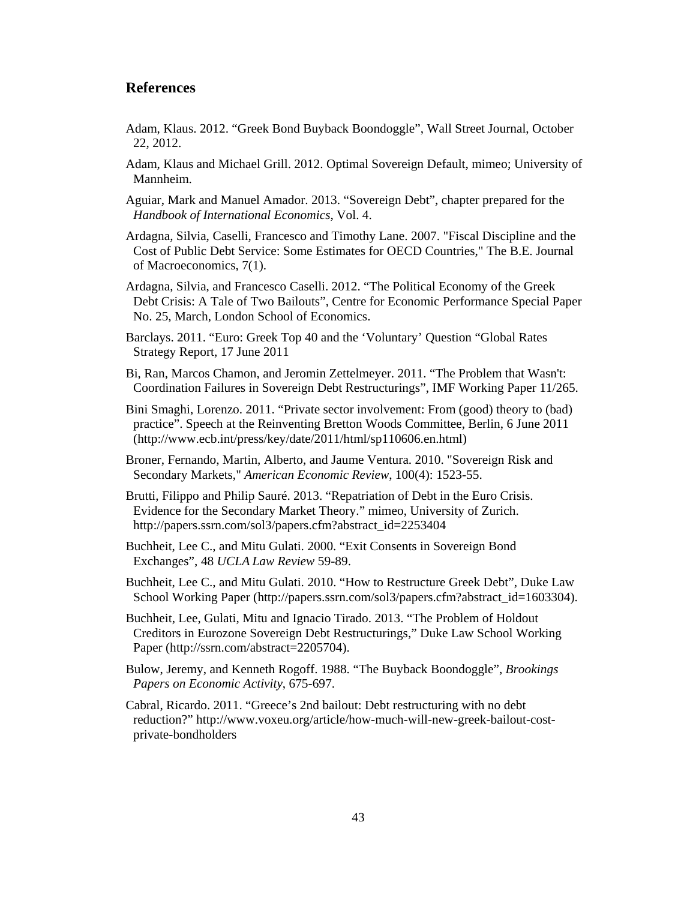# **References**

- Adam, Klaus. 2012. "Greek Bond Buyback Boondoggle", Wall Street Journal, October 22, 2012.
- Adam, Klaus and Michael Grill. 2012. Optimal Sovereign Default, mimeo; University of Mannheim.
- Aguiar, Mark and Manuel Amador. 2013. "Sovereign Debt", chapter prepared for the *Handbook of International Economics*, Vol. 4.
- Ardagna, Silvia, Caselli, Francesco and Timothy Lane. 2007. "Fiscal Discipline and the Cost of Public Debt Service: Some Estimates for OECD Countries," The B.E. Journal of Macroeconomics, 7(1).
- Ardagna, Silvia, and Francesco Caselli. 2012. "The Political Economy of the Greek Debt Crisis: A Tale of Two Bailouts", Centre for Economic Performance Special Paper No. 25, March, London School of Economics.
- Barclays. 2011. "Euro: Greek Top 40 and the 'Voluntary' Question "Global Rates Strategy Report, 17 June 2011
- Bi, Ran, Marcos Chamon, and Jeromin Zettelmeyer. 2011. "The Problem that Wasn't: Coordination Failures in Sovereign Debt Restructurings", IMF Working Paper 11/265.
- Bini Smaghi, Lorenzo. 2011. "Private sector involvement: From (good) theory to (bad) practice". Speech at the Reinventing Bretton Woods Committee, Berlin, 6 June 2011 (http://www.ecb.int/press/key/date/2011/html/sp110606.en.html)

Broner, Fernando, Martin, Alberto, and Jaume Ventura. 2010. "Sovereign Risk and Secondary Markets," *American Economic Review*, 100(4): 1523-55.

- Brutti, Filippo and Philip Sauré. 2013. "Repatriation of Debt in the Euro Crisis. Evidence for the Secondary Market Theory." mimeo, University of Zurich. http://papers.ssrn.com/sol3/papers.cfm?abstract\_id=2253404
- Buchheit, Lee C., and Mitu Gulati. 2000. "Exit Consents in Sovereign Bond Exchanges", 48 *UCLA Law Review* 59-89.
- Buchheit, Lee C., and Mitu Gulati. 2010. "How to Restructure Greek Debt", Duke Law School Working Paper (http://papers.ssrn.com/sol3/papers.cfm?abstract\_id=1603304).
- Buchheit, Lee, Gulati, Mitu and Ignacio Tirado. 2013. "The Problem of Holdout Creditors in Eurozone Sovereign Debt Restructurings," Duke Law School Working Paper (http://ssrn.com/abstract=2205704).
- Bulow, Jeremy, and Kenneth Rogoff. 1988. "The Buyback Boondoggle", *Brookings Papers on Economic Activity*, 675-697.
- Cabral, Ricardo. 2011. "Greece's 2nd bailout: Debt restructuring with no debt reduction?" http://www.voxeu.org/article/how-much-will-new-greek-bailout-costprivate-bondholders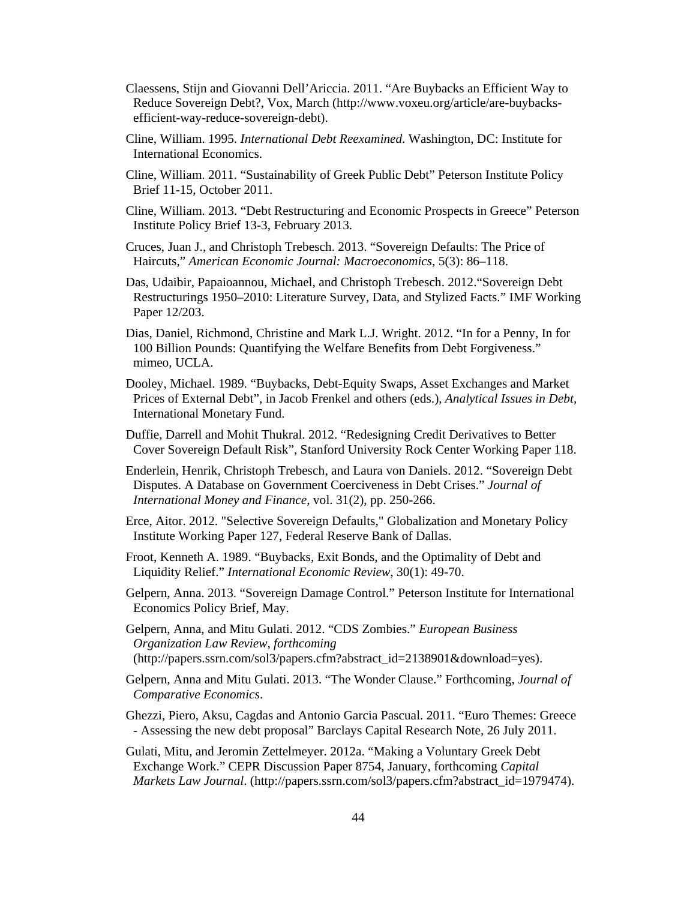- Claessens, Stijn and Giovanni Dell'Ariccia. 2011. "Are Buybacks an Efficient Way to Reduce Sovereign Debt?, Vox, March (http://www.voxeu.org/article/are-buybacksefficient-way-reduce-sovereign-debt).
- Cline, William. 1995. *International Debt Reexamined*. Washington, DC: Institute for International Economics.
- Cline, William. 2011. "Sustainability of Greek Public Debt" Peterson Institute Policy Brief 11-15, October 2011.
- Cline, William. 2013. "Debt Restructuring and Economic Prospects in Greece" Peterson Institute Policy Brief 13-3, February 2013.
- Cruces, Juan J., and Christoph Trebesch. 2013. "Sovereign Defaults: The Price of Haircuts," *American Economic Journal: Macroeconomics*, 5(3): 86–118.
- Das, Udaibir, Papaioannou, Michael, and Christoph Trebesch. 2012."Sovereign Debt Restructurings 1950–2010: Literature Survey*,* Data*,* and Stylized Facts." IMF Working Paper 12/203.
- Dias, Daniel, Richmond, Christine and Mark L.J. Wright. 2012. "In for a Penny, In for 100 Billion Pounds: Quantifying the Welfare Benefits from Debt Forgiveness." mimeo, UCLA.
- Dooley, Michael. 1989. "Buybacks, Debt-Equity Swaps, Asset Exchanges and Market Prices of External Debt", in Jacob Frenkel and others (eds.), *Analytical Issues in Debt,*  International Monetary Fund.
- Duffie, Darrell and Mohit Thukral. 2012. "Redesigning Credit Derivatives to Better Cover Sovereign Default Risk", Stanford University Rock Center Working Paper 118.
- Enderlein, Henrik, Christoph Trebesch, and Laura von Daniels. 2012. "Sovereign Debt Disputes. A Database on Government Coerciveness in Debt Crises." *Journal of International Money and Finance*, vol. 31(2), pp. 250-266.
- Erce, Aitor. 2012. "Selective Sovereign Defaults," Globalization and Monetary Policy Institute Working Paper 127, Federal Reserve Bank of Dallas.
- Froot, Kenneth A. 1989. "Buybacks, Exit Bonds, and the Optimality of Debt and Liquidity Relief." *International Economic Review*, 30(1): 49-70.
- Gelpern, Anna. 2013. "Sovereign Damage Control." Peterson Institute for International Economics Policy Brief, May.
- Gelpern, Anna, and Mitu Gulati. 2012. "CDS Zombies." *European Business Organization Law Review, forthcoming*  (http://papers.ssrn.com/sol3/papers.cfm?abstract\_id=2138901&download=yes).
- Gelpern, Anna and Mitu Gulati. 2013. "The Wonder Clause." Forthcoming, *Journal of Comparative Economics*.
- Ghezzi, Piero, Aksu, Cagdas and Antonio Garcia Pascual. 2011. "Euro Themes: Greece - Assessing the new debt proposal" Barclays Capital Research Note, 26 July 2011.
- Gulati, Mitu, and Jeromin Zettelmeyer. 2012a. "Making a Voluntary Greek Debt Exchange Work." CEPR Discussion Paper 8754, January, forthcoming *Capital Markets Law Journal*. (http://papers.ssrn.com/sol3/papers.cfm?abstract\_id=1979474).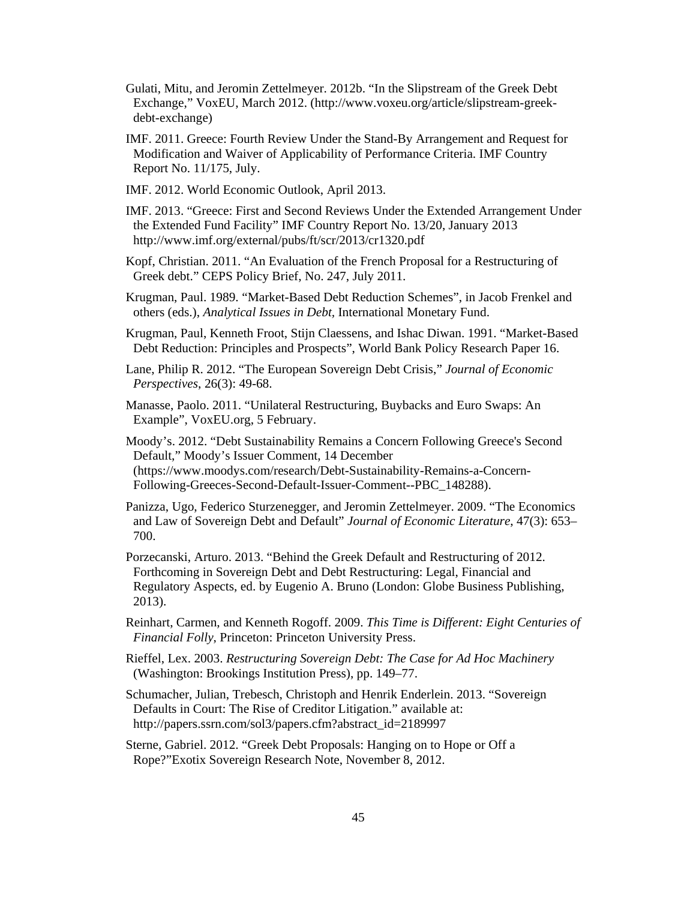- Gulati, Mitu, and Jeromin Zettelmeyer. 2012b. "In the Slipstream of the Greek Debt Exchange," VoxEU, March 2012. (http://www.voxeu.org/article/slipstream-greekdebt-exchange)
- IMF. 2011. Greece: Fourth Review Under the Stand-By Arrangement and Request for Modification and Waiver of Applicability of Performance Criteria. IMF Country Report No. 11/175, July.
- IMF. 2012. World Economic Outlook, April 2013.
- IMF. 2013. "Greece: First and Second Reviews Under the Extended Arrangement Under the Extended Fund Facility" IMF Country Report No. 13/20, January 2013 http://www.imf.org/external/pubs/ft/scr/2013/cr1320.pdf
- Kopf, Christian. 2011. "An Evaluation of the French Proposal for a Restructuring of Greek debt." CEPS Policy Brief, No. 247, July 2011.
- Krugman, Paul. 1989. "Market-Based Debt Reduction Schemes", in Jacob Frenkel and others (eds.), *Analytical Issues in Debt,* International Monetary Fund.
- Krugman, Paul, Kenneth Froot, Stijn Claessens, and Ishac Diwan. 1991. "Market-Based Debt Reduction: Principles and Prospects", World Bank Policy Research Paper 16.
- Lane, Philip R. 2012. "The European Sovereign Debt Crisis," *Journal of Economic Perspectives*, 26(3): 49-68.
- Manasse, Paolo. 2011. "Unilateral Restructuring, Buybacks and Euro Swaps: An Example", VoxEU.org, 5 February.

Moody's. 2012. "Debt Sustainability Remains a Concern Following Greece's Second Default," Moody's Issuer Comment, 14 December (https://www.moodys.com/research/Debt-Sustainability-Remains-a-Concern-Following-Greeces-Second-Default-Issuer-Comment--PBC\_148288).

- Panizza, Ugo, Federico Sturzenegger, and Jeromin Zettelmeyer. 2009. "The Economics and Law of Sovereign Debt and Default" *Journal of Economic Literature*, 47(3): 653– 700.
- Porzecanski, Arturo. 2013. "Behind the Greek Default and Restructuring of 2012. Forthcoming in Sovereign Debt and Debt Restructuring: Legal, Financial and Regulatory Aspects, ed. by Eugenio A. Bruno (London: Globe Business Publishing, 2013).
- Reinhart, Carmen, and Kenneth Rogoff. 2009. *This Time is Different: Eight Centuries of Financial Folly*, Princeton: Princeton University Press.
- Rieffel, Lex. 2003. *Restructuring Sovereign Debt: The Case for Ad Hoc Machinery*  (Washington: Brookings Institution Press), pp. 149–77.
- Schumacher, Julian, Trebesch, Christoph and Henrik Enderlein. 2013. "Sovereign Defaults in Court: The Rise of Creditor Litigation." available at: http://papers.ssrn.com/sol3/papers.cfm?abstract\_id=2189997
- Sterne, Gabriel. 2012. "Greek Debt Proposals: Hanging on to Hope or Off a Rope?"Exotix Sovereign Research Note, November 8, 2012.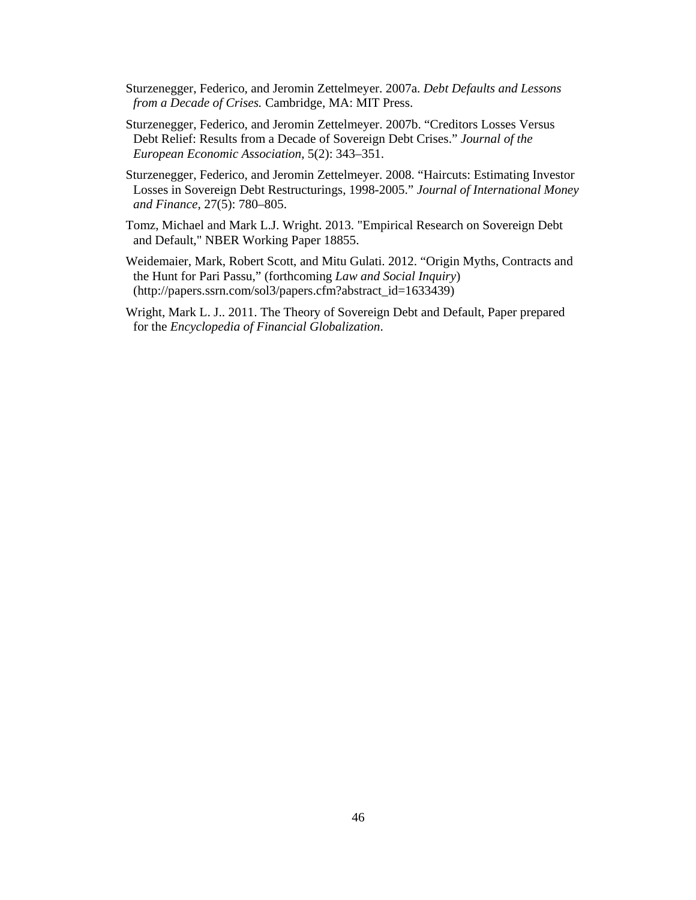Sturzenegger, Federico, and Jeromin Zettelmeyer. 2007a. *Debt Defaults and Lessons from a Decade of Crises.* Cambridge, MA: MIT Press.

- Sturzenegger, Federico, and Jeromin Zettelmeyer. 2007b. "Creditors Losses Versus Debt Relief: Results from a Decade of Sovereign Debt Crises." *Journal of the European Economic Association*, 5(2): 343–351.
- Sturzenegger, Federico, and Jeromin Zettelmeyer. 2008. "Haircuts: Estimating Investor Losses in Sovereign Debt Restructurings, 1998-2005." *Journal of International Money and Finance*, 27(5): 780–805.
- Tomz, Michael and Mark L.J. Wright. 2013. "Empirical Research on Sovereign Debt and Default," NBER Working Paper 18855.
- Weidemaier, Mark, Robert Scott, and Mitu Gulati. 2012. "Origin Myths, Contracts and the Hunt for Pari Passu," (forthcoming *Law and Social Inquiry*) (http://papers.ssrn.com/sol3/papers.cfm?abstract\_id=1633439)
- Wright, Mark L. J.. 2011. The Theory of Sovereign Debt and Default, Paper prepared for the *Encyclopedia of Financial Globalization*.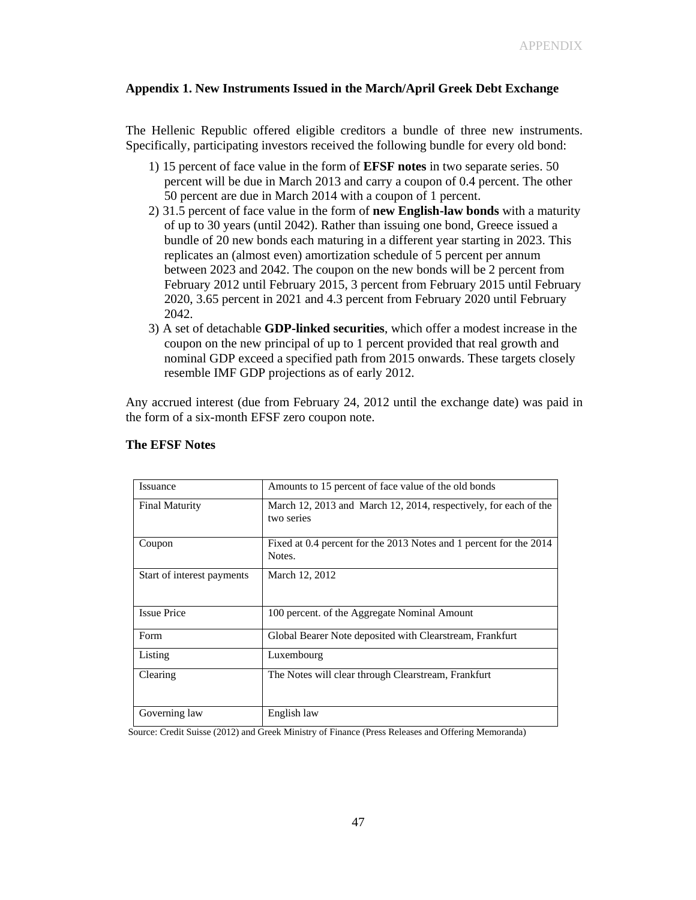#### **Appendix 1. New Instruments Issued in the March/April Greek Debt Exchange**

The Hellenic Republic offered eligible creditors a bundle of three new instruments. Specifically, participating investors received the following bundle for every old bond:

- 1) 15 percent of face value in the form of **EFSF notes** in two separate series. 50 percent will be due in March 2013 and carry a coupon of 0.4 percent. The other 50 percent are due in March 2014 with a coupon of 1 percent.
- 2) 31.5 percent of face value in the form of **new English-law bonds** with a maturity of up to 30 years (until 2042). Rather than issuing one bond, Greece issued a bundle of 20 new bonds each maturing in a different year starting in 2023. This replicates an (almost even) amortization schedule of 5 percent per annum between 2023 and 2042. The coupon on the new bonds will be 2 percent from February 2012 until February 2015, 3 percent from February 2015 until February 2020, 3.65 percent in 2021 and 4.3 percent from February 2020 until February 2042.
- 3) A set of detachable **GDP-linked securities**, which offer a modest increase in the coupon on the new principal of up to 1 percent provided that real growth and nominal GDP exceed a specified path from 2015 onwards. These targets closely resemble IMF GDP projections as of early 2012.

Any accrued interest (due from February 24, 2012 until the exchange date) was paid in the form of a six-month EFSF zero coupon note.

| Issuance                   | Amounts to 15 percent of face value of the old bonds                           |
|----------------------------|--------------------------------------------------------------------------------|
| <b>Final Maturity</b>      | March 12, 2013 and March 12, 2014, respectively, for each of the<br>two series |
| Coupon                     | Fixed at 0.4 percent for the 2013 Notes and 1 percent for the 2014<br>Notes.   |
| Start of interest payments | March 12, 2012                                                                 |
| <b>Issue Price</b>         | 100 percent. of the Aggregate Nominal Amount                                   |
| Form                       | Global Bearer Note deposited with Clearstream, Frankfurt                       |
| Listing                    | Luxembourg                                                                     |
| Clearing                   | The Notes will clear through Clearstream, Frankfurt                            |
| Governing law              | English law                                                                    |

#### **The EFSF Notes**

Source: Credit Suisse (2012) and Greek Ministry of Finance (Press Releases and Offering Memoranda)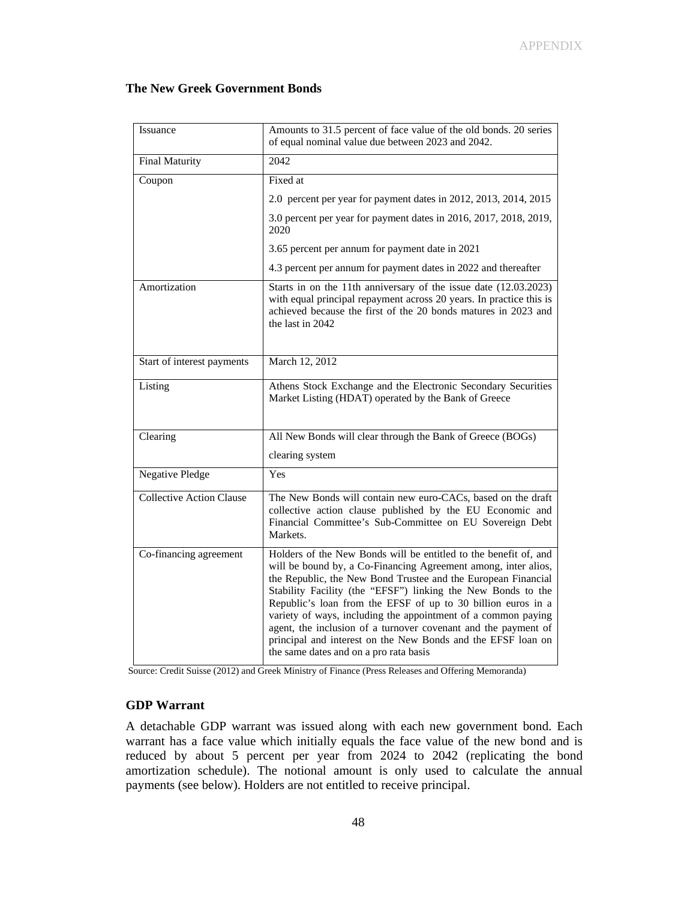# **The New Greek Government Bonds**

| Issuance                        | Amounts to 31.5 percent of face value of the old bonds. 20 series<br>of equal nominal value due between 2023 and 2042.                                                                                                                                                                                                                                                                                                                                                                                                                                                           |
|---------------------------------|----------------------------------------------------------------------------------------------------------------------------------------------------------------------------------------------------------------------------------------------------------------------------------------------------------------------------------------------------------------------------------------------------------------------------------------------------------------------------------------------------------------------------------------------------------------------------------|
| <b>Final Maturity</b>           | 2042                                                                                                                                                                                                                                                                                                                                                                                                                                                                                                                                                                             |
| Coupon                          | Fixed at                                                                                                                                                                                                                                                                                                                                                                                                                                                                                                                                                                         |
|                                 | 2.0 percent per year for payment dates in 2012, 2013, 2014, 2015                                                                                                                                                                                                                                                                                                                                                                                                                                                                                                                 |
|                                 | 3.0 percent per year for payment dates in 2016, 2017, 2018, 2019,<br>2020                                                                                                                                                                                                                                                                                                                                                                                                                                                                                                        |
|                                 | 3.65 percent per annum for payment date in 2021                                                                                                                                                                                                                                                                                                                                                                                                                                                                                                                                  |
|                                 | 4.3 percent per annum for payment dates in 2022 and thereafter                                                                                                                                                                                                                                                                                                                                                                                                                                                                                                                   |
| Amortization                    | Starts in on the 11th anniversary of the issue date (12.03.2023)<br>with equal principal repayment across 20 years. In practice this is<br>achieved because the first of the 20 bonds matures in 2023 and<br>the last in 2042                                                                                                                                                                                                                                                                                                                                                    |
| Start of interest payments      | March 12, 2012                                                                                                                                                                                                                                                                                                                                                                                                                                                                                                                                                                   |
| Listing                         | Athens Stock Exchange and the Electronic Secondary Securities<br>Market Listing (HDAT) operated by the Bank of Greece                                                                                                                                                                                                                                                                                                                                                                                                                                                            |
| Clearing                        | All New Bonds will clear through the Bank of Greece (BOGs)                                                                                                                                                                                                                                                                                                                                                                                                                                                                                                                       |
|                                 | clearing system                                                                                                                                                                                                                                                                                                                                                                                                                                                                                                                                                                  |
| <b>Negative Pledge</b>          | Yes                                                                                                                                                                                                                                                                                                                                                                                                                                                                                                                                                                              |
| <b>Collective Action Clause</b> | The New Bonds will contain new euro-CACs, based on the draft<br>collective action clause published by the EU Economic and<br>Financial Committee's Sub-Committee on EU Sovereign Debt<br>Markets.                                                                                                                                                                                                                                                                                                                                                                                |
| Co-financing agreement          | Holders of the New Bonds will be entitled to the benefit of, and<br>will be bound by, a Co-Financing Agreement among, inter alios,<br>the Republic, the New Bond Trustee and the European Financial<br>Stability Facility (the "EFSF") linking the New Bonds to the<br>Republic's loan from the EFSF of up to 30 billion euros in a<br>variety of ways, including the appointment of a common paying<br>agent, the inclusion of a turnover covenant and the payment of<br>principal and interest on the New Bonds and the EFSF loan on<br>the same dates and on a pro rata basis |

Source: Credit Suisse (2012) and Greek Ministry of Finance (Press Releases and Offering Memoranda)

#### **GDP Warrant**

A detachable GDP warrant was issued along with each new government bond. Each warrant has a face value which initially equals the face value of the new bond and is reduced by about 5 percent per year from 2024 to 2042 (replicating the bond amortization schedule). The notional amount is only used to calculate the annual payments (see below). Holders are not entitled to receive principal.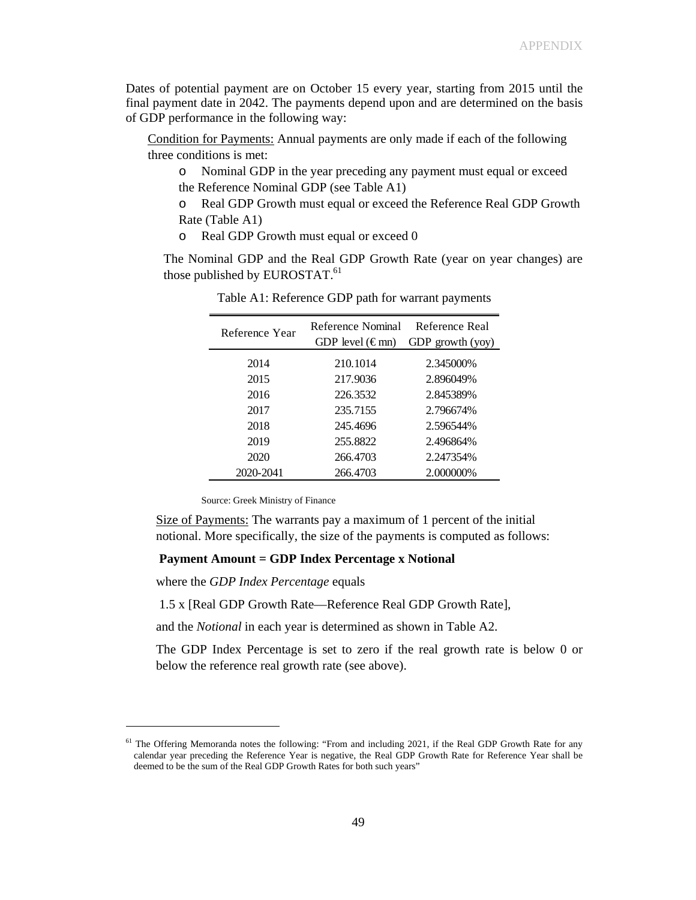Dates of potential payment are on October 15 every year, starting from 2015 until the final payment date in 2042. The payments depend upon and are determined on the basis of GDP performance in the following way:

Condition for Payments: Annual payments are only made if each of the following three conditions is met:

o Nominal GDP in the year preceding any payment must equal or exceed the Reference Nominal GDP (see Table A1)

o Real GDP Growth must equal or exceed the Reference Real GDP Growth Rate (Table A1)

o Real GDP Growth must equal or exceed 0

The Nominal GDP and the Real GDP Growth Rate (year on year changes) are those published by EUROSTAT.<sup>61</sup>

| Reference Year | Reference Nominal<br>GDP level $(\epsilon$ mn) | Reference Real<br>GDP growth (yoy) |
|----------------|------------------------------------------------|------------------------------------|
| 2014           | 210.1014                                       | 2.345000\%                         |
| 2015           | 217.9036                                       | 2.896049%                          |
| 2016           | 226.3532                                       | 2.845389%                          |
| 2017           | 235.7155                                       | 2.796674%                          |
| 2018           | 245.4696                                       | 2.596544%                          |
| 2019           | 255.8822                                       | 2.496864%                          |
| 2020           | 266.4703                                       | 2.247354%                          |
| 2020-2041      | 266.4703                                       | 2.000000%                          |

Table A1: Reference GDP path for warrant payments

Source: Greek Ministry of Finance

Size of Payments: The warrants pay a maximum of 1 percent of the initial notional. More specifically, the size of the payments is computed as follows:

#### **Payment Amount = GDP Index Percentage x Notional**

where the *GDP Index Percentage* equals

1.5 x [Real GDP Growth Rate—Reference Real GDP Growth Rate],

and the *Notional* in each year is determined as shown in Table A2.

The GDP Index Percentage is set to zero if the real growth rate is below 0 or below the reference real growth rate (see above).

<sup>&</sup>lt;sup>61</sup> The Offering Memoranda notes the following: "From and including 2021, if the Real GDP Growth Rate for any calendar year preceding the Reference Year is negative, the Real GDP Growth Rate for Reference Year shall be deemed to be the sum of the Real GDP Growth Rates for both such years"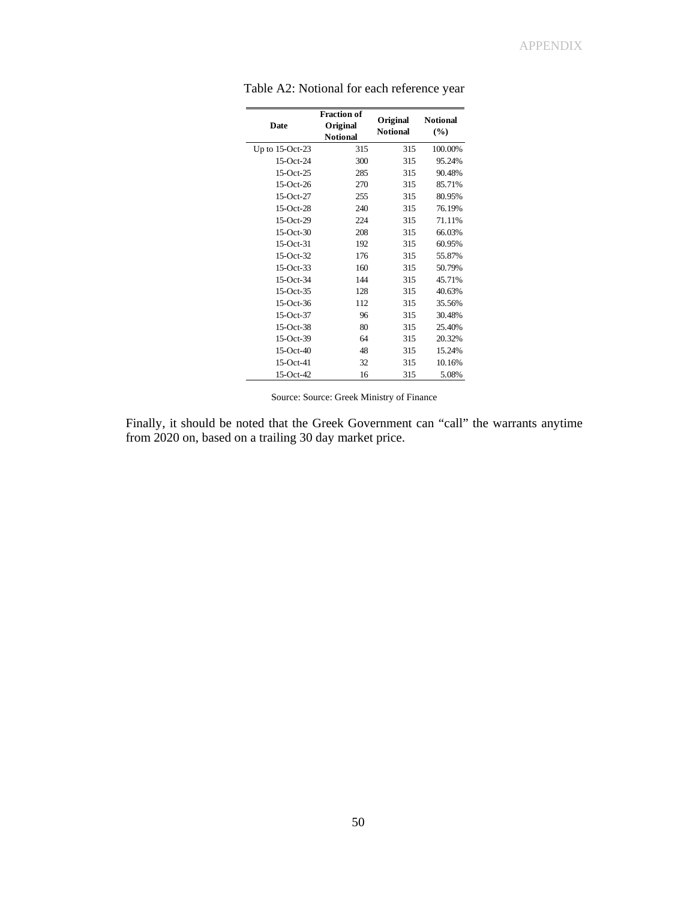| <b>Date</b>        | <b>Fraction of</b><br>Original<br><b>Notional</b> | Original<br><b>Notional</b> | <b>Notional</b><br>$($ %) |
|--------------------|---------------------------------------------------|-----------------------------|---------------------------|
| Up to $15$ -Oct-23 | 315                                               | 315                         | 100.00%                   |
| 15-Oct-24          | 300                                               | 315                         | 95.24%                    |
| $15-Oct-25$        | 285                                               | 315                         | 90.48%                    |
| $15-Oct-26$        | 270                                               | 315                         | 85.71%                    |
| $15-Oct-27$        | 255                                               | 315                         | 80.95%                    |
| $15-Oct-28$        | 240                                               | 315                         | 76.19%                    |
| $15-Oct-29$        | 224                                               | 315                         | 71.11%                    |
| 15-Oct-30          | 208                                               | 315                         | 66.03%                    |
| $15-Oct-31$        | 192                                               | 315                         | 60.95%                    |
| 15-Oct-32          | 176                                               | 315                         | 55.87%                    |
| $15-Oct-33$        | 160                                               | 315                         | 50.79%                    |
| 15-Oct-34          | 144                                               | 315                         | 45.71%                    |
| $15-Oct-35$        | 128                                               | 315                         | 40.63%                    |
| $15-Oct-36$        | 112                                               | 315                         | 35.56%                    |
| 15-Oct-37          | 96                                                | 315                         | 30.48%                    |
| $15-Oct-38$        | 80                                                | 315                         | 25.40%                    |
| $15-Oct-39$        | 64                                                | 315                         | 20.32%                    |
| $15$ -Oct-40       | 48                                                | 315                         | 15.24%                    |
| 15-Oct-41          | 32                                                | 315                         | 10.16%                    |
| 15-Oct-42          | 16                                                | 315                         | 5.08%                     |

Table A2: Notional for each reference year

Source: Source: Greek Ministry of Finance

Finally, it should be noted that the Greek Government can "call" the warrants anytime from 2020 on, based on a trailing 30 day market price.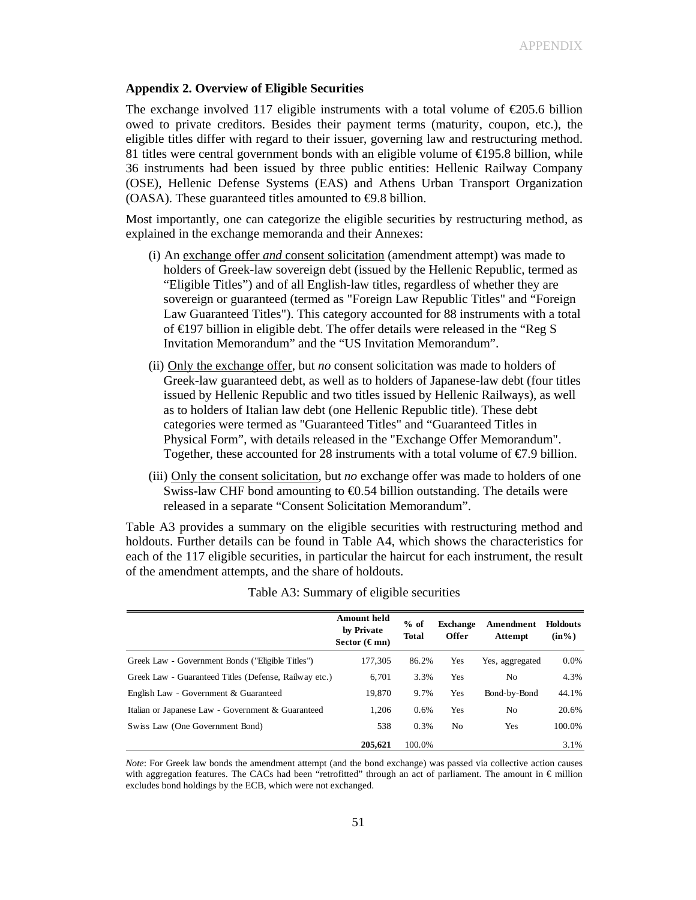#### **Appendix 2. Overview of Eligible Securities**

The exchange involved 117 eligible instruments with a total volume of  $\epsilon$ 205.6 billion owed to private creditors. Besides their payment terms (maturity, coupon, etc.), the eligible titles differ with regard to their issuer, governing law and restructuring method. 81 titles were central government bonds with an eligible volume of  $E$ 195.8 billion, while 36 instruments had been issued by three public entities: Hellenic Railway Company (OSE), Hellenic Defense Systems (EAS) and Athens Urban Transport Organization (OASA). These guaranteed titles amounted to  $\Theta$ .8 billion.

Most importantly, one can categorize the eligible securities by restructuring method, as explained in the exchange memoranda and their Annexes:

- (i) An exchange offer *and* consent solicitation (amendment attempt) was made to holders of Greek-law sovereign debt (issued by the Hellenic Republic, termed as "Eligible Titles") and of all English-law titles, regardless of whether they are sovereign or guaranteed (termed as "Foreign Law Republic Titles" and "Foreign Law Guaranteed Titles"). This category accounted for 88 instruments with a total of €197 billion in eligible debt. The offer details were released in the "Reg S Invitation Memorandum" and the "US Invitation Memorandum".
- (ii) Only the exchange offer, but *no* consent solicitation was made to holders of Greek-law guaranteed debt, as well as to holders of Japanese-law debt (four titles issued by Hellenic Republic and two titles issued by Hellenic Railways), as well as to holders of Italian law debt (one Hellenic Republic title). These debt categories were termed as "Guaranteed Titles" and "Guaranteed Titles in Physical Form", with details released in the "Exchange Offer Memorandum". Together, these accounted for 28 instruments with a total volume of  $\epsilon$ 7.9 billion.
- (iii) Only the consent solicitation, but *no* exchange offer was made to holders of one Swiss-law CHF bond amounting to  $\text{\textsterling}0.54$  billion outstanding. The details were released in a separate "Consent Solicitation Memorandum".

Table A3 provides a summary on the eligible securities with restructuring method and holdouts. Further details can be found in Table A4, which shows the characteristics for each of the 117 eligible securities, in particular the haircut for each instrument, the result of the amendment attempts, and the share of holdouts.

|                                                       | <b>Amount held</b><br>by Private<br>Sector $(\epsilon$ mn) | $%$ of<br><b>Total</b> | <b>Exchange</b><br><b>Offer</b> | Amendment<br>Attempt | <b>Holdouts</b><br>$(in\%)$ |
|-------------------------------------------------------|------------------------------------------------------------|------------------------|---------------------------------|----------------------|-----------------------------|
| Greek Law - Government Bonds ("Eligible Titles")      | 177,305                                                    | 86.2%                  | Yes                             | Yes, aggregated      | $0.0\%$                     |
| Greek Law - Guaranteed Titles (Defense, Railway etc.) | 6,701                                                      | 3.3%                   | Yes                             | N <sub>0</sub>       | 4.3%                        |
| English Law - Government & Guaranteed                 | 19,870                                                     | 9.7%                   | Yes                             | Bond-by-Bond         | 44.1%                       |
| Italian or Japanese Law - Government & Guaranteed     | 1.206                                                      | 0.6%                   | Yes                             | N <sub>0</sub>       | 20.6%                       |
| Swiss Law (One Government Bond)                       | 538                                                        | 0.3%                   | N <sub>0</sub>                  | Yes                  | 100.0%                      |
|                                                       | 205,621                                                    | 100.0%                 |                                 |                      | 3.1%                        |

Table A3: Summary of eligible securities

*Note*: For Greek law bonds the amendment attempt (and the bond exchange) was passed via collective action causes with aggregation features. The CACs had been "retrofitted" through an act of parliament. The amount in  $\epsilon$  million excludes bond holdings by the ECB, which were not exchanged.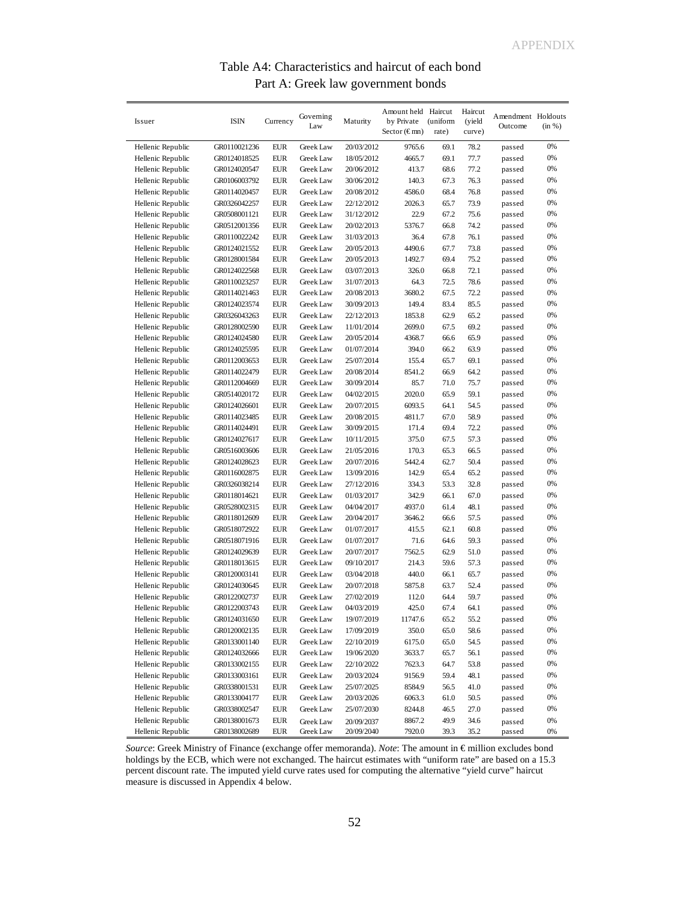# Table A4: Characteristics and haircut of each bond Part A: Greek law government bonds

| Issuer            | ISIN         | Currency   | Governing<br>Law | Maturity   | Amount held Haircut<br>by Private<br>Sector $(\epsilon$ mn) | (uniform | Haircut<br>(yield<br>curve) | Amendment Holdouts<br>Outcome | (in %) |
|-------------------|--------------|------------|------------------|------------|-------------------------------------------------------------|----------|-----------------------------|-------------------------------|--------|
|                   |              |            |                  |            |                                                             | rate)    |                             |                               |        |
| Hellenic Republic | GR0110021236 | EUR        | Greek Law        | 20/03/2012 | 9765.6                                                      | 69.1     | 78.2                        | passed                        | 0%     |
| Hellenic Republic | GR0124018525 | EUR        | Greek Law        | 18/05/2012 | 4665.7                                                      | 69.1     | 77.7                        | passed                        | 0%     |
| Hellenic Republic | GR0124020547 | EUR        | Greek Law        | 20/06/2012 | 413.7                                                       | 68.6     | 77.2                        | passed                        | 0%     |
| Hellenic Republic | GR0106003792 | EUR        | Greek Law        | 30/06/2012 | 140.3                                                       | 67.3     | 76.3                        | passed                        | 0%     |
| Hellenic Republic | GR0114020457 | EUR        | Greek Law        | 20/08/2012 | 4586.0                                                      | 68.4     | 76.8                        | passed                        | 0%     |
| Hellenic Republic | GR0326042257 | EUR        | Greek Law        | 22/12/2012 | 2026.3                                                      | 65.7     | 73.9                        | passed                        | 0%     |
| Hellenic Republic | GR0508001121 | EUR        | Greek Law        | 31/12/2012 | 22.9                                                        | 67.2     | 75.6                        | passed                        | 0%     |
| Hellenic Republic | GR0512001356 | EUR        | Greek Law        | 20/02/2013 | 5376.7                                                      | 66.8     | 74.2                        | passed                        | 0%     |
| Hellenic Republic | GR0110022242 | EUR        | Greek Law        | 31/03/2013 | 36.4                                                        | 67.8     | 76.1                        | passed                        | 0%     |
| Hellenic Republic | GR0124021552 | EUR        | Greek Law        | 20/05/2013 | 4490.6                                                      | 67.7     | 73.8                        | passed                        | 0%     |
| Hellenic Republic | GR0128001584 | EUR        | Greek Law        | 20/05/2013 | 1492.7                                                      | 69.4     | 75.2                        | passed                        | 0%     |
| Hellenic Republic | GR0124022568 | EUR        | Greek Law        | 03/07/2013 | 326.0                                                       | 66.8     | 72.1                        | passed                        | 0%     |
| Hellenic Republic | GR0110023257 | EUR        | Greek Law        | 31/07/2013 | 64.3                                                        | 72.5     | 78.6                        | passed                        | 0%     |
| Hellenic Republic | GR0114021463 | EUR        | Greek Law        | 20/08/2013 | 3680.2                                                      | 67.5     | 72.2                        | passed                        | 0%     |
| Hellenic Republic | GR0124023574 | EUR        | Greek Law        | 30/09/2013 | 149.4                                                       | 83.4     | 85.5                        | passed                        | 0%     |
| Hellenic Republic | GR0326043263 | EUR        | Greek Law        | 22/12/2013 | 1853.8                                                      | 62.9     | 65.2                        | passed                        | 0%     |
| Hellenic Republic | GR0128002590 | EUR        | Greek Law        | 11/01/2014 | 2699.0                                                      | 67.5     | 69.2                        | passed                        | 0%     |
| Hellenic Republic | GR0124024580 | EUR        | Greek Law        | 20/05/2014 | 4368.7                                                      | 66.6     | 65.9                        | passed                        | 0%     |
| Hellenic Republic | GR0124025595 | EUR        | Greek Law        | 01/07/2014 | 394.0                                                       | 66.2     | 63.9                        | passed                        | 0%     |
| Hellenic Republic | GR0112003653 | EUR        | Greek Law        | 25/07/2014 | 155.4                                                       | 65.7     | 69.1                        | passed                        | 0%     |
| Hellenic Republic | GR0114022479 | EUR        | Greek Law        | 20/08/2014 | 8541.2                                                      | 66.9     | 64.2                        | passed                        | 0%     |
| Hellenic Republic | GR0112004669 | EUR        | Greek Law        | 30/09/2014 | 85.7                                                        | 71.0     | 75.7                        | passed                        | 0%     |
| Hellenic Republic | GR0514020172 | EUR        | Greek Law        | 04/02/2015 | 2020.0                                                      | 65.9     | 59.1                        | passed                        | 0%     |
| Hellenic Republic | GR0124026601 | EUR        | Greek Law        | 20/07/2015 | 6093.5                                                      | 64.1     | 54.5                        | passed                        | 0%     |
| Hellenic Republic | GR0114023485 | EUR        | Greek Law        | 20/08/2015 | 4811.7                                                      | 67.0     | 58.9                        | passed                        | 0%     |
| Hellenic Republic | GR0114024491 | EUR        | Greek Law        | 30/09/2015 | 171.4                                                       | 69.4     | 72.2                        | passed                        | 0%     |
| Hellenic Republic | GR0124027617 | EUR        | Greek Law        | 10/11/2015 | 375.0                                                       | 67.5     | 57.3                        | passed                        | 0%     |
| Hellenic Republic | GR0516003606 | EUR        | Greek Law        | 21/05/2016 | 170.3                                                       | 65.3     | 66.5                        | passed                        | 0%     |
| Hellenic Republic | GR0124028623 | EUR        | Greek Law        | 20/07/2016 | 5442.4                                                      | 62.7     | 50.4                        | passed                        | 0%     |
| Hellenic Republic | GR0116002875 | EUR        | Greek Law        | 13/09/2016 | 142.9                                                       | 65.4     | 65.2                        | passed                        | 0%     |
| Hellenic Republic | GR0326038214 | EUR        | Greek Law        | 27/12/2016 | 334.3                                                       | 53.3     | 32.8                        | passed                        | 0%     |
| Hellenic Republic | GR0118014621 | EUR        | Greek Law        | 01/03/2017 | 342.9                                                       | 66.1     | 67.0                        | passed                        | 0%     |
| Hellenic Republic | GR0528002315 | EUR        | Greek Law        | 04/04/2017 | 4937.0                                                      | 61.4     | 48.1                        | passed                        | 0%     |
| Hellenic Republic | GR0118012609 | EUR        | Greek Law        | 20/04/2017 | 3646.2                                                      | 66.6     | 57.5                        | passed                        | 0%     |
| Hellenic Republic | GR0518072922 | EUR        | Greek Law        | 01/07/2017 | 415.5                                                       | 62.1     | 60.8                        | passed                        | 0%     |
| Hellenic Republic | GR0518071916 | EUR        | Greek Law        | 01/07/2017 | 71.6                                                        | 64.6     | 59.3                        | passed                        | 0%     |
| Hellenic Republic | GR0124029639 | EUR        | Greek Law        | 20/07/2017 | 7562.5                                                      | 62.9     | 51.0                        | passed                        | 0%     |
| Hellenic Republic | GR0118013615 | EUR        | Greek Law        | 09/10/2017 | 214.3                                                       | 59.6     | 57.3                        | passed                        | 0%     |
| Hellenic Republic | GR0120003141 | EUR        | Greek Law        | 03/04/2018 | 440.0                                                       | 66.1     | 65.7                        | passed                        | 0%     |
| Hellenic Republic | GR0124030645 | EUR        | Greek Law        | 20/07/2018 | 5875.8                                                      | 63.7     | 52.4                        | passed                        | 0%     |
| Hellenic Republic | GR0122002737 | <b>EUR</b> | Greek Law        | 27/02/2019 | 112.0                                                       | 64.4     | 59.7                        | passed                        | 0%     |
| Hellenic Republic | GR0122003743 | <b>EUR</b> | Greek Law        | 04/03/2019 | 425.0                                                       | 67.4     | 64.1                        | passed                        | $0\%$  |
| Hellenic Republic | GR0124031650 | EUR        | Greek Law        | 19/07/2019 | 11747.6                                                     | 65.2     | 55.2                        | passed                        | 0%     |
| Hellenic Republic | GR0120002135 | EUR        | Greek Law        | 17/09/2019 | 350.0                                                       | 65.0     | 58.6                        | passed                        | 0%     |
| Hellenic Republic | GR0133001140 | EUR        | Greek Law        | 22/10/2019 | 6175.0                                                      | 65.0     | 54.5                        | passed                        | 0%     |
| Hellenic Republic | GR0124032666 | EUR        | Greek Law        | 19/06/2020 | 3633.7                                                      | 65.7     | 56.1                        | passed                        | 0%     |
| Hellenic Republic | GR0133002155 | EUR        | Greek Law        | 22/10/2022 | 7623.3                                                      | 64.7     | 53.8                        | passed                        | 0%     |
| Hellenic Republic | GR0133003161 | EUR        | Greek Law        | 20/03/2024 | 9156.9                                                      | 59.4     | 48.1                        | passed                        | 0%     |
| Hellenic Republic | GR0338001531 | EUR        | Greek Law        | 25/07/2025 | 8584.9                                                      | 56.5     | 41.0                        | passed                        | 0%     |
| Hellenic Republic | GR0133004177 | EUR        | Greek Law        | 20/03/2026 | 6063.3                                                      | 61.0     | 50.5                        | passed                        | 0%     |
| Hellenic Republic | GR0338002547 | EUR        | Greek Law        | 25/07/2030 | 8244.8                                                      | 46.5     | 27.0                        | passed                        | 0%     |
| Hellenic Republic | GR0138001673 | EUR        | Greek Law        | 20/09/2037 | 8867.2                                                      | 49.9     | 34.6                        | passed                        | 0%     |
| Hellenic Republic | GR0138002689 | EUR        | Greek Law        | 20/09/2040 | 7920.0                                                      | 39.3     | 35.2                        | passed                        | 0%     |

*Source*: Greek Ministry of Finance (exchange offer memoranda). *Note*: The amount in €million excludes bond holdings by the ECB, which were not exchanged. The haircut estimates with "uniform rate" are based on a 15.3 percent discount rate. The imputed yield curve rates used for computing the alternative "yield curve" haircut measure is discussed in Appendix 4 below.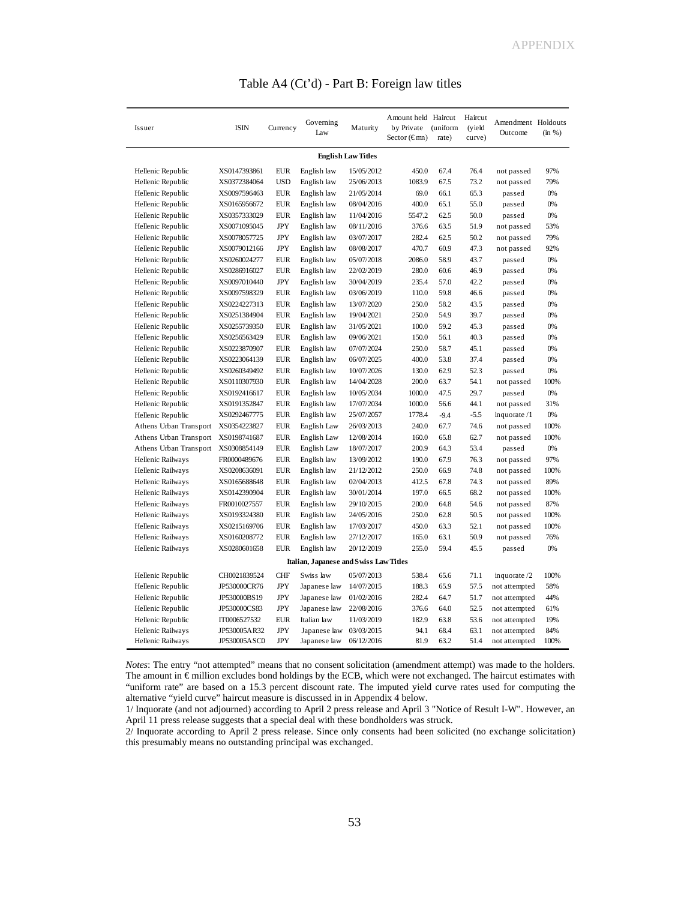| Issuer                    | <b>ISIN</b>  | Currency   | Governing<br>Law                       | Maturity   | Amount held Haircut<br>by Private<br>Sector ( $\epsilon$ mn) | (uniform<br>rate) | Haircut<br>(yield<br>curve) | Amendment Holdouts<br>Outcome | (in %) |
|---------------------------|--------------|------------|----------------------------------------|------------|--------------------------------------------------------------|-------------------|-----------------------------|-------------------------------|--------|
| <b>English Law Titles</b> |              |            |                                        |            |                                                              |                   |                             |                               |        |
| Hellenic Republic         | XS0147393861 | <b>EUR</b> | English law                            | 15/05/2012 | 450.0                                                        | 67.4              | 76.4                        | not passed                    | 97%    |
| Hellenic Republic         | XS0372384064 | <b>USD</b> | English law                            | 25/06/2013 | 1083.9                                                       | 67.5              | 73.2                        | not passed                    | 79%    |
| Hellenic Republic         | XS0097596463 | <b>EUR</b> | English law                            | 21/05/2014 | 69.0                                                         | 66.1              | 65.3                        | passed                        | 0%     |
| Hellenic Republic         | XS0165956672 | <b>EUR</b> | English law                            | 08/04/2016 | 400.0                                                        | 65.1              | 55.0                        | passed                        | 0%     |
| Hellenic Republic         | XS0357333029 | <b>EUR</b> | English law                            | 11/04/2016 | 5547.2                                                       | 62.5              | 50.0                        | passed                        | 0%     |
| Hellenic Republic         | XS0071095045 | <b>JPY</b> | English law                            | 08/11/2016 | 376.6                                                        | 63.5              | 51.9                        | not passed                    | 53%    |
| Hellenic Republic         | XS0078057725 | <b>JPY</b> | English law                            | 03/07/2017 | 282.4                                                        | 62.5              | 50.2                        | not passed                    | 79%    |
| Hellenic Republic         | XS0079012166 | <b>JPY</b> | English law                            | 08/08/2017 | 470.7                                                        | 60.9              | 47.3                        | not passed                    | 92%    |
| Hellenic Republic         | XS0260024277 | <b>EUR</b> | English law                            | 05/07/2018 | 2086.0                                                       | 58.9              | 43.7                        | passed                        | 0%     |
| Hellenic Republic         | XS0286916027 | <b>EUR</b> | English law                            | 22/02/2019 | 280.0                                                        | 60.6              | 46.9                        | passed                        | 0%     |
| Hellenic Republic         | XS0097010440 | <b>JPY</b> | English law                            | 30/04/2019 | 235.4                                                        | 57.0              | 42.2                        | passed                        | 0%     |
| Hellenic Republic         | XS0097598329 | <b>EUR</b> | English law                            | 03/06/2019 | 110.0                                                        | 59.8              | 46.6                        | passed                        | 0%     |
| Hellenic Republic         | XS0224227313 | <b>EUR</b> | English law                            | 13/07/2020 | 250.0                                                        | 58.2              | 43.5                        | passed                        | 0%     |
| Hellenic Republic         | XS0251384904 | <b>EUR</b> | English law                            | 19/04/2021 | 250.0                                                        | 54.9              | 39.7                        | passed                        | 0%     |
| Hellenic Republic         | XS0255739350 | <b>EUR</b> | English law                            | 31/05/2021 | 100.0                                                        | 59.2              | 45.3                        | passed                        | 0%     |
| Hellenic Republic         | XS0256563429 | <b>EUR</b> | English law                            | 09/06/2021 | 150.0                                                        | 56.1              | 40.3                        | passed                        | 0%     |
| Hellenic Republic         | XS0223870907 | <b>EUR</b> | English law                            | 07/07/2024 | 250.0                                                        | 58.7              | 45.1                        | passed                        | 0%     |
| Hellenic Republic         | XS0223064139 | <b>EUR</b> | English law                            | 06/07/2025 | 400.0                                                        | 53.8              | 37.4                        | passed                        | 0%     |
| Hellenic Republic         | XS0260349492 | <b>EUR</b> | English law                            | 10/07/2026 | 130.0                                                        | 62.9              | 52.3                        | passed                        | $0\%$  |
| Hellenic Republic         | XS0110307930 | <b>EUR</b> | English law                            | 14/04/2028 | 200.0                                                        | 63.7              | 54.1                        | not passed                    | 100%   |
| Hellenic Republic         | XS0192416617 | <b>EUR</b> | English law                            | 10/05/2034 | 1000.0                                                       | 47.5              | 29.7                        | passed                        | 0%     |
| Hellenic Republic         | XS0191352847 | <b>EUR</b> | English law                            | 17/07/2034 | 1000.0                                                       | 56.6              | 44.1                        | not passed                    | 31%    |
| Hellenic Republic         | XS0292467775 | <b>EUR</b> | English law                            | 25/07/2057 | 1778.4                                                       | $-9.4$            | $-5.5$                      | inquorate /1                  | 0%     |
| Athens Urban Transport    | XS0354223827 | <b>EUR</b> | English Law                            | 26/03/2013 | 240.0                                                        | 67.7              | 74.6                        | not passed                    | 100%   |
| Athens Urban Transport    | XS0198741687 | <b>EUR</b> | English Law                            | 12/08/2014 | 160.0                                                        | 65.8              | 62.7                        | not passed                    | 100%   |
| Athens Urban Transport    | XS0308854149 | <b>EUR</b> | English Law                            | 18/07/2017 | 200.9                                                        | 64.3              | 53.4                        | passed                        | 0%     |
| Hellenic Railways         | FR0000489676 | <b>EUR</b> | English law                            | 13/09/2012 | 190.0                                                        | 67.9              | 76.3                        | not passed                    | 97%    |
| Hellenic Railways         | XS0208636091 | <b>EUR</b> | English law                            | 21/12/2012 | 250.0                                                        | 66.9              | 74.8                        | not passed                    | 100%   |
| Hellenic Railways         | XS0165688648 | <b>EUR</b> | English law                            | 02/04/2013 | 412.5                                                        | 67.8              | 74.3                        | not passed                    | 89%    |
| Hellenic Railways         | XS0142390904 | <b>EUR</b> | English law                            | 30/01/2014 | 197.0                                                        | 66.5              | 68.2                        | not passed                    | 100%   |
| Hellenic Railways         | FR0010027557 | <b>EUR</b> | English law                            | 29/10/2015 | 200.0                                                        | 64.8              | 54.6                        | not passed                    | 87%    |
| Hellenic Railways         | XS0193324380 | <b>EUR</b> | English law                            | 24/05/2016 | 250.0                                                        | 62.8              | 50.5                        | not passed                    | 100%   |
| Hellenic Railways         | XS0215169706 | <b>EUR</b> | English law                            | 17/03/2017 | 450.0                                                        | 63.3              | 52.1                        | not passed                    | 100%   |
| Hellenic Railways         | XS0160208772 | <b>EUR</b> | English law                            | 27/12/2017 | 165.0                                                        | 63.1              | 50.9                        | not passed                    | 76%    |
| Hellenic Railways         | XS0280601658 | <b>EUR</b> | English law                            | 20/12/2019 | 255.0                                                        | 59.4              | 45.5                        | passed                        | 0%     |
|                           |              |            | Italian, Japanese and Swiss Law Titles |            |                                                              |                   |                             |                               |        |
| Hellenic Republic         | CH0021839524 | <b>CHF</b> | Swiss law                              | 05/07/2013 | 538.4                                                        | 65.6              | 71.1                        | inquorate $/2$                | 100%   |
| Hellenic Republic         | JP530000CR76 | <b>JPY</b> | Japanese law                           | 14/07/2015 | 188.3                                                        | 65.9              | 57.5                        | not attempted                 | 58%    |
| Hellenic Republic         | JP530000BS19 | <b>JPY</b> | Japanese law                           | 01/02/2016 | 282.4                                                        | 64.7              | 51.7                        | not attempted                 | 44%    |
| Hellenic Republic         | JP530000CS83 | <b>JPY</b> | Japanese law                           | 22/08/2016 | 376.6                                                        | 64.0              | 52.5                        | not attempted                 | 61%    |
| Hellenic Republic         | IT0006527532 | <b>EUR</b> | Italian law                            | 11/03/2019 | 182.9                                                        | 63.8              | 53.6                        | not attempted                 | 19%    |
| Hellenic Railways         | JP530005AR32 | <b>JPY</b> | Japanese law                           | 03/03/2015 | 94.1                                                         | 68.4              | 63.1                        | not attempted                 | 84%    |
| Hellenic Railways         | JP530005ASC0 | JPY        | Japanese law                           | 06/12/2016 | 81.9                                                         | 63.2              | 51.4                        | not attempted                 | 100%   |

#### Table A4 (Ct'd) - Part B: Foreign law titles

*Notes*: The entry "not attempted" means that no consent solicitation (amendment attempt) was made to the holders. The amount in € million excludes bond holdings by the ECB, which were not exchanged. The haircut estimates with "uniform rate" are based on a 15.3 percent discount rate. The imputed yield curve rates used for computing the alternative "yield curve" haircut measure is discussed in in Appendix 4 below.

1/ Inquorate (and not adjourned) according to April 2 press release and April 3 "Notice of Result I-W". However, an April 11 press release suggests that a special deal with these bondholders was struck.

2/ Inquorate according to April 2 press release. Since only consents had been solicited (no exchange solicitation) this presumably means no outstanding principal was exchanged.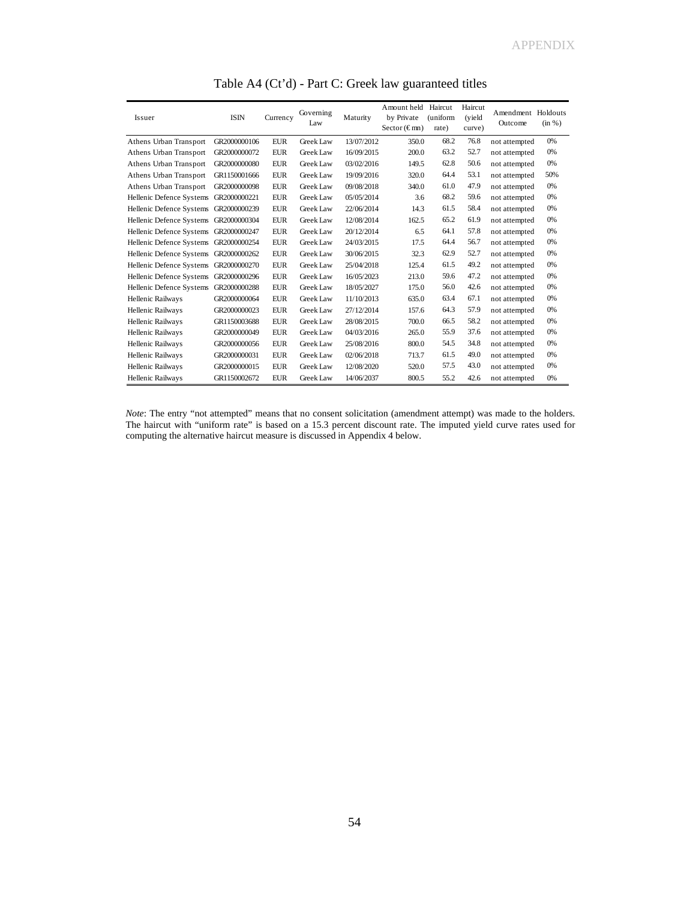| Issuer                                | <b>ISIN</b>  | Currency   | Governing<br>Law | Maturity   | Amount held Haircut<br>by Private<br>Sector $(\epsilon$ mn) | (uniform<br>rate) | Haircut<br>(yield<br>curve) | Amendment Holdouts<br>Outcome | (in %) |
|---------------------------------------|--------------|------------|------------------|------------|-------------------------------------------------------------|-------------------|-----------------------------|-------------------------------|--------|
| Athens Urban Transport                | GR2000000106 | <b>EUR</b> | Greek Law        | 13/07/2012 | 350.0                                                       | 68.2              | 76.8                        | not attempted                 | 0%     |
| Athens Urban Transport                | GR2000000072 | <b>EUR</b> | Greek Law        | 16/09/2015 | 200.0                                                       | 63.2              | 52.7                        | not attempted                 | 0%     |
| Athens Urban Transport                | GR2000000080 | <b>EUR</b> | Greek Law        | 03/02/2016 | 149.5                                                       | 62.8              | 50.6                        | not attempted                 | 0%     |
| Athens Urban Transport                | GR1150001666 | <b>EUR</b> | Greek Law        | 19/09/2016 | 320.0                                                       | 64.4              | 53.1                        | not attempted                 | 50%    |
| Athens Urban Transport                | GR2000000098 | <b>EUR</b> | Greek Law        | 09/08/2018 | 340.0                                                       | 61.0              | 47.9                        | not attempted                 | 0%     |
| Hellenic Defence Systems GR2000000221 |              | <b>EUR</b> | Greek Law        | 05/05/2014 | 3.6                                                         | 68.2              | 59.6                        | not attempted                 | 0%     |
| Hellenic Defence Systems GR2000000239 |              | <b>EUR</b> | Greek Law        | 22/06/2014 | 14.3                                                        | 61.5              | 58.4                        | not attempted                 | 0%     |
| Hellenic Defence Systems GR2000000304 |              | <b>EUR</b> | Greek Law        | 12/08/2014 | 162.5                                                       | 65.2              | 61.9                        | not attempted                 | 0%     |
| Hellenic Defence Systems GR2000000247 |              | <b>EUR</b> | Greek Law        | 20/12/2014 | 6.5                                                         | 64.1              | 57.8                        | not attempted                 | 0%     |
| Hellenic Defence Systems GR2000000254 |              | <b>EUR</b> | Greek Law        | 24/03/2015 | 17.5                                                        | 64.4              | 56.7                        | not attempted                 | 0%     |
| Hellenic Defence Systems GR2000000262 |              | <b>EUR</b> | Greek Law        | 30/06/2015 | 32.3                                                        | 62.9              | 52.7                        | not attempted                 | 0%     |
| Hellenic Defence Systems              | GR2000000270 | <b>EUR</b> | Greek Law        | 25/04/2018 | 125.4                                                       | 61.5              | 49.2                        | not attempted                 | 0%     |
| Hellenic Defence Systems GR2000000296 |              | <b>EUR</b> | Greek Law        | 16/05/2023 | 213.0                                                       | 59.6              | 47.2                        | not attempted                 | 0%     |
| Hellenic Defence Systems GR2000000288 |              | <b>EUR</b> | Greek Law        | 18/05/2027 | 175.0                                                       | 56.0              | 42.6                        | not attempted                 | 0%     |
| <b>Hellenic Railways</b>              | GR2000000064 | <b>EUR</b> | Greek Law        | 11/10/2013 | 635.0                                                       | 63.4              | 67.1                        | not attempted                 | 0%     |
| <b>Hellenic Railways</b>              | GR2000000023 | <b>EUR</b> | Greek Law        | 27/12/2014 | 157.6                                                       | 64.3              | 57.9                        | not attempted                 | 0%     |
| Hellenic Railways                     | GR1150003688 | <b>EUR</b> | Greek Law        | 28/08/2015 | 700.0                                                       | 66.5              | 58.2                        | not attempted                 | 0%     |
| Hellenic Railways                     | GR2000000049 | <b>EUR</b> | Greek Law        | 04/03/2016 | 265.0                                                       | 55.9              | 37.6                        | not attempted                 | 0%     |
| <b>Hellenic Railways</b>              | GR2000000056 | <b>EUR</b> | Greek Law        | 25/08/2016 | 800.0                                                       | 54.5              | 34.8                        | not attempted                 | 0%     |
| Hellenic Railways                     | GR2000000031 | <b>EUR</b> | Greek Law        | 02/06/2018 | 713.7                                                       | 61.5              | 49.0                        | not attempted                 | 0%     |
| <b>Hellenic Railways</b>              | GR2000000015 | <b>EUR</b> | Greek Law        | 12/08/2020 | 520.0                                                       | 57.5              | 43.0                        | not attempted                 | 0%     |
| Hellenic Railways                     | GR1150002672 | <b>EUR</b> | Greek Law        | 14/06/2037 | 800.5                                                       | 55.2              | 42.6                        | not attempted                 | 0%     |

Table A4 (Ct'd) - Part C: Greek law guaranteed titles

*Note*: The entry "not attempted" means that no consent solicitation (amendment attempt) was made to the holders. The haircut with "uniform rate" is based on a 15.3 percent discount rate. The imputed yield curve rates used for computing the alternative haircut measure is discussed in Appendix 4 below.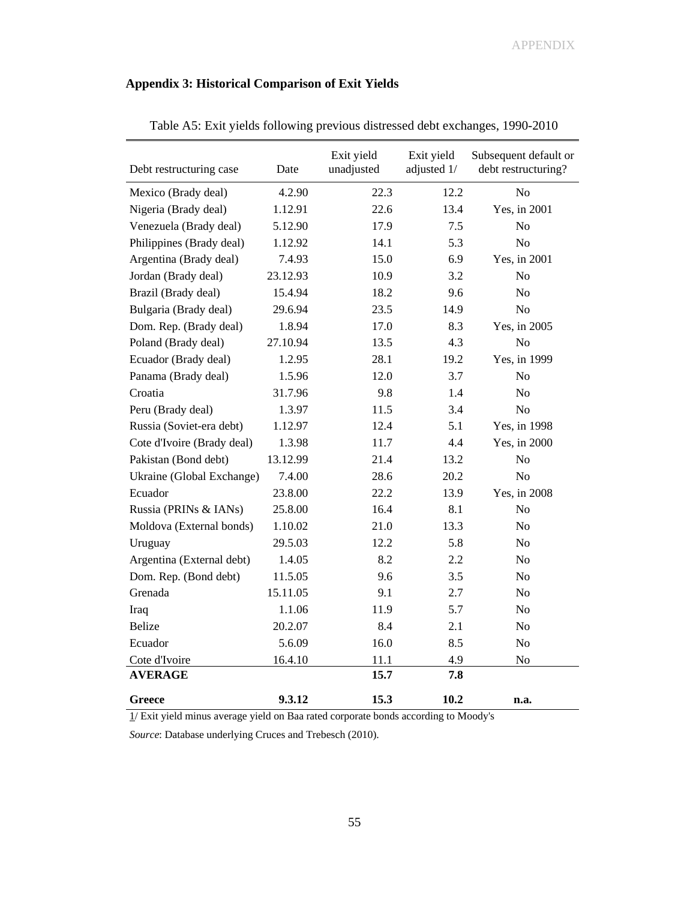# **Appendix 3: Historical Comparison of Exit Yields**

| Debt restructuring case    | Date     | Exit yield<br>unadjusted | Exit yield<br>adjusted 1/ | Subsequent default or<br>debt restructuring? |
|----------------------------|----------|--------------------------|---------------------------|----------------------------------------------|
| Mexico (Brady deal)        | 4.2.90   | 22.3                     | 12.2                      | N <sub>o</sub>                               |
| Nigeria (Brady deal)       | 1.12.91  | 22.6                     | 13.4                      | Yes, in 2001                                 |
| Venezuela (Brady deal)     | 5.12.90  | 17.9                     | 7.5                       | N <sub>o</sub>                               |
| Philippines (Brady deal)   | 1.12.92  | 14.1                     | 5.3                       | N <sub>o</sub>                               |
| Argentina (Brady deal)     | 7.4.93   | 15.0                     | 6.9                       | Yes, in 2001                                 |
| Jordan (Brady deal)        | 23.12.93 | 10.9                     | 3.2                       | N <sub>o</sub>                               |
| Brazil (Brady deal)        | 15.4.94  | 18.2                     | 9.6                       | N <sub>o</sub>                               |
| Bulgaria (Brady deal)      | 29.6.94  | 23.5                     | 14.9                      | N <sub>o</sub>                               |
| Dom. Rep. (Brady deal)     | 1.8.94   | 17.0                     | 8.3                       | Yes, in 2005                                 |
| Poland (Brady deal)        | 27.10.94 | 13.5                     | 4.3                       | N <sub>o</sub>                               |
| Ecuador (Brady deal)       | 1.2.95   | 28.1                     | 19.2                      | Yes, in 1999                                 |
| Panama (Brady deal)        | 1.5.96   | 12.0                     | 3.7                       | N <sub>o</sub>                               |
| Croatia                    | 31.7.96  | 9.8                      | 1.4                       | N <sub>o</sub>                               |
| Peru (Brady deal)          | 1.3.97   | 11.5                     | 3.4                       | N <sub>o</sub>                               |
| Russia (Soviet-era debt)   | 1.12.97  | 12.4                     | 5.1                       | Yes, in 1998                                 |
| Cote d'Ivoire (Brady deal) | 1.3.98   | 11.7                     | 4.4                       | Yes, in 2000                                 |
| Pakistan (Bond debt)       | 13.12.99 | 21.4                     | 13.2                      | N <sub>o</sub>                               |
| Ukraine (Global Exchange)  | 7.4.00   | 28.6                     | 20.2                      | N <sub>o</sub>                               |
| Ecuador                    | 23.8.00  | 22.2                     | 13.9                      | Yes, in 2008                                 |
| Russia (PRINs & IANs)      | 25.8.00  | 16.4                     | 8.1                       | N <sub>o</sub>                               |
| Moldova (External bonds)   | 1.10.02  | 21.0                     | 13.3                      | N <sub>o</sub>                               |
| Uruguay                    | 29.5.03  | 12.2                     | 5.8                       | N <sub>o</sub>                               |
| Argentina (External debt)  | 1.4.05   | 8.2                      | 2.2                       | N <sub>o</sub>                               |
| Dom. Rep. (Bond debt)      | 11.5.05  | 9.6                      | 3.5                       | N <sub>o</sub>                               |
| Grenada                    | 15.11.05 | 9.1                      | 2.7                       | N <sub>o</sub>                               |
| Iraq                       | 1.1.06   | 11.9                     | 5.7                       | N <sub>o</sub>                               |
| <b>Belize</b>              | 20.2.07  | 8.4                      | 2.1                       | No                                           |
| Ecuador                    | 5.6.09   | 16.0                     | 8.5                       | N <sub>o</sub>                               |
| Cote d'Ivoire              | 16.4.10  | 11.1                     | 4.9                       | No                                           |
| <b>AVERAGE</b>             |          | 15.7                     | 7.8                       |                                              |
| Greece                     | 9.3.12   | 15.3                     | 10.2                      | n.a.                                         |

Table A5: Exit yields following previous distressed debt exchanges, 1990-2010

1/ Exit yield minus average yield on Baa rated corporate bonds according to Moody's

*Source*: Database underlying Cruces and Trebesch (2010).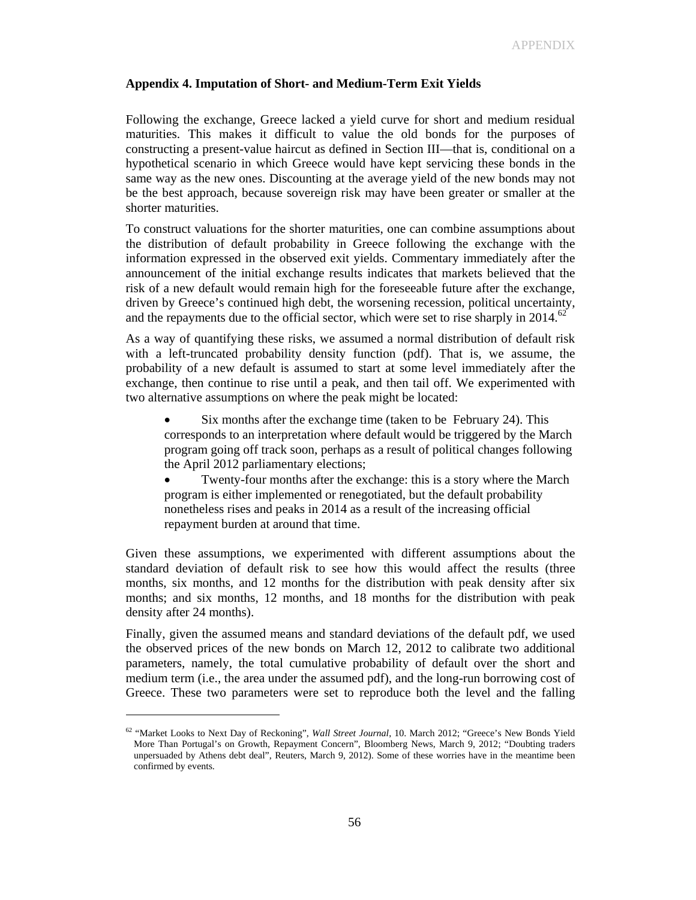#### **Appendix 4. Imputation of Short- and Medium-Term Exit Yields**

Following the exchange, Greece lacked a yield curve for short and medium residual maturities. This makes it difficult to value the old bonds for the purposes of constructing a present-value haircut as defined in Section III—that is, conditional on a hypothetical scenario in which Greece would have kept servicing these bonds in the same way as the new ones. Discounting at the average yield of the new bonds may not be the best approach, because sovereign risk may have been greater or smaller at the shorter maturities.

To construct valuations for the shorter maturities, one can combine assumptions about the distribution of default probability in Greece following the exchange with the information expressed in the observed exit yields. Commentary immediately after the announcement of the initial exchange results indicates that markets believed that the risk of a new default would remain high for the foreseeable future after the exchange, driven by Greece's continued high debt, the worsening recession, political uncertainty, and the repayments due to the official sector, which were set to rise sharply in  $2014$ .<sup>62</sup>

As a way of quantifying these risks, we assumed a normal distribution of default risk with a left-truncated probability density function (pdf). That is, we assume, the probability of a new default is assumed to start at some level immediately after the exchange, then continue to rise until a peak, and then tail off. We experimented with two alternative assumptions on where the peak might be located:

 Six months after the exchange time (taken to be February 24). This corresponds to an interpretation where default would be triggered by the March program going off track soon, perhaps as a result of political changes following the April 2012 parliamentary elections;

 Twenty-four months after the exchange: this is a story where the March program is either implemented or renegotiated, but the default probability nonetheless rises and peaks in 2014 as a result of the increasing official repayment burden at around that time.

Given these assumptions, we experimented with different assumptions about the standard deviation of default risk to see how this would affect the results (three months, six months, and 12 months for the distribution with peak density after six months; and six months, 12 months, and 18 months for the distribution with peak density after 24 months).

Finally, given the assumed means and standard deviations of the default pdf, we used the observed prices of the new bonds on March 12, 2012 to calibrate two additional parameters, namely, the total cumulative probability of default over the short and medium term (i.e., the area under the assumed pdf), and the long-run borrowing cost of Greece. These two parameters were set to reproduce both the level and the falling

 $\overline{a}$ 

<sup>62 &</sup>quot;Market Looks to Next Day of Reckoning", *Wall Street Journal*, 10. March 2012; "Greece's New Bonds Yield More Than Portugal's on Growth, Repayment Concern", Bloomberg News, March 9, 2012; "Doubting traders unpersuaded by Athens debt deal", Reuters, March 9, 2012). Some of these worries have in the meantime been confirmed by events.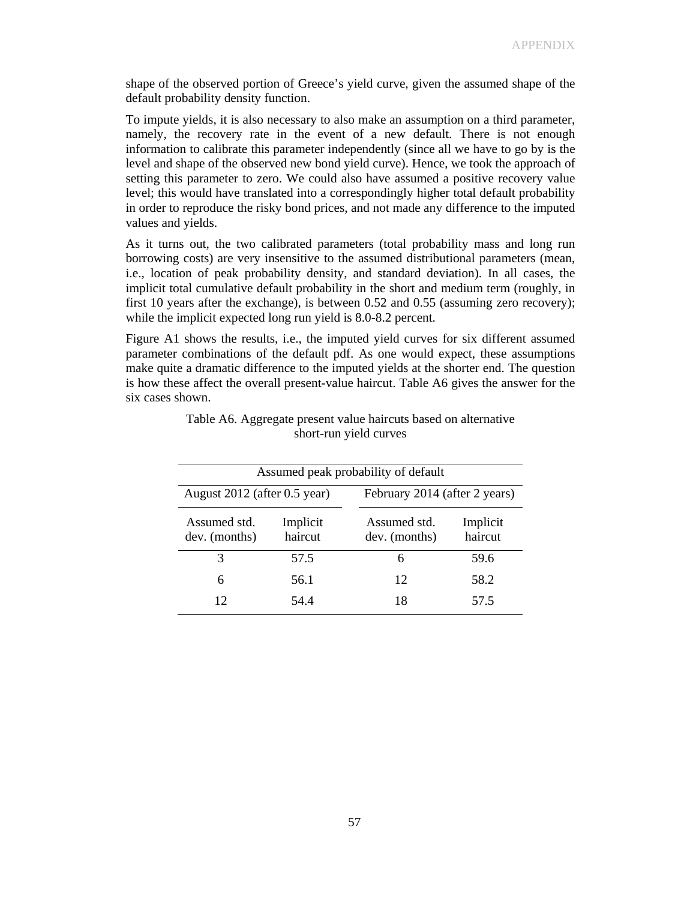shape of the observed portion of Greece's yield curve, given the assumed shape of the default probability density function.

To impute yields, it is also necessary to also make an assumption on a third parameter, namely, the recovery rate in the event of a new default. There is not enough information to calibrate this parameter independently (since all we have to go by is the level and shape of the observed new bond yield curve). Hence, we took the approach of setting this parameter to zero. We could also have assumed a positive recovery value level; this would have translated into a correspondingly higher total default probability in order to reproduce the risky bond prices, and not made any difference to the imputed values and yields.

As it turns out, the two calibrated parameters (total probability mass and long run borrowing costs) are very insensitive to the assumed distributional parameters (mean, i.e., location of peak probability density, and standard deviation). In all cases, the implicit total cumulative default probability in the short and medium term (roughly, in first 10 years after the exchange), is between 0.52 and 0.55 (assuming zero recovery); while the implicit expected long run yield is 8.0-8.2 percent.

Figure A1 shows the results, i.e., the imputed yield curves for six different assumed parameter combinations of the default pdf. As one would expect, these assumptions make quite a dramatic difference to the imputed yields at the shorter end. The question is how these affect the overall present-value haircut. Table A6 gives the answer for the six cases shown.

| Assumed peak probability of default |                     |                               |                     |  |  |  |
|-------------------------------------|---------------------|-------------------------------|---------------------|--|--|--|
| August 2012 (after 0.5 year)        |                     | February 2014 (after 2 years) |                     |  |  |  |
| Assumed std.<br>dev. (months)       | Implicit<br>haircut | Assumed std.<br>dev. (months) | Implicit<br>haircut |  |  |  |
| 3                                   | 57.5                | 6                             | 59.6                |  |  |  |
| 6                                   | 56.1                | 12                            | 58.2                |  |  |  |
| 12                                  | 54.4                | 18                            | 57.5                |  |  |  |

Table A6. Aggregate present value haircuts based on alternative short-run yield curves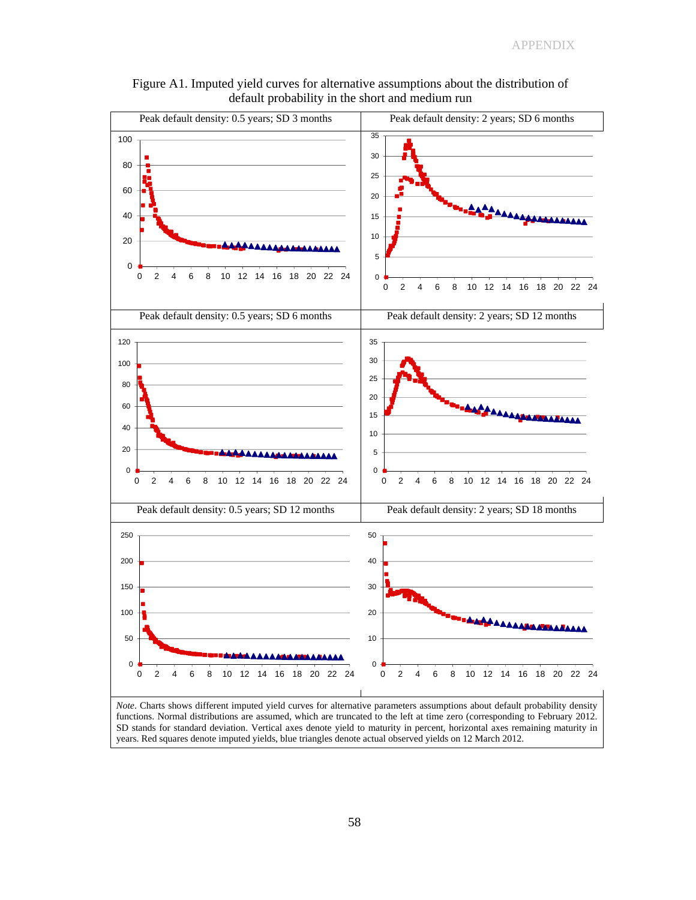

Figure A1. Imputed yield curves for alternative assumptions about the distribution of default probability in the short and medium run

functions. Normal distributions are assumed, which are truncated to the left at time zero (corresponding to February 2012. SD stands for standard deviation. Vertical axes denote yield to maturity in percent, horizontal axes remaining maturity in years. Red squares denote imputed yields, blue triangles denote actual observed yields on 12 March 2012.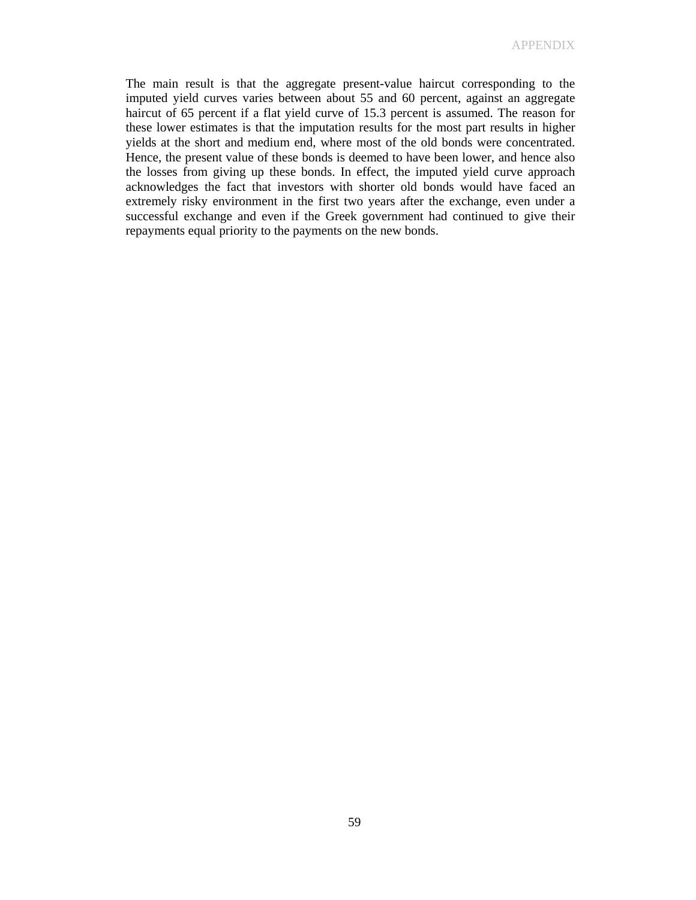The main result is that the aggregate present-value haircut corresponding to the imputed yield curves varies between about 55 and 60 percent, against an aggregate haircut of 65 percent if a flat yield curve of 15.3 percent is assumed. The reason for these lower estimates is that the imputation results for the most part results in higher yields at the short and medium end, where most of the old bonds were concentrated. Hence, the present value of these bonds is deemed to have been lower, and hence also the losses from giving up these bonds. In effect, the imputed yield curve approach acknowledges the fact that investors with shorter old bonds would have faced an extremely risky environment in the first two years after the exchange, even under a successful exchange and even if the Greek government had continued to give their repayments equal priority to the payments on the new bonds.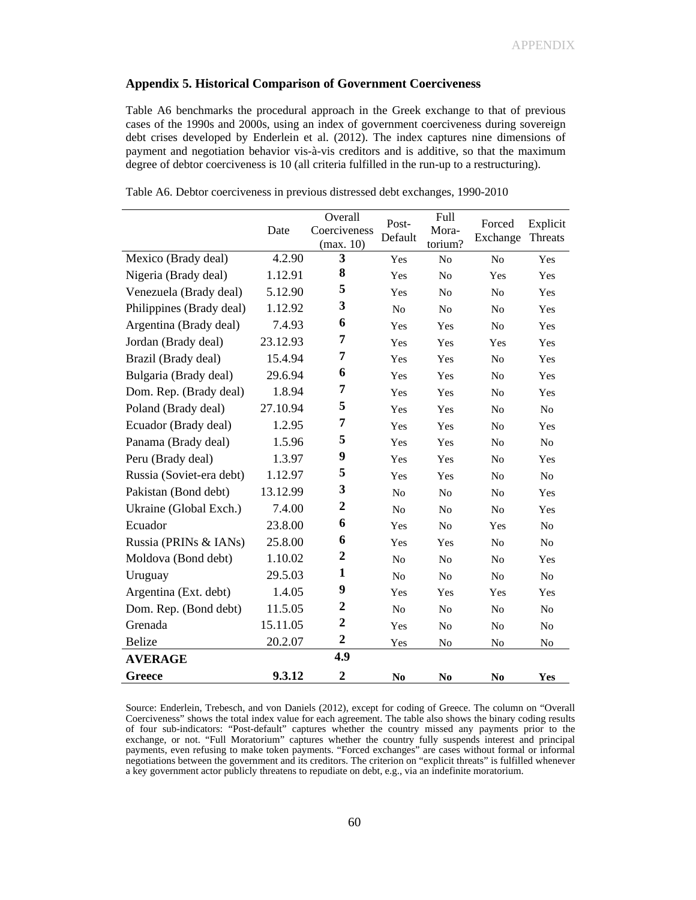#### **Appendix 5. Historical Comparison of Government Coerciveness**

Table A6 benchmarks the procedural approach in the Greek exchange to that of previous cases of the 1990s and 2000s, using an index of government coerciveness during sovereign debt crises developed by Enderlein et al. (2012). The index captures nine dimensions of payment and negotiation behavior vis-à-vis creditors and is additive, so that the maximum degree of debtor coerciveness is 10 (all criteria fulfilled in the run-up to a restructuring).

|                               |          | Overall                 | Post-          | Full           | Forced         | Explicit |
|-------------------------------|----------|-------------------------|----------------|----------------|----------------|----------|
|                               | Date     | Coerciveness<br>Default |                | Mora-          | Exchange       | Threats  |
|                               |          | (max. 10)               |                | torium?        |                |          |
| 4.2.90<br>Mexico (Brady deal) |          | 3                       | Yes            | N <sub>0</sub> | N <sub>0</sub> | Yes      |
| Nigeria (Brady deal)          | 1.12.91  | 8                       | Yes            | N <sub>0</sub> | Yes            | Yes      |
| Venezuela (Brady deal)        | 5.12.90  | 5                       | Yes            | No             | No             | Yes      |
| Philippines (Brady deal)      | 1.12.92  | 3                       | N <sub>o</sub> | N <sub>0</sub> | No             | Yes      |
| Argentina (Brady deal)        | 7.4.93   | 6                       | Yes            | Yes            | No             | Yes      |
| Jordan (Brady deal)           | 23.12.93 | 7                       | Yes            | Yes            | Yes            | Yes      |
| Brazil (Brady deal)           | 15.4.94  | 7                       | Yes            | Yes            | No             | Yes      |
| Bulgaria (Brady deal)         | 29.6.94  | 6                       | Yes            | Yes            | No             | Yes      |
| Dom. Rep. (Brady deal)        | 1.8.94   | 7                       | Yes            | Yes            | $\rm No$       | Yes      |
| Poland (Brady deal)           | 27.10.94 | 5                       | Yes            | Yes            | N <sub>o</sub> | No       |
| Ecuador (Brady deal)          | 1.2.95   | 7                       | Yes            | Yes            | No             | Yes      |
| Panama (Brady deal)           | 1.5.96   | 5                       | Yes            | Yes            | No             | $\rm No$ |
| Peru (Brady deal)             | 1.3.97   | 9                       | Yes            | Yes            | No             | Yes      |
| Russia (Soviet-era debt)      | 1.12.97  | 5                       | Yes            | Yes            | No             | No       |
| Pakistan (Bond debt)          | 13.12.99 | 3                       | N <sub>o</sub> | N <sub>o</sub> | $\rm No$       | Yes      |
| Ukraine (Global Exch.)        | 7.4.00   | $\boldsymbol{2}$        | N <sub>o</sub> | N <sub>0</sub> | N <sub>0</sub> | Yes      |
| Ecuador                       | 23.8.00  | 6                       | Yes            | N <sub>0</sub> | Yes            | No       |
| Russia (PRINs & IANs)         | 25.8.00  | 6                       | Yes            | Yes            | $\rm No$       | No       |
| Moldova (Bond debt)           | 1.10.02  | $\boldsymbol{2}$        | N <sub>o</sub> | No             | N <sub>0</sub> | Yes      |
| Uruguay                       | 29.5.03  | $\mathbf{1}$            | No             | N <sub>0</sub> | No             | No       |
| Argentina (Ext. debt)         | 1.4.05   | 9                       | Yes            | Yes            | Yes            | Yes      |
| Dom. Rep. (Bond debt)         | 11.5.05  | $\boldsymbol{2}$        | N <sub>o</sub> | N <sub>0</sub> | No             | No       |
| Grenada                       | 15.11.05 | $\overline{2}$          | Yes            | No             | N <sub>o</sub> | No       |
| <b>Belize</b>                 | 20.2.07  | $\overline{2}$          | Yes            | No             | $\rm No$       | No       |
| <b>AVERAGE</b>                |          | 4.9                     |                |                |                |          |
| Greece                        | 9.3.12   | $\overline{2}$          | N <sub>0</sub> | N <sub>0</sub> | N <sub>0</sub> | Yes      |

Table A6. Debtor coerciveness in previous distressed debt exchanges, 1990-2010

Source: Enderlein, Trebesch, and von Daniels (2012), except for coding of Greece. The column on "Overall Coerciveness" shows the total index value for each agreement. The table also shows the binary coding results of four sub-indicators: "Post-default" captures whether the country missed any payments prior to the exchange, or not. "Full Moratorium" captures whether the country fully suspends interest and principal payments, even refusing to make token payments. "Forced exchanges" are cases without formal or informal negotiations between the government and its creditors. The criterion on "explicit threats" is fulfilled whenever a key government actor publicly threatens to repudiate on debt, e.g., via an indefinite moratorium.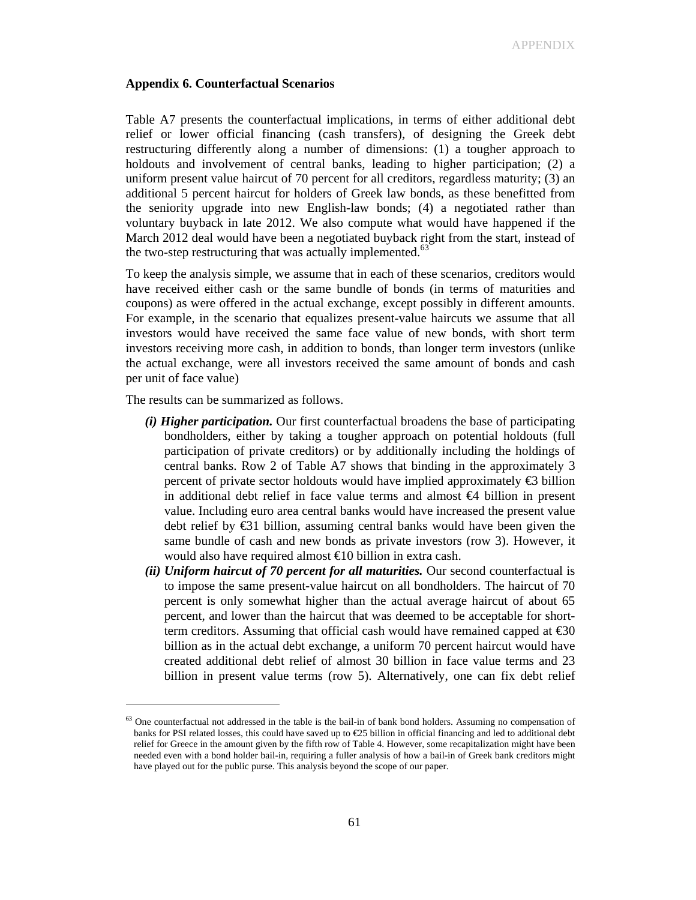APPENDIX

#### **Appendix 6. Counterfactual Scenarios**

Table A7 presents the counterfactual implications, in terms of either additional debt relief or lower official financing (cash transfers), of designing the Greek debt restructuring differently along a number of dimensions: (1) a tougher approach to holdouts and involvement of central banks, leading to higher participation; (2) a uniform present value haircut of 70 percent for all creditors, regardless maturity; (3) an additional 5 percent haircut for holders of Greek law bonds, as these benefitted from the seniority upgrade into new English-law bonds; (4) a negotiated rather than voluntary buyback in late 2012. We also compute what would have happened if the March 2012 deal would have been a negotiated buyback right from the start, instead of the two-step restructuring that was actually implemented. $63$ 

To keep the analysis simple, we assume that in each of these scenarios, creditors would have received either cash or the same bundle of bonds (in terms of maturities and coupons) as were offered in the actual exchange, except possibly in different amounts. For example, in the scenario that equalizes present-value haircuts we assume that all investors would have received the same face value of new bonds, with short term investors receiving more cash, in addition to bonds, than longer term investors (unlike the actual exchange, were all investors received the same amount of bonds and cash per unit of face value)

The results can be summarized as follows.

 $\overline{a}$ 

- *(i) Higher participation.* Our first counterfactual broadens the base of participating bondholders, either by taking a tougher approach on potential holdouts (full participation of private creditors) or by additionally including the holdings of central banks. Row 2 of Table A7 shows that binding in the approximately 3 percent of private sector holdouts would have implied approximately  $\bigoplus$  billion in additional debt relief in face value terms and almost €4 billion in present value. Including euro area central banks would have increased the present value debt relief by  $\bigoplus$ 1 billion, assuming central banks would have been given the same bundle of cash and new bonds as private investors (row 3). However, it would also have required almost €10 billion in extra cash.
- *(ii) Uniform haircut of 70 percent for all maturities.* Our second counterfactual is to impose the same present-value haircut on all bondholders. The haircut of 70 percent is only somewhat higher than the actual average haircut of about 65 percent, and lower than the haircut that was deemed to be acceptable for shortterm creditors. Assuming that official cash would have remained capped at  $\epsilon$ 30 billion as in the actual debt exchange, a uniform 70 percent haircut would have created additional debt relief of almost 30 billion in face value terms and 23 billion in present value terms (row 5). Alternatively, one can fix debt relief

 $63$  One counterfactual not addressed in the table is the bail-in of bank bond holders. Assuming no compensation of banks for PSI related losses, this could have saved up to €25 billion in official financing and led to additional debt relief for Greece in the amount given by the fifth row of Table 4. However, some recapitalization might have been needed even with a bond holder bail-in, requiring a fuller analysis of how a bail-in of Greek bank creditors might have played out for the public purse. This analysis beyond the scope of our paper.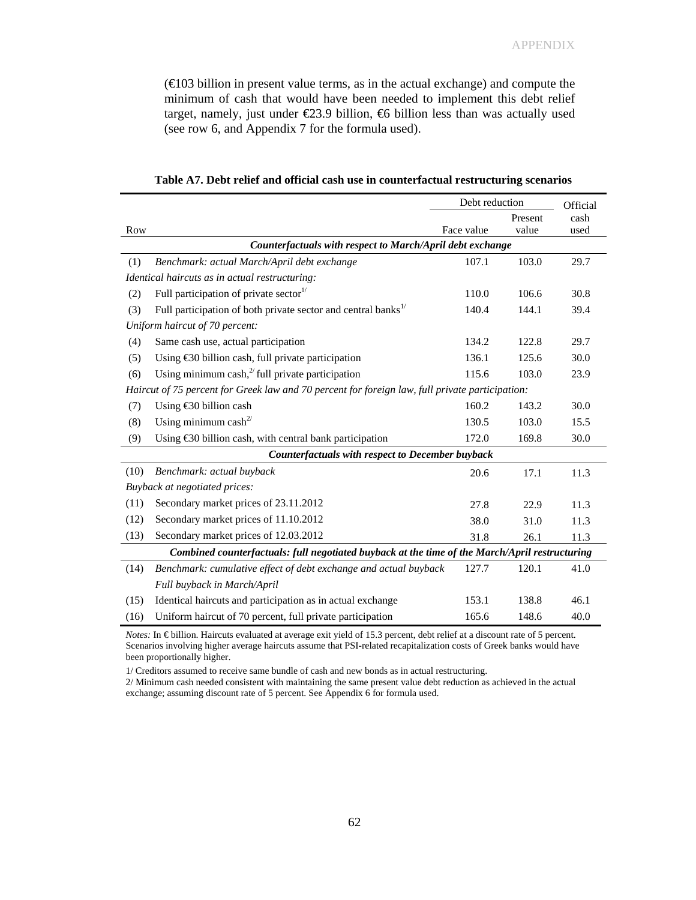$(\text{E}103)$  billion in present value terms, as in the actual exchange) and compute the minimum of cash that would have been needed to implement this debt relief target, namely, just under €23.9 billion, €6 billion less than was actually used (see row 6, and Appendix 7 for the formula used).

|                                                                                                |                                                                                                 | Debt reduction |         | Official |  |  |  |  |
|------------------------------------------------------------------------------------------------|-------------------------------------------------------------------------------------------------|----------------|---------|----------|--|--|--|--|
|                                                                                                |                                                                                                 |                | Present | cash     |  |  |  |  |
| Row                                                                                            |                                                                                                 | Face value     | value   | used     |  |  |  |  |
|                                                                                                | Counterfactuals with respect to March/April debt exchange                                       |                |         |          |  |  |  |  |
| (1)                                                                                            | Benchmark: actual March/April debt exchange                                                     | 107.1          | 103.0   | 29.7     |  |  |  |  |
| Identical haircuts as in actual restructuring:                                                 |                                                                                                 |                |         |          |  |  |  |  |
| (2)                                                                                            | Full participation of private sector <sup>1/</sup>                                              | 110.0          | 106.6   | 30.8     |  |  |  |  |
| (3)                                                                                            | Full participation of both private sector and central banks <sup>1/</sup>                       | 140.4          | 144.1   | 39.4     |  |  |  |  |
|                                                                                                | Uniform haircut of 70 percent:                                                                  |                |         |          |  |  |  |  |
| (4)                                                                                            | Same cash use, actual participation                                                             | 134.2          | 122.8   | 29.7     |  |  |  |  |
| (5)                                                                                            | Using $\text{\textsterling}0$ billion cash, full private participation                          | 136.1          | 125.6   | 30.0     |  |  |  |  |
| (6)                                                                                            | Using minimum cash, $^{2}$ full private participation                                           | 115.6          | 103.0   | 23.9     |  |  |  |  |
|                                                                                                | Haircut of 75 percent for Greek law and 70 percent for foreign law, full private participation: |                |         |          |  |  |  |  |
| (7)                                                                                            | Using $\textcircled{\textless}0$ billion cash                                                   | 160.2          | 143.2   | 30.0     |  |  |  |  |
| (8)                                                                                            | Using minimum cash $^{2/}$                                                                      | 130.5          | 103.0   | 15.5     |  |  |  |  |
| (9)                                                                                            | Using $\text{\textsterling}30$ billion cash, with central bank participation                    | 172.0          | 169.8   | 30.0     |  |  |  |  |
|                                                                                                | Counterfactuals with respect to December buyback                                                |                |         |          |  |  |  |  |
| (10)                                                                                           | Benchmark: actual buyback                                                                       | 20.6           | 17.1    | 11.3     |  |  |  |  |
|                                                                                                | Buyback at negotiated prices:                                                                   |                |         |          |  |  |  |  |
| (11)                                                                                           | Secondary market prices of 23.11.2012                                                           | 27.8           | 22.9    | 11.3     |  |  |  |  |
| (12)                                                                                           | Secondary market prices of 11.10.2012                                                           | 38.0           | 31.0    | 11.3     |  |  |  |  |
| (13)                                                                                           | Secondary market prices of 12.03.2012                                                           | 31.8           | 26.1    | 11.3     |  |  |  |  |
| Combined counterfactuals: full negotiated buyback at the time of the March/April restructuring |                                                                                                 |                |         |          |  |  |  |  |
| (14)                                                                                           | Benchmark: cumulative effect of debt exchange and actual buyback                                | 127.7          | 120.1   | 41.0     |  |  |  |  |
|                                                                                                | Full buyback in March/April                                                                     |                |         |          |  |  |  |  |
| (15)                                                                                           | Identical haircuts and participation as in actual exchange                                      | 153.1          | 138.8   | 46.1     |  |  |  |  |
| (16)                                                                                           | Uniform haircut of 70 percent, full private participation                                       | 165.6          | 148.6   | 40.0     |  |  |  |  |

*Notes:* In € billion. Haircuts evaluated at average exit yield of 15.3 percent, debt relief at a discount rate of 5 percent. Scenarios involving higher average haircuts assume that PSI-related recapitalization costs of Greek banks would have been proportionally higher.

1/ Creditors assumed to receive same bundle of cash and new bonds as in actual restructuring.

2/ Minimum cash needed consistent with maintaining the same present value debt reduction as achieved in the actual exchange; assuming discount rate of 5 percent. See Appendix 6 for formula used.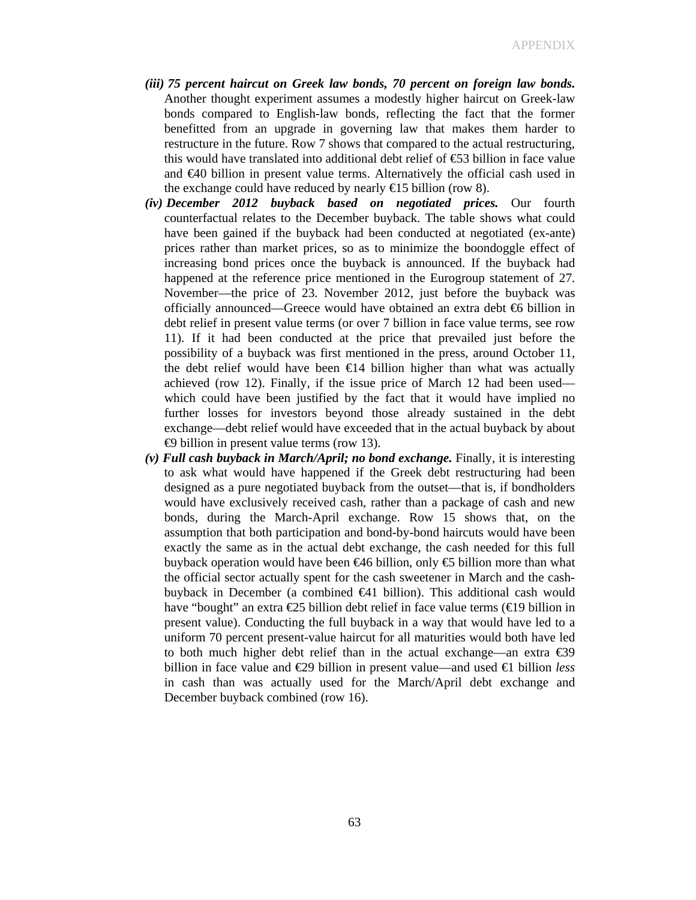- *(iii) 75 percent haircut on Greek law bonds, 70 percent on foreign law bonds.*  Another thought experiment assumes a modestly higher haircut on Greek-law bonds compared to English-law bonds, reflecting the fact that the former benefitted from an upgrade in governing law that makes them harder to restructure in the future. Row 7 shows that compared to the actual restructuring, this would have translated into additional debt relief of  $\epsilon$ 3 billion in face value and €40 billion in present value terms. Alternatively the official cash used in the exchange could have reduced by nearly  $\in 15$  billion (row 8).
- *(iv) December 2012 buyback based on negotiated prices.* Our fourth counterfactual relates to the December buyback. The table shows what could have been gained if the buyback had been conducted at negotiated (ex-ante) prices rather than market prices, so as to minimize the boondoggle effect of increasing bond prices once the buyback is announced. If the buyback had happened at the reference price mentioned in the Eurogroup statement of 27. November—the price of 23. November 2012, just before the buyback was officially announced—Greece would have obtained an extra debt  $\bigoplus$  billion in debt relief in present value terms (or over 7 billion in face value terms, see row 11). If it had been conducted at the price that prevailed just before the possibility of a buyback was first mentioned in the press, around October 11, the debt relief would have been  $\epsilon$ 14 billion higher than what was actually achieved (row 12). Finally, if the issue price of March 12 had been used which could have been justified by the fact that it would have implied no further losses for investors beyond those already sustained in the debt exchange—debt relief would have exceeded that in the actual buyback by about  $\Theta$  billion in present value terms (row 13).
- *(v) Full cash buyback in March/April; no bond exchange.* Finally, it is interesting to ask what would have happened if the Greek debt restructuring had been designed as a pure negotiated buyback from the outset—that is, if bondholders would have exclusively received cash, rather than a package of cash and new bonds, during the March-April exchange. Row 15 shows that, on the assumption that both participation and bond-by-bond haircuts would have been exactly the same as in the actual debt exchange, the cash needed for this full buyback operation would have been  $\epsilon$ 46 billion, only  $\epsilon$ 5 billion more than what the official sector actually spent for the cash sweetener in March and the cashbuyback in December (a combined €41 billion). This additional cash would have "bought" an extra  $\epsilon$ 25 billion debt relief in face value terms ( $\epsilon$ 19 billion in present value). Conducting the full buyback in a way that would have led to a uniform 70 percent present-value haircut for all maturities would both have led to both much higher debt relief than in the actual exchange—an extra €39 billion in face value and €29 billion in present value—and used €1 billion *less* in cash than was actually used for the March/April debt exchange and December buyback combined (row 16).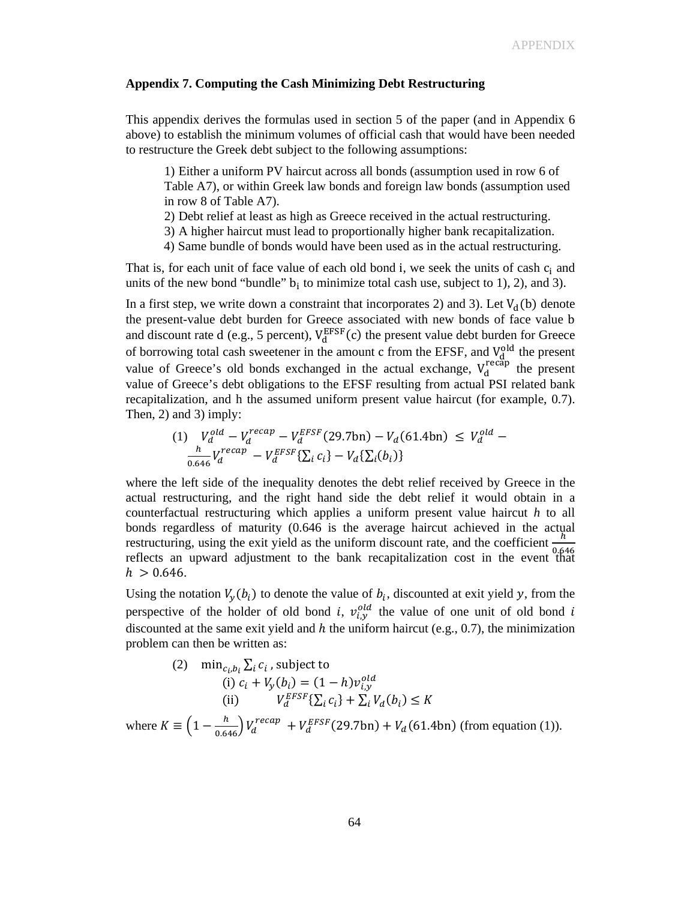#### **Appendix 7. Computing the Cash Minimizing Debt Restructuring**

This appendix derives the formulas used in section 5 of the paper (and in Appendix 6 above) to establish the minimum volumes of official cash that would have been needed to restructure the Greek debt subject to the following assumptions:

1) Either a uniform PV haircut across all bonds (assumption used in row 6 of Table A7), or within Greek law bonds and foreign law bonds (assumption used in row 8 of Table A7).

- 2) Debt relief at least as high as Greece received in the actual restructuring.
- 3) A higher haircut must lead to proportionally higher bank recapitalization.
- 4) Same bundle of bonds would have been used as in the actual restructuring.

That is, for each unit of face value of each old bond i, we seek the units of cash  $c_i$  and units of the new bond "bundle"  $b_i$  to minimize total cash use, subject to 1), 2), and 3).

In a first step, we write down a constraint that incorporates 2) and 3). Let  $V_d(b)$  denote the present-value debt burden for Greece associated with new bonds of face value b and discount rate d (e.g., 5 percent),  $V_d^{EFSF}(c)$  the present value debt burden for Greece of borrowing total cash sweetener in the amount c from the EFSF, and  $V_d^{old}$  the present value of Greece's old bonds exchanged in the actual exchange,  $V_d^{\text{recap}}$  the present value of Greece's debt obligations to the EFSF resulting from actual PSI related bank recapitalization, and h the assumed uniform present value haircut (for example, 0.7). Then, 2) and 3) imply:

$$
(1) \quad V_d^{old} - V_d^{recap} - V_d^{EFSF} (29.7bn) - V_d (61.4bn) \leq V_d^{old} - \frac{h}{0.646} V_d^{recap} - V_d^{EFSF} \{ \sum_i c_i \} - V_d \{ \sum_i (b_i) \}
$$

where the left side of the inequality denotes the debt relief received by Greece in the actual restructuring, and the right hand side the debt relief it would obtain in a counterfactual restructuring which applies a uniform present value haircut *h* to all bonds regardless of maturity (0.646 is the average haircut achieved in the actual restructuring, using the exit yield as the uniform discount rate, and the coefficient  $\frac{h}{\gamma}$ reflects an upward adjustment to the bank recapitalization cost in the event that  $h > 0.646$ .

Using the notation  $V_v(b_i)$  to denote the value of  $b_i$ , discounted at exit yield y, from the perspective of the holder of old bond *i*,  $v_{i,y}^{old}$  the value of one unit of old bond *i* discounted at the same exit yield and  $h$  the uniform haircut (e.g., 0.7), the minimization problem can then be written as:

(2) 
$$
\min_{c_i, b_i} \sum_i c_i
$$
, subject to  
\n(i)  $c_i + V_y(b_i) = (1 - h)v_{i,y}^{old}$   
\n(ii) 
$$
V_d^{EFSF}\{\sum_i c_i\} + \sum_i V_d(b_i) \le K
$$

where  $K = \left(1 - \frac{h}{0.646}\right) V_d^{recap} + V_d^{EFSF}(29.7bn) + V_d(61.4bn)$  (from equation (1)).